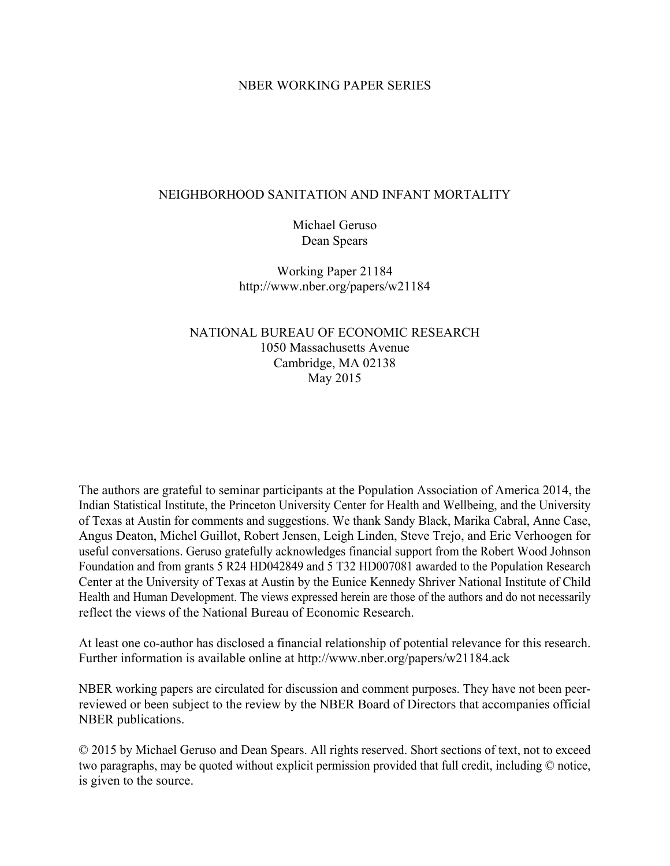### NBER WORKING PAPER SERIES

### NEIGHBORHOOD SANITATION AND INFANT MORTALITY

Michael Geruso Dean Spears

Working Paper 21184 http://www.nber.org/papers/w21184

## NATIONAL BUREAU OF ECONOMIC RESEARCH 1050 Massachusetts Avenue Cambridge, MA 02138 May 2015

The authors are grateful to seminar participants at the Population Association of America 2014, the Indian Statistical Institute, the Princeton University Center for Health and Wellbeing, and the University of Texas at Austin for comments and suggestions. We thank Sandy Black, Marika Cabral, Anne Case, Angus Deaton, Michel Guillot, Robert Jensen, Leigh Linden, Steve Trejo, and Eric Verhoogen for useful conversations. Geruso gratefully acknowledges financial support from the Robert Wood Johnson Foundation and from grants 5 R24 HD042849 and 5 T32 HD007081 awarded to the Population Research Center at the University of Texas at Austin by the Eunice Kennedy Shriver National Institute of Child Health and Human Development. The views expressed herein are those of the authors and do not necessarily reflect the views of the National Bureau of Economic Research.

At least one co-author has disclosed a financial relationship of potential relevance for this research. Further information is available online at http://www.nber.org/papers/w21184.ack

NBER working papers are circulated for discussion and comment purposes. They have not been peerreviewed or been subject to the review by the NBER Board of Directors that accompanies official NBER publications.

© 2015 by Michael Geruso and Dean Spears. All rights reserved. Short sections of text, not to exceed two paragraphs, may be quoted without explicit permission provided that full credit, including © notice, is given to the source.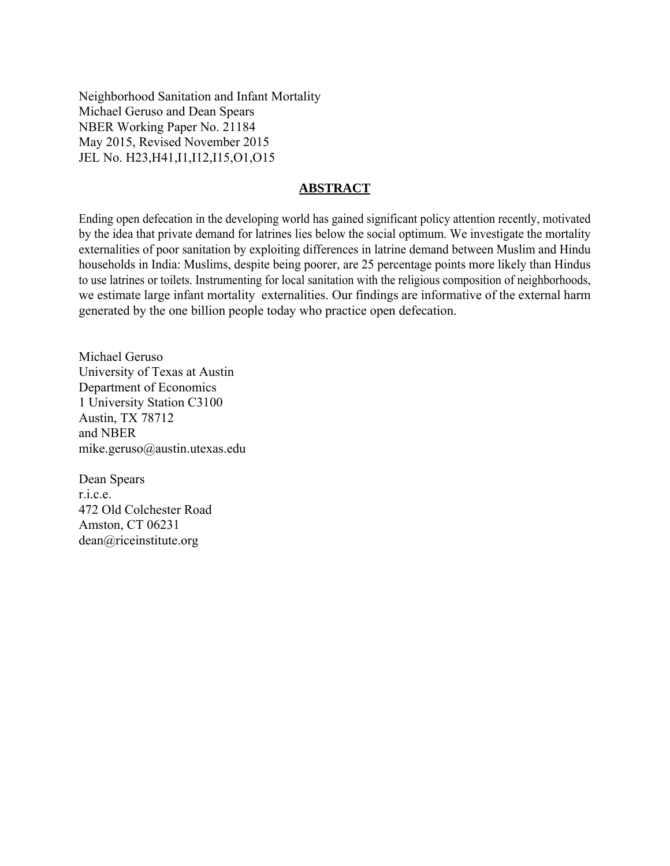Neighborhood Sanitation and Infant Mortality Michael Geruso and Dean Spears NBER Working Paper No. 21184 May 2015, Revised November 2015 JEL No. H23,H41,I1,I12,I15,O1,O15

### **ABSTRACT**

Ending open defecation in the developing world has gained significant policy attention recently, motivated by the idea that private demand for latrines lies below the social optimum. We investigate the mortality externalities of poor sanitation by exploiting differences in latrine demand between Muslim and Hindu households in India: Muslims, despite being poorer, are 25 percentage points more likely than Hindus to use latrines or toilets. Instrumenting for local sanitation with the religious composition of neighborhoods, we estimate large infant mortality externalities. Our findings are informative of the external harm generated by the one billion people today who practice open defecation.

Michael Geruso University of Texas at Austin Department of Economics 1 University Station C3100 Austin, TX 78712 and NBER mike.geruso@austin.utexas.edu

Dean Spears r.i.c.e. 472 Old Colchester Road Amston, CT 06231 dean@riceinstitute.org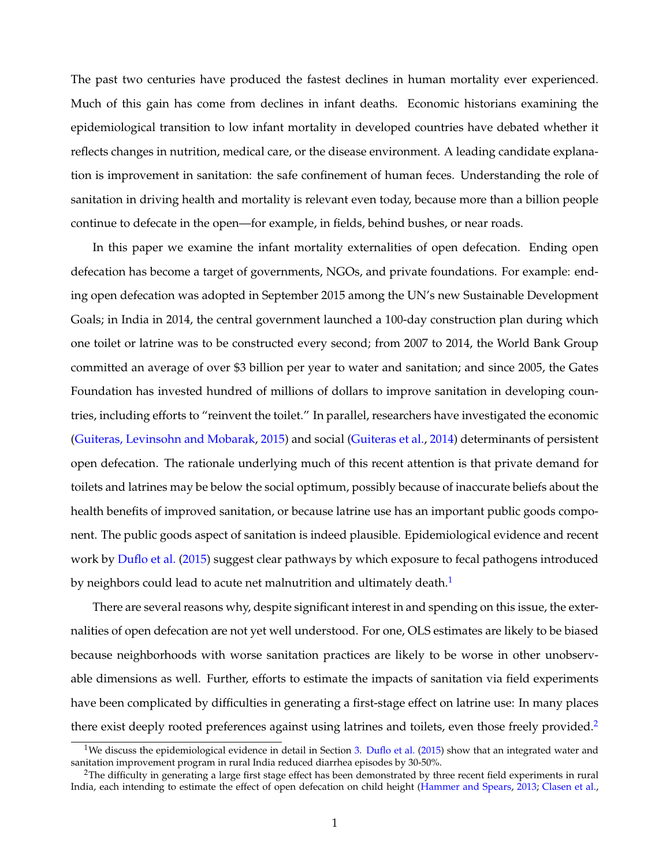<span id="page-2-2"></span>The past two centuries have produced the fastest declines in human mortality ever experienced. Much of this gain has come from declines in infant deaths. Economic historians examining the epidemiological transition to low infant mortality in developed countries have debated whether it reflects changes in nutrition, medical care, or the disease environment. A leading candidate explanation is improvement in sanitation: the safe confinement of human feces. Understanding the role of sanitation in driving health and mortality is relevant even today, because more than a billion people continue to defecate in the open—for example, in fields, behind bushes, or near roads.

In this paper we examine the infant mortality externalities of open defecation. Ending open defecation has become a target of governments, NGOs, and private foundations. For example: ending open defecation was adopted in September 2015 among the UN's new Sustainable Development Goals; in India in 2014, the central government launched a 100-day construction plan during which one toilet or latrine was to be constructed every second; from 2007 to 2014, the World Bank Group committed an average of over \$3 billion per year to water and sanitation; and since 2005, the Gates Foundation has invested hundred of millions of dollars to improve sanitation in developing countries, including efforts to "reinvent the toilet." In parallel, researchers have investigated the economic [\(Guiteras, Levinsohn and Mobarak,](#page-32-0) [2015\)](#page-32-0) and social [\(Guiteras et al.,](#page-32-1) [2014\)](#page-32-1) determinants of persistent open defecation. The rationale underlying much of this recent attention is that private demand for toilets and latrines may be below the social optimum, possibly because of inaccurate beliefs about the health benefits of improved sanitation, or because latrine use has an important public goods component. The public goods aspect of sanitation is indeed plausible. Epidemiological evidence and recent work by [Duflo et al.](#page-32-2) [\(2015\)](#page-32-2) suggest clear pathways by which exposure to fecal pathogens introduced by neighbors could lead to acute net malnutrition and ultimately death.<sup>[1](#page-2-0)</sup>

There are several reasons why, despite significant interest in and spending on this issue, the externalities of open defecation are not yet well understood. For one, OLS estimates are likely to be biased because neighborhoods with worse sanitation practices are likely to be worse in other unobservable dimensions as well. Further, efforts to estimate the impacts of sanitation via field experiments have been complicated by difficulties in generating a first-stage effect on latrine use: In many places there exist deeply rooted preferences against using latrines and toilets, even those freely provided.<sup>[2](#page-2-1)</sup>

<span id="page-2-0"></span><sup>&</sup>lt;sup>1</sup>We discuss the epidemiological evidence in detail in Section [3.](#page-8-0) [Duflo et al.](#page-32-2) [\(2015\)](#page-32-2) show that an integrated water and sanitation improvement program in rural India reduced diarrhea episodes by 30-50%.

<span id="page-2-1"></span><sup>&</sup>lt;sup>2</sup>The difficulty in generating a large first stage effect has been demonstrated by three recent field experiments in rural India, each intending to estimate the effect of open defecation on child height [\(Hammer and Spears,](#page-32-3) [2013;](#page-32-3) [Clasen et al.,](#page-31-0)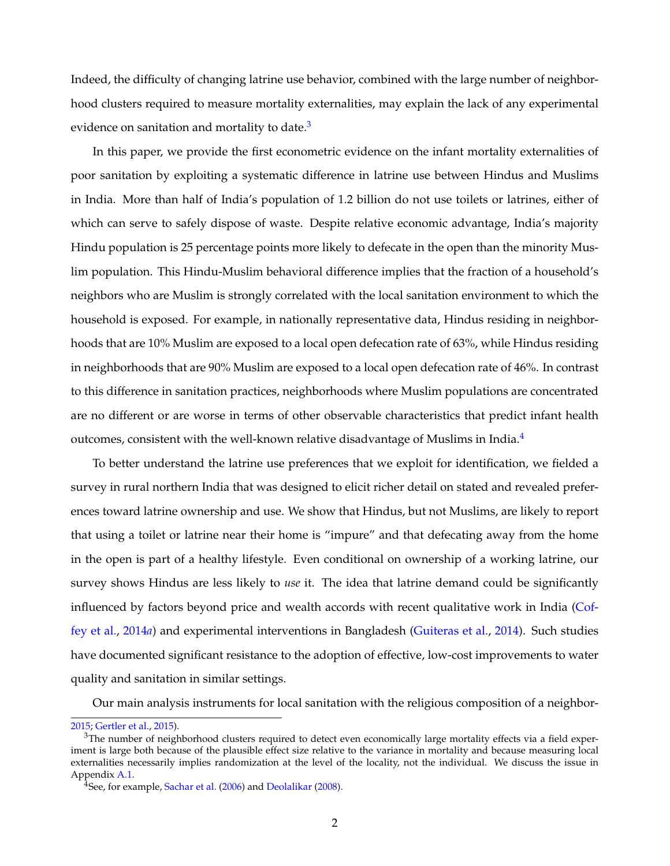Indeed, the difficulty of changing latrine use behavior, combined with the large number of neighborhood clusters required to measure mortality externalities, may explain the lack of any experimental evidence on sanitation and mortality to date.<sup>[3](#page-3-0)</sup>

In this paper, we provide the first econometric evidence on the infant mortality externalities of poor sanitation by exploiting a systematic difference in latrine use between Hindus and Muslims in India. More than half of India's population of 1.2 billion do not use toilets or latrines, either of which can serve to safely dispose of waste. Despite relative economic advantage, India's majority Hindu population is 25 percentage points more likely to defecate in the open than the minority Muslim population. This Hindu-Muslim behavioral difference implies that the fraction of a household's neighbors who are Muslim is strongly correlated with the local sanitation environment to which the household is exposed. For example, in nationally representative data, Hindus residing in neighborhoods that are 10% Muslim are exposed to a local open defecation rate of 63%, while Hindus residing in neighborhoods that are 90% Muslim are exposed to a local open defecation rate of 46%. In contrast to this difference in sanitation practices, neighborhoods where Muslim populations are concentrated are no different or are worse in terms of other observable characteristics that predict infant health outcomes, consistent with the well-known relative disadvantage of Muslims in India. $4$ 

To better understand the latrine use preferences that we exploit for identification, we fielded a survey in rural northern India that was designed to elicit richer detail on stated and revealed preferences toward latrine ownership and use. We show that Hindus, but not Muslims, are likely to report that using a toilet or latrine near their home is "impure" and that defecating away from the home in the open is part of a healthy lifestyle. Even conditional on ownership of a working latrine, our survey shows Hindus are less likely to *use* it. The idea that latrine demand could be significantly influenced by factors beyond price and wealth accords with recent qualitative work in India [\(Cof](#page-31-1)[fey et al.,](#page-31-1) [2014](#page-31-1)*a*) and experimental interventions in Bangladesh [\(Guiteras et al.,](#page-32-1) [2014\)](#page-32-1). Such studies have documented significant resistance to the adoption of effective, low-cost improvements to water quality and sanitation in similar settings.

Our main analysis instruments for local sanitation with the religious composition of a neighbor-

[<sup>2015;</sup>](#page-31-0) [Gertler et al.,](#page-32-4) [2015\)](#page-32-4).

<span id="page-3-0"></span> $3$ The number of neighborhood clusters required to detect even economically large mortality effects via a field experiment is large both because of the plausible effect size relative to the variance in mortality and because measuring local externalities necessarily implies randomization at the level of the locality, not the individual. We discuss the issue in Appendix [A.1.](#page-46-0)

<span id="page-3-1"></span><sup>&</sup>lt;sup>4</sup>See, for example, [Sachar et al.](#page-33-0) [\(2006\)](#page-33-0) and [Deolalikar](#page-32-5) [\(2008\)](#page-32-5).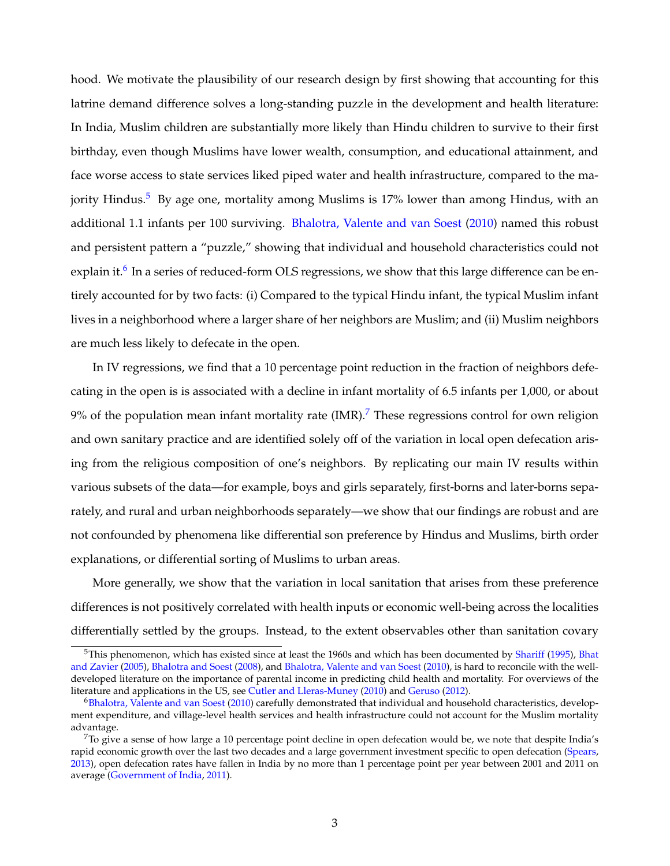hood. We motivate the plausibility of our research design by first showing that accounting for this latrine demand difference solves a long-standing puzzle in the development and health literature: In India, Muslim children are substantially more likely than Hindu children to survive to their first birthday, even though Muslims have lower wealth, consumption, and educational attainment, and face worse access to state services liked piped water and health infrastructure, compared to the ma-jority Hindus.<sup>[5](#page-4-0)</sup> By age one, mortality among Muslims is 17% lower than among Hindus, with an additional 1.1 infants per 100 surviving. [Bhalotra, Valente and van Soest](#page-31-2) [\(2010\)](#page-31-2) named this robust and persistent pattern a "puzzle," showing that individual and household characteristics could not explain it.<sup>[6](#page-4-1)</sup> In a series of reduced-form OLS regressions, we show that this large difference can be entirely accounted for by two facts: (i) Compared to the typical Hindu infant, the typical Muslim infant lives in a neighborhood where a larger share of her neighbors are Muslim; and (ii) Muslim neighbors are much less likely to defecate in the open.

In IV regressions, we find that a 10 percentage point reduction in the fraction of neighbors defecating in the open is is associated with a decline in infant mortality of 6.5 infants per 1,000, or about  $9\%$  of the population mean infant mortality rate (IMR).<sup>[7](#page-4-2)</sup> These regressions control for own religion and own sanitary practice and are identified solely off of the variation in local open defecation arising from the religious composition of one's neighbors. By replicating our main IV results within various subsets of the data—for example, boys and girls separately, first-borns and later-borns separately, and rural and urban neighborhoods separately—we show that our findings are robust and are not confounded by phenomena like differential son preference by Hindus and Muslims, birth order explanations, or differential sorting of Muslims to urban areas.

More generally, we show that the variation in local sanitation that arises from these preference differences is not positively correlated with health inputs or economic well-being across the localities differentially settled by the groups. Instead, to the extent observables other than sanitation covary

<span id="page-4-0"></span> $^5$ This phenomenon, which has existed since at least the 1960s and which has been documented by [Shariff](#page-34-0) [\(1995\)](#page-34-0), [Bhat](#page-31-3) [and Zavier](#page-31-3) [\(2005\)](#page-31-3), [Bhalotra and Soest](#page-31-4) [\(2008\)](#page-31-4), and [Bhalotra, Valente and van Soest](#page-31-2) [\(2010\)](#page-31-2), is hard to reconcile with the welldeveloped literature on the importance of parental income in predicting child health and mortality. For overviews of the literature and applications in the US, see [Cutler and Lleras-Muney](#page-32-6) [\(2010\)](#page-32-6) and [Geruso](#page-32-7) [\(2012\)](#page-32-7).

<span id="page-4-1"></span><sup>6</sup>[Bhalotra, Valente and van Soest](#page-31-2) [\(2010\)](#page-31-2) carefully demonstrated that individual and household characteristics, development expenditure, and village-level health services and health infrastructure could not account for the Muslim mortality advantage.

<span id="page-4-2"></span> $7$ To give a sense of how large a 10 percentage point decline in open defecation would be, we note that despite India's rapid economic growth over the last two decades and a large government investment specific to open defecation [\(Spears,](#page-34-1) [2013\)](#page-34-1), open defecation rates have fallen in India by no more than 1 percentage point per year between 2001 and 2011 on average [\(Government of India,](#page-32-8) [2011\)](#page-32-8).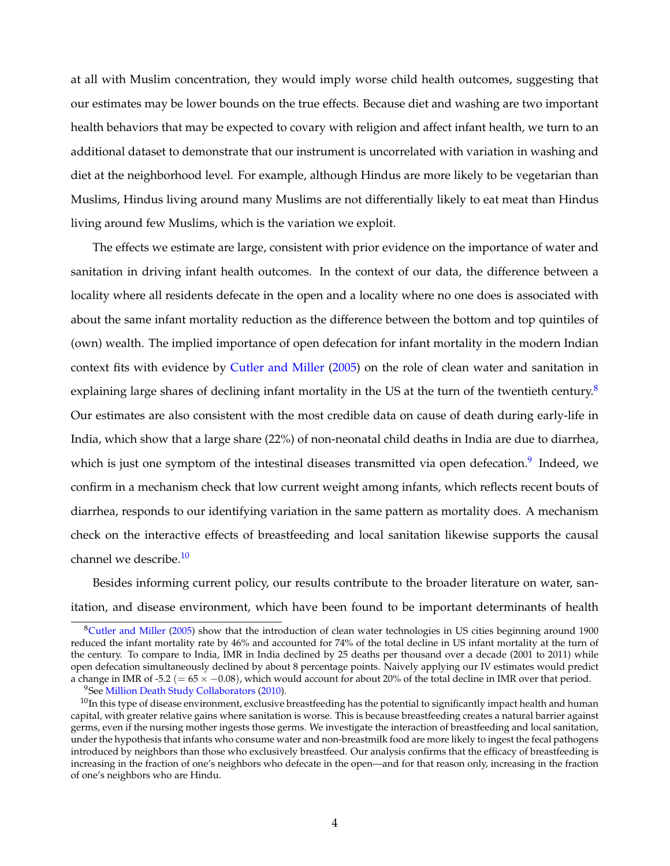at all with Muslim concentration, they would imply worse child health outcomes, suggesting that our estimates may be lower bounds on the true effects. Because diet and washing are two important health behaviors that may be expected to covary with religion and affect infant health, we turn to an additional dataset to demonstrate that our instrument is uncorrelated with variation in washing and diet at the neighborhood level. For example, although Hindus are more likely to be vegetarian than Muslims, Hindus living around many Muslims are not differentially likely to eat meat than Hindus living around few Muslims, which is the variation we exploit.

The effects we estimate are large, consistent with prior evidence on the importance of water and sanitation in driving infant health outcomes. In the context of our data, the difference between a locality where all residents defecate in the open and a locality where no one does is associated with about the same infant mortality reduction as the difference between the bottom and top quintiles of (own) wealth. The implied importance of open defecation for infant mortality in the modern Indian context fits with evidence by [Cutler and Miller](#page-32-9) [\(2005\)](#page-32-9) on the role of clean water and sanitation in explaining large shares of declining infant mortality in the US at the turn of the twentieth century.<sup>[8](#page-5-0)</sup> Our estimates are also consistent with the most credible data on cause of death during early-life in India, which show that a large share (22%) of non-neonatal child deaths in India are due to diarrhea, which is just one symptom of the intestinal diseases transmitted via open defecation.<sup>[9](#page-5-1)</sup> Indeed, we confirm in a mechanism check that low current weight among infants, which reflects recent bouts of diarrhea, responds to our identifying variation in the same pattern as mortality does. A mechanism check on the interactive effects of breastfeeding and local sanitation likewise supports the causal channel we describe.<sup>[10](#page-5-2)</sup>

Besides informing current policy, our results contribute to the broader literature on water, sanitation, and disease environment, which have been found to be important determinants of health

<span id="page-5-0"></span><sup>8</sup>[Cutler and Miller](#page-32-9) [\(2005\)](#page-32-9) show that the introduction of clean water technologies in US cities beginning around 1900 reduced the infant mortality rate by 46% and accounted for 74% of the total decline in US infant mortality at the turn of the century. To compare to India, IMR in India declined by 25 deaths per thousand over a decade (2001 to 2011) while open defecation simultaneously declined by about 8 percentage points. Naively applying our IV estimates would predict a change in IMR of -5.2 (=  $65 \times -0.08$ ), which would account for about 20% of the total decline in IMR over that period.

<span id="page-5-2"></span><span id="page-5-1"></span><sup>&</sup>lt;sup>9</sup>See [Million Death Study Collaborators](#page-33-1) [\(2010\)](#page-33-1).

 $10$ In this type of disease environment, exclusive breastfeeding has the potential to significantly impact health and human capital, with greater relative gains where sanitation is worse. This is because breastfeeding creates a natural barrier against germs, even if the nursing mother ingests those germs. We investigate the interaction of breastfeeding and local sanitation, under the hypothesis that infants who consume water and non-breastmilk food are more likely to ingest the fecal pathogens introduced by neighbors than those who exclusively breastfeed. Our analysis confirms that the efficacy of breastfeeding is increasing in the fraction of one's neighbors who defecate in the open—and for that reason only, increasing in the fraction of one's neighbors who are Hindu.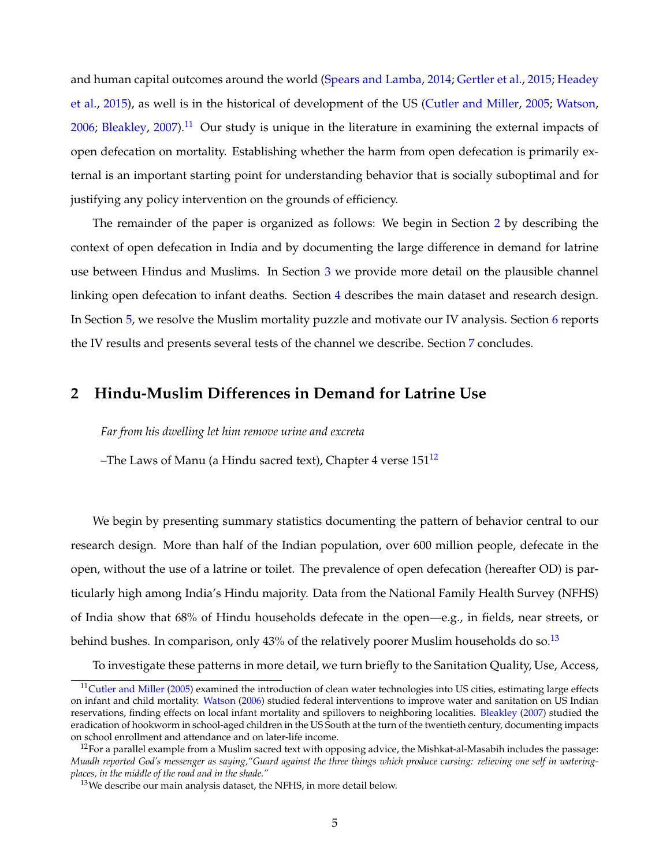and human capital outcomes around the world [\(Spears and Lamba,](#page-34-2) [2014;](#page-34-2) [Gertler et al.,](#page-32-4) [2015;](#page-32-4) [Headey](#page-32-10) [et al.,](#page-32-10) [2015\)](#page-32-10), as well is in the historical of development of the US [\(Cutler and Miller,](#page-32-9) [2005;](#page-32-9) [Watson,](#page-34-3) [2006;](#page-34-3) [Bleakley,](#page-31-5) [2007\)](#page-31-5).<sup>[11](#page-6-0)</sup> Our study is unique in the literature in examining the external impacts of open defecation on mortality. Establishing whether the harm from open defecation is primarily external is an important starting point for understanding behavior that is socially suboptimal and for justifying any policy intervention on the grounds of efficiency.

The remainder of the paper is organized as follows: We begin in Section [2](#page-6-1) by describing the context of open defecation in India and by documenting the large difference in demand for latrine use between Hindus and Muslims. In Section [3](#page-8-0) we provide more detail on the plausible channel linking open defecation to infant deaths. Section [4](#page-10-0) describes the main dataset and research design. In Section [5,](#page-15-0) we resolve the Muslim mortality puzzle and motivate our IV analysis. Section [6](#page-18-0) reports the IV results and presents several tests of the channel we describe. Section [7](#page-29-0) concludes.

## <span id="page-6-1"></span>**2 Hindu-Muslim Differences in Demand for Latrine Use**

*Far from his dwelling let him remove urine and excreta*

–The Laws of Manu (a Hindu sacred text), Chapter 4 verse  $151^{12}$  $151^{12}$  $151^{12}$ 

We begin by presenting summary statistics documenting the pattern of behavior central to our research design. More than half of the Indian population, over 600 million people, defecate in the open, without the use of a latrine or toilet. The prevalence of open defecation (hereafter OD) is particularly high among India's Hindu majority. Data from the National Family Health Survey (NFHS) of India show that 68% of Hindu households defecate in the open—e.g., in fields, near streets, or behind bushes. In comparison, only  $43%$  of the relatively poorer Muslim households do so.<sup>[13](#page-6-3)</sup>

To investigate these patterns in more detail, we turn briefly to the Sanitation Quality, Use, Access,

<span id="page-6-0"></span><sup>&</sup>lt;sup>11</sup>[Cutler and Miller](#page-32-9) [\(2005\)](#page-32-9) examined the introduction of clean water technologies into US cities, estimating large effects on infant and child mortality. [Watson](#page-34-3) [\(2006\)](#page-34-3) studied federal interventions to improve water and sanitation on US Indian reservations, finding effects on local infant mortality and spillovers to neighboring localities. [Bleakley](#page-31-5) [\(2007\)](#page-31-5) studied the eradication of hookworm in school-aged children in the US South at the turn of the twentieth century, documenting impacts on school enrollment and attendance and on later-life income.

<span id="page-6-2"></span> $12$ For a parallel example from a Muslim sacred text with opposing advice, the Mishkat-al-Masabih includes the passage: *Muadh reported God's messenger as saying,"Guard against the three things which produce cursing: relieving one self in wateringplaces, in the middle of the road and in the shade."*

<span id="page-6-3"></span><sup>&</sup>lt;sup>13</sup>We describe our main analysis dataset, the NFHS, in more detail below.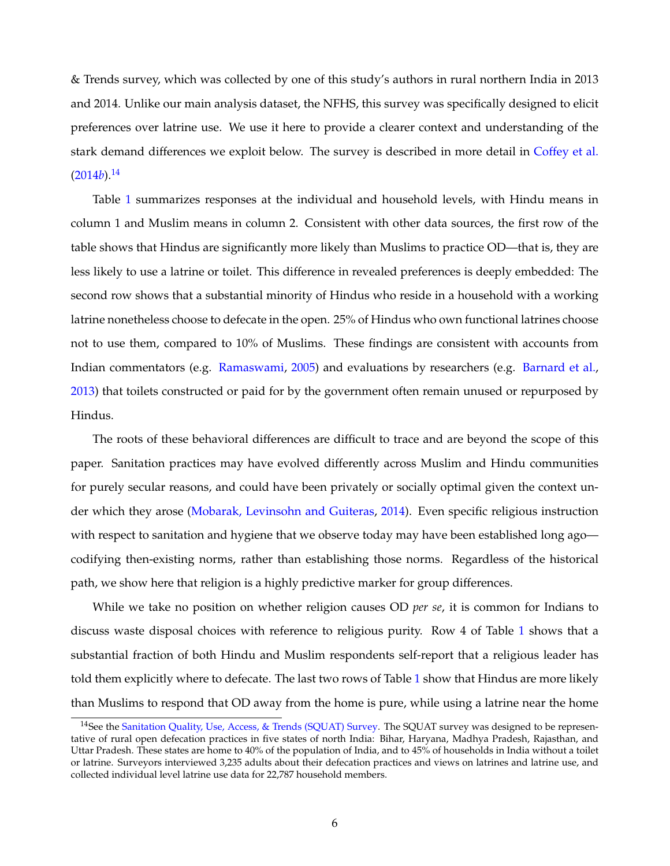& Trends survey, which was collected by one of this study's authors in rural northern India in 2013 and 2014. Unlike our main analysis dataset, the NFHS, this survey was specifically designed to elicit preferences over latrine use. We use it here to provide a clearer context and understanding of the stark demand differences we exploit below. The survey is described in more detail in [Coffey et al.](#page-31-6)  $(2014b).$  $(2014b).$ <sup>[14](#page-7-0)</sup>

Table [1](#page-38-0) summarizes responses at the individual and household levels, with Hindu means in column 1 and Muslim means in column 2. Consistent with other data sources, the first row of the table shows that Hindus are significantly more likely than Muslims to practice OD—that is, they are less likely to use a latrine or toilet. This difference in revealed preferences is deeply embedded: The second row shows that a substantial minority of Hindus who reside in a household with a working latrine nonetheless choose to defecate in the open. 25% of Hindus who own functional latrines choose not to use them, compared to 10% of Muslims. These findings are consistent with accounts from Indian commentators (e.g. [Ramaswami,](#page-33-2) [2005\)](#page-33-2) and evaluations by researchers (e.g. [Barnard et al.,](#page-31-7) [2013\)](#page-31-7) that toilets constructed or paid for by the government often remain unused or repurposed by Hindus.

The roots of these behavioral differences are difficult to trace and are beyond the scope of this paper. Sanitation practices may have evolved differently across Muslim and Hindu communities for purely secular reasons, and could have been privately or socially optimal given the context under which they arose [\(Mobarak, Levinsohn and Guiteras,](#page-33-3) [2014\)](#page-33-3). Even specific religious instruction with respect to sanitation and hygiene that we observe today may have been established long ago codifying then-existing norms, rather than establishing those norms. Regardless of the historical path, we show here that religion is a highly predictive marker for group differences.

While we take no position on whether religion causes OD *per se*, it is common for Indians to discuss waste disposal choices with reference to religious purity. Row 4 of Table [1](#page-38-0) shows that a substantial fraction of both Hindu and Muslim respondents self-report that a religious leader has told them explicitly where to defecate. The last two rows of Table [1](#page-38-0) show that Hindus are more likely than Muslims to respond that OD away from the home is pure, while using a latrine near the home

<span id="page-7-0"></span><sup>&</sup>lt;sup>14</sup>See the [Sanitation Quality, Use, Access, & Trends \(SQUAT\) Survey.](http://squatreport.in) The SQUAT survey was designed to be representative of rural open defecation practices in five states of north India: Bihar, Haryana, Madhya Pradesh, Rajasthan, and Uttar Pradesh. These states are home to 40% of the population of India, and to 45% of households in India without a toilet or latrine. Surveyors interviewed 3,235 adults about their defecation practices and views on latrines and latrine use, and collected individual level latrine use data for 22,787 household members.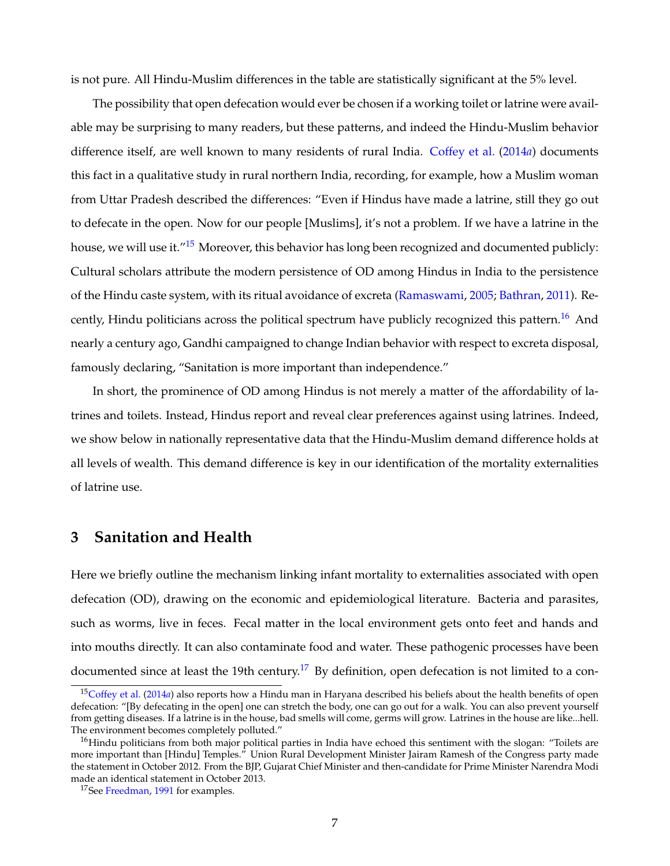is not pure. All Hindu-Muslim differences in the table are statistically significant at the 5% level.

The possibility that open defecation would ever be chosen if a working toilet or latrine were available may be surprising to many readers, but these patterns, and indeed the Hindu-Muslim behavior difference itself, are well known to many residents of rural India. [Coffey et al.](#page-31-1) [\(2014](#page-31-1)*a*) documents this fact in a qualitative study in rural northern India, recording, for example, how a Muslim woman from Uttar Pradesh described the differences: "Even if Hindus have made a latrine, still they go out to defecate in the open. Now for our people [Muslims], it's not a problem. If we have a latrine in the house, we will use it.<sup>"[15](#page-8-1)</sup> Moreover, this behavior has long been recognized and documented publicly: Cultural scholars attribute the modern persistence of OD among Hindus in India to the persistence of the Hindu caste system, with its ritual avoidance of excreta [\(Ramaswami,](#page-33-2) [2005;](#page-33-2) [Bathran,](#page-31-8) [2011\)](#page-31-8). Re-cently, Hindu politicians across the political spectrum have publicly recognized this pattern.<sup>[16](#page-8-2)</sup> And nearly a century ago, Gandhi campaigned to change Indian behavior with respect to excreta disposal, famously declaring, "Sanitation is more important than independence."

In short, the prominence of OD among Hindus is not merely a matter of the affordability of latrines and toilets. Instead, Hindus report and reveal clear preferences against using latrines. Indeed, we show below in nationally representative data that the Hindu-Muslim demand difference holds at all levels of wealth. This demand difference is key in our identification of the mortality externalities of latrine use.

## <span id="page-8-0"></span>**3 Sanitation and Health**

Here we briefly outline the mechanism linking infant mortality to externalities associated with open defecation (OD), drawing on the economic and epidemiological literature. Bacteria and parasites, such as worms, live in feces. Fecal matter in the local environment gets onto feet and hands and into mouths directly. It can also contaminate food and water. These pathogenic processes have been documented since at least the 19th century.<sup>[17](#page-8-3)</sup> By definition, open defecation is not limited to a con-

<span id="page-8-1"></span><sup>15</sup>[Coffey et al.](#page-31-1) [\(2014](#page-31-1)*a*) also reports how a Hindu man in Haryana described his beliefs about the health benefits of open defecation: "[By defecating in the open] one can stretch the body, one can go out for a walk. You can also prevent yourself from getting diseases. If a latrine is in the house, bad smells will come, germs will grow. Latrines in the house are like...hell. The environment becomes completely polluted."

<span id="page-8-2"></span> $16$ Hindu politicians from both major political parties in India have echoed this sentiment with the slogan: "Toilets are more important than [Hindu] Temples." Union Rural Development Minister Jairam Ramesh of the Congress party made the statement in October 2012. From the BJP, Gujarat Chief Minister and then-candidate for Prime Minister Narendra Modi made an identical statement in October 2013.

<span id="page-8-3"></span><sup>&</sup>lt;sup>17</sup>See [Freedman,](#page-32-11) [1991](#page-32-11) for examples.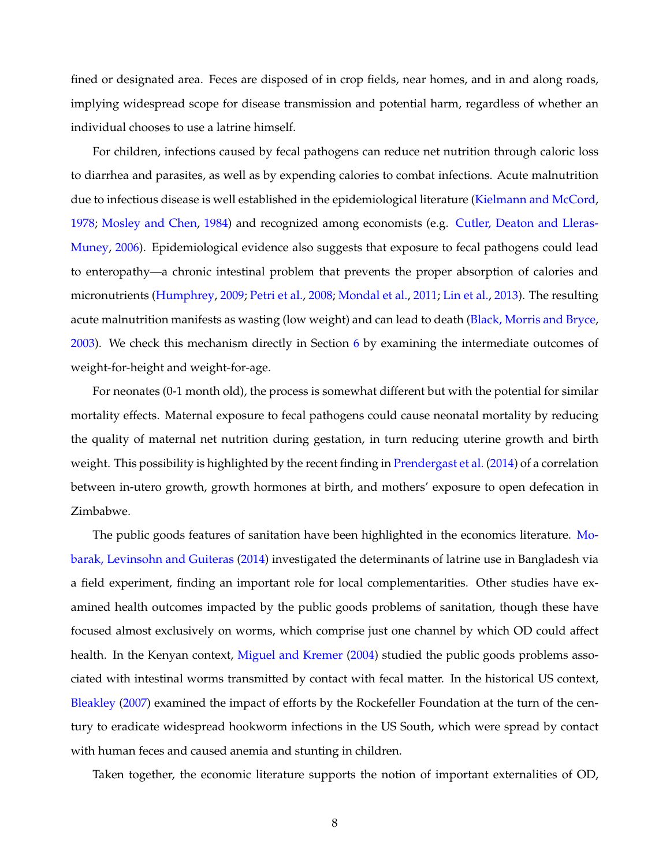fined or designated area. Feces are disposed of in crop fields, near homes, and in and along roads, implying widespread scope for disease transmission and potential harm, regardless of whether an individual chooses to use a latrine himself.

For children, infections caused by fecal pathogens can reduce net nutrition through caloric loss to diarrhea and parasites, as well as by expending calories to combat infections. Acute malnutrition due to infectious disease is well established in the epidemiological literature [\(Kielmann and McCord,](#page-33-4) [1978;](#page-33-4) [Mosley and Chen,](#page-33-5) [1984\)](#page-33-5) and recognized among economists (e.g. [Cutler, Deaton and Lleras-](#page-32-12)[Muney,](#page-32-12) [2006\)](#page-32-12). Epidemiological evidence also suggests that exposure to fecal pathogens could lead to enteropathy—a chronic intestinal problem that prevents the proper absorption of calories and micronutrients [\(Humphrey,](#page-33-6) [2009;](#page-33-6) [Petri et al.,](#page-33-7) [2008;](#page-33-7) [Mondal et al.,](#page-33-8) [2011;](#page-33-8) [Lin et al.,](#page-33-9) [2013\)](#page-33-9). The resulting acute malnutrition manifests as wasting (low weight) and can lead to death [\(Black, Morris and Bryce,](#page-31-9) [2003\)](#page-31-9). We check this mechanism directly in Section [6](#page-18-0) by examining the intermediate outcomes of weight-for-height and weight-for-age.

For neonates (0-1 month old), the process is somewhat different but with the potential for similar mortality effects. Maternal exposure to fecal pathogens could cause neonatal mortality by reducing the quality of maternal net nutrition during gestation, in turn reducing uterine growth and birth weight. This possibility is highlighted by the recent finding in [Prendergast et al.](#page-33-10) [\(2014\)](#page-33-10) of a correlation between in-utero growth, growth hormones at birth, and mothers' exposure to open defecation in Zimbabwe.

The public goods features of sanitation have been highlighted in the economics literature. [Mo](#page-33-3)[barak, Levinsohn and Guiteras](#page-33-3) [\(2014\)](#page-33-3) investigated the determinants of latrine use in Bangladesh via a field experiment, finding an important role for local complementarities. Other studies have examined health outcomes impacted by the public goods problems of sanitation, though these have focused almost exclusively on worms, which comprise just one channel by which OD could affect health. In the Kenyan context, [Miguel and Kremer](#page-33-11) [\(2004\)](#page-33-11) studied the public goods problems associated with intestinal worms transmitted by contact with fecal matter. In the historical US context, [Bleakley](#page-31-5) [\(2007\)](#page-31-5) examined the impact of efforts by the Rockefeller Foundation at the turn of the century to eradicate widespread hookworm infections in the US South, which were spread by contact with human feces and caused anemia and stunting in children.

Taken together, the economic literature supports the notion of important externalities of OD,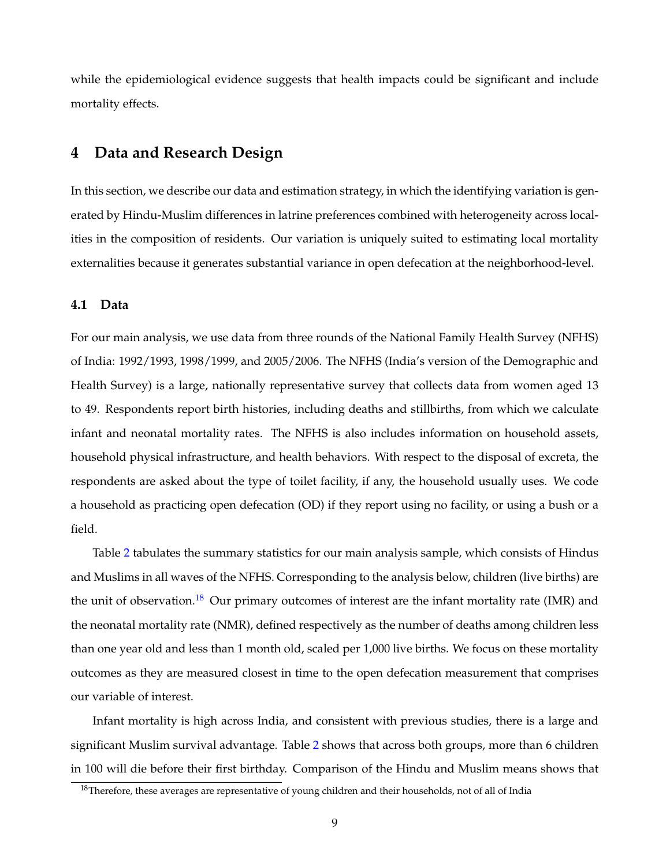while the epidemiological evidence suggests that health impacts could be significant and include mortality effects.

## <span id="page-10-0"></span>**4 Data and Research Design**

In this section, we describe our data and estimation strategy, in which the identifying variation is generated by Hindu-Muslim differences in latrine preferences combined with heterogeneity across localities in the composition of residents. Our variation is uniquely suited to estimating local mortality externalities because it generates substantial variance in open defecation at the neighborhood-level.

#### **4.1 Data**

For our main analysis, we use data from three rounds of the National Family Health Survey (NFHS) of India: 1992/1993, 1998/1999, and 2005/2006. The NFHS (India's version of the Demographic and Health Survey) is a large, nationally representative survey that collects data from women aged 13 to 49. Respondents report birth histories, including deaths and stillbirths, from which we calculate infant and neonatal mortality rates. The NFHS is also includes information on household assets, household physical infrastructure, and health behaviors. With respect to the disposal of excreta, the respondents are asked about the type of toilet facility, if any, the household usually uses. We code a household as practicing open defecation (OD) if they report using no facility, or using a bush or a field.

Table [2](#page-39-0) tabulates the summary statistics for our main analysis sample, which consists of Hindus and Muslims in all waves of the NFHS. Corresponding to the analysis below, children (live births) are the unit of observation.<sup>[18](#page-10-1)</sup> Our primary outcomes of interest are the infant mortality rate (IMR) and the neonatal mortality rate (NMR), defined respectively as the number of deaths among children less than one year old and less than 1 month old, scaled per 1,000 live births. We focus on these mortality outcomes as they are measured closest in time to the open defecation measurement that comprises our variable of interest.

Infant mortality is high across India, and consistent with previous studies, there is a large and significant Muslim survival advantage. Table [2](#page-39-0) shows that across both groups, more than 6 children in 100 will die before their first birthday. Comparison of the Hindu and Muslim means shows that

<span id="page-10-1"></span><sup>&</sup>lt;sup>18</sup>Therefore, these averages are representative of young children and their households, not of all of India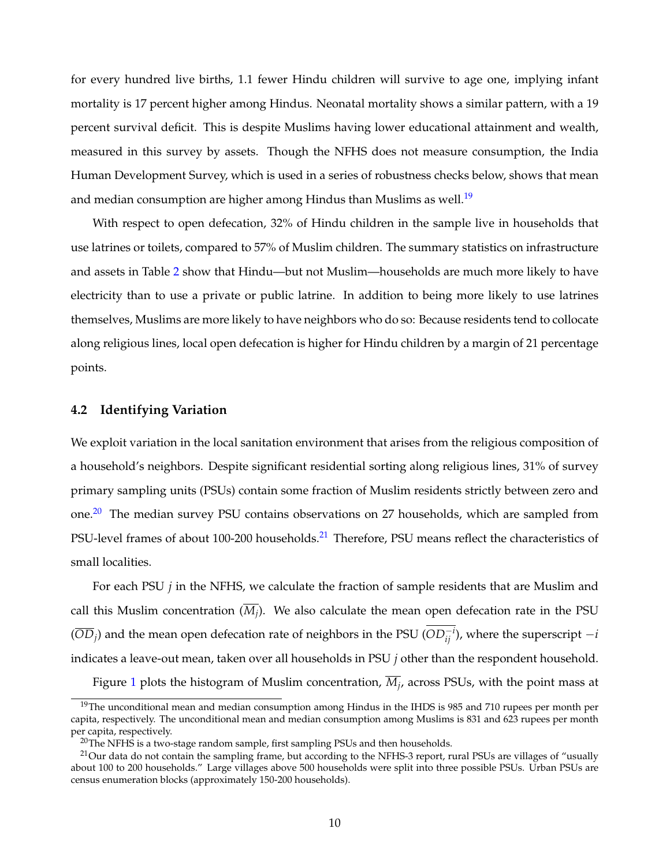for every hundred live births, 1.1 fewer Hindu children will survive to age one, implying infant mortality is 17 percent higher among Hindus. Neonatal mortality shows a similar pattern, with a 19 percent survival deficit. This is despite Muslims having lower educational attainment and wealth, measured in this survey by assets. Though the NFHS does not measure consumption, the India Human Development Survey, which is used in a series of robustness checks below, shows that mean and median consumption are higher among Hindus than Muslims as well.<sup>[19](#page-11-0)</sup>

With respect to open defecation, 32% of Hindu children in the sample live in households that use latrines or toilets, compared to 57% of Muslim children. The summary statistics on infrastructure and assets in Table [2](#page-39-0) show that Hindu—but not Muslim—households are much more likely to have electricity than to use a private or public latrine. In addition to being more likely to use latrines themselves, Muslims are more likely to have neighbors who do so: Because residents tend to collocate along religious lines, local open defecation is higher for Hindu children by a margin of 21 percentage points.

### **4.2 Identifying Variation**

We exploit variation in the local sanitation environment that arises from the religious composition of a household's neighbors. Despite significant residential sorting along religious lines, 31% of survey primary sampling units (PSUs) contain some fraction of Muslim residents strictly between zero and one.<sup>[20](#page-11-1)</sup> The median survey PSU contains observations on 27 households, which are sampled from PSU-level frames of about 100-200 households.<sup>[21](#page-11-2)</sup> Therefore, PSU means reflect the characteristics of small localities.

For each PSU *j* in the NFHS, we calculate the fraction of sample residents that are Muslim and call this Muslim concentration (*M<sup>j</sup>* ). We also calculate the mean open defecation rate in the PSU  $(\overline{OD}_j)$  and the mean open defecation rate of neighbors in the PSU ( $OD_{ij}^{-i}$ ), where the superscript −*i* indicates a leave-out mean, taken over all households in PSU *j* other than the respondent household.

Figure [1](#page-35-0) plots the histogram of Muslim concentration, *M<sup>j</sup>* , across PSUs, with the point mass at

<span id="page-11-0"></span><sup>&</sup>lt;sup>19</sup>The unconditional mean and median consumption among Hindus in the IHDS is 985 and 710 rupees per month per capita, respectively. The unconditional mean and median consumption among Muslims is 831 and 623 rupees per month per capita, respectively.

<span id="page-11-2"></span><span id="page-11-1"></span> $20$ The NFHS is a two-stage random sample, first sampling PSUs and then households.

 $^{21}$ Our data do not contain the sampling frame, but according to the NFHS-3 report, rural PSUs are villages of "usually about 100 to 200 households." Large villages above 500 households were split into three possible PSUs. Urban PSUs are census enumeration blocks (approximately 150-200 households).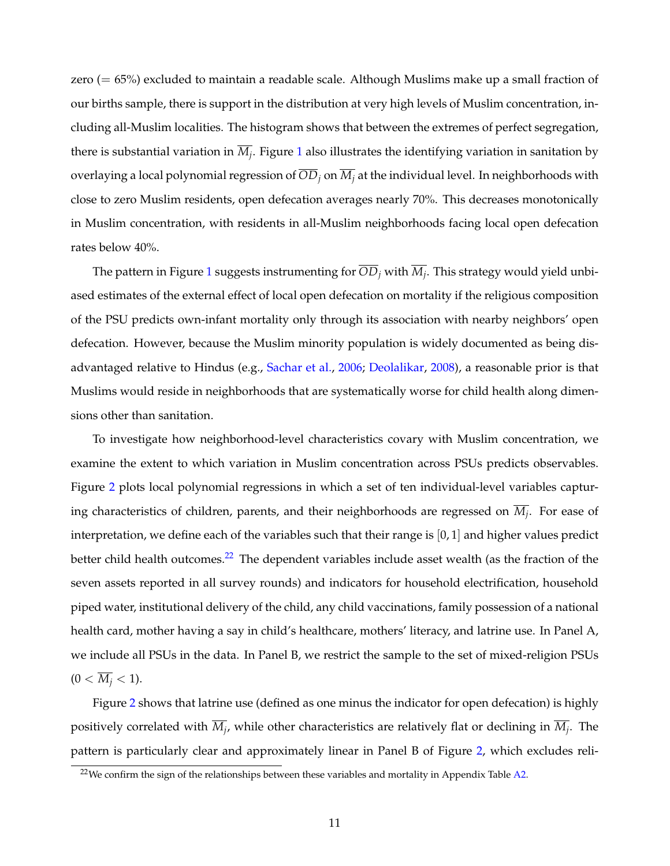zero (= 65%) excluded to maintain a readable scale. Although Muslims make up a small fraction of our births sample, there is support in the distribution at very high levels of Muslim concentration, including all-Muslim localities. The histogram shows that between the extremes of perfect segregation, there is substantial variation in *M<sup>j</sup>* . Figure [1](#page-35-0) also illustrates the identifying variation in sanitation by overlaying a local polynomial regression of *OD<sup>j</sup>* on *M<sup>j</sup>* at the individual level. In neighborhoods with close to zero Muslim residents, open defecation averages nearly 70%. This decreases monotonically in Muslim concentration, with residents in all-Muslim neighborhoods facing local open defecation rates below 40%.

The pattern in Figure [1](#page-35-0) suggests instrumenting for *OD<sup>j</sup>* with *M<sup>j</sup>* . This strategy would yield unbiased estimates of the external effect of local open defecation on mortality if the religious composition of the PSU predicts own-infant mortality only through its association with nearby neighbors' open defecation. However, because the Muslim minority population is widely documented as being disadvantaged relative to Hindus (e.g., [Sachar et al.,](#page-33-0) [2006;](#page-33-0) [Deolalikar,](#page-32-5) [2008\)](#page-32-5), a reasonable prior is that Muslims would reside in neighborhoods that are systematically worse for child health along dimensions other than sanitation.

To investigate how neighborhood-level characteristics covary with Muslim concentration, we examine the extent to which variation in Muslim concentration across PSUs predicts observables. Figure [2](#page-36-0) plots local polynomial regressions in which a set of ten individual-level variables capturing characteristics of children, parents, and their neighborhoods are regressed on *M<sup>j</sup>* . For ease of interpretation, we define each of the variables such that their range is [0, 1] and higher values predict better child health outcomes.<sup>[22](#page-12-0)</sup> The dependent variables include asset wealth (as the fraction of the seven assets reported in all survey rounds) and indicators for household electrification, household piped water, institutional delivery of the child, any child vaccinations, family possession of a national health card, mother having a say in child's healthcare, mothers' literacy, and latrine use. In Panel A, we include all PSUs in the data. In Panel B, we restrict the sample to the set of mixed-religion PSUs  $(0 < \overline{M_i} < 1).$ 

Figure [2](#page-36-0) shows that latrine use (defined as one minus the indicator for open defecation) is highly positively correlated with *M<sup>j</sup>* , while other characteristics are relatively flat or declining in *M<sup>j</sup>* . The pattern is particularly clear and approximately linear in Panel B of Figure [2,](#page-36-0) which excludes reli-

<span id="page-12-0"></span> $22$ We confirm the sign of the relationships between these variables and mortality in Appendix Table [A2.](#page-52-0)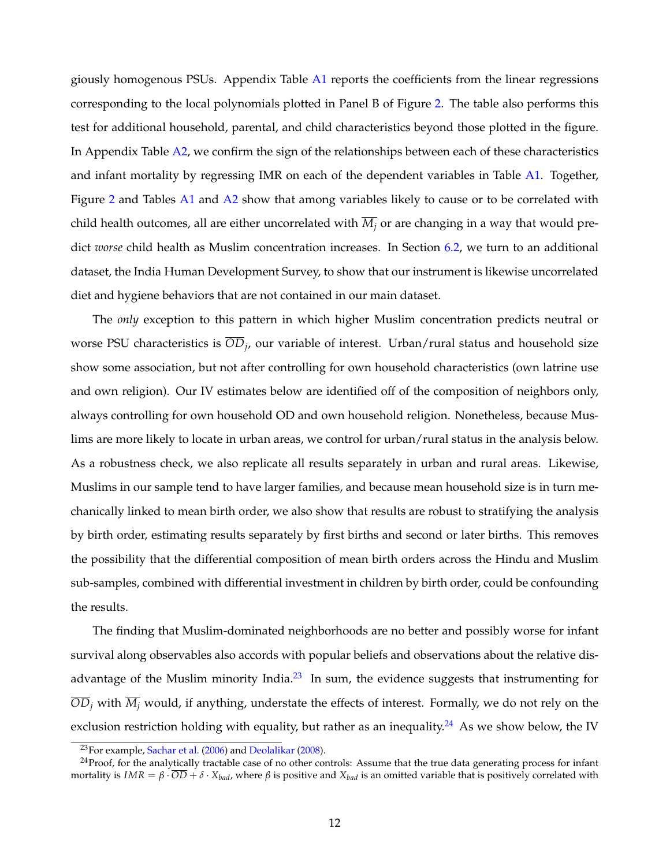giously homogenous PSUs. Appendix Table [A1](#page-51-0) reports the coefficients from the linear regressions corresponding to the local polynomials plotted in Panel B of Figure [2.](#page-36-0) The table also performs this test for additional household, parental, and child characteristics beyond those plotted in the figure. In Appendix Table [A2,](#page-52-0) we confirm the sign of the relationships between each of these characteristics and infant mortality by regressing IMR on each of the dependent variables in Table [A1.](#page-51-0) Together, Figure [2](#page-36-0) and Tables [A1](#page-51-0) and [A2](#page-52-0) show that among variables likely to cause or to be correlated with child health outcomes, all are either uncorrelated with  $\overline{M_i}$  or are changing in a way that would predict *worse* child health as Muslim concentration increases. In Section [6.2,](#page-22-0) we turn to an additional dataset, the India Human Development Survey, to show that our instrument is likewise uncorrelated diet and hygiene behaviors that are not contained in our main dataset.

The *only* exception to this pattern in which higher Muslim concentration predicts neutral or worse PSU characteristics is *OD<sup>j</sup>* , our variable of interest. Urban/rural status and household size show some association, but not after controlling for own household characteristics (own latrine use and own religion). Our IV estimates below are identified off of the composition of neighbors only, always controlling for own household OD and own household religion. Nonetheless, because Muslims are more likely to locate in urban areas, we control for urban/rural status in the analysis below. As a robustness check, we also replicate all results separately in urban and rural areas. Likewise, Muslims in our sample tend to have larger families, and because mean household size is in turn mechanically linked to mean birth order, we also show that results are robust to stratifying the analysis by birth order, estimating results separately by first births and second or later births. This removes the possibility that the differential composition of mean birth orders across the Hindu and Muslim sub-samples, combined with differential investment in children by birth order, could be confounding the results.

The finding that Muslim-dominated neighborhoods are no better and possibly worse for infant survival along observables also accords with popular beliefs and observations about the relative disadvantage of the Muslim minority India. $^{23}$  $^{23}$  $^{23}$  In sum, the evidence suggests that instrumenting for  $\overline{OD}_i$  with  $\overline{M}_i$  would, if anything, understate the effects of interest. Formally, we do not rely on the exclusion restriction holding with equality, but rather as an inequality.<sup>[24](#page-13-1)</sup> As we show below, the IV

<span id="page-13-1"></span><span id="page-13-0"></span><sup>23</sup>For example, [Sachar et al.](#page-33-0) [\(2006\)](#page-33-0) and [Deolalikar](#page-32-5) [\(2008\)](#page-32-5).

<sup>&</sup>lt;sup>24</sup>Proof, for the analytically tractable case of no other controls: Assume that the true data generating process for infant mortality is *IMR* =  $β \cdot \overline{OD} + δ \cdot X_{bad}$ , where  $β$  is positive and  $X_{bad}$  is an omitted variable that is positively correlated with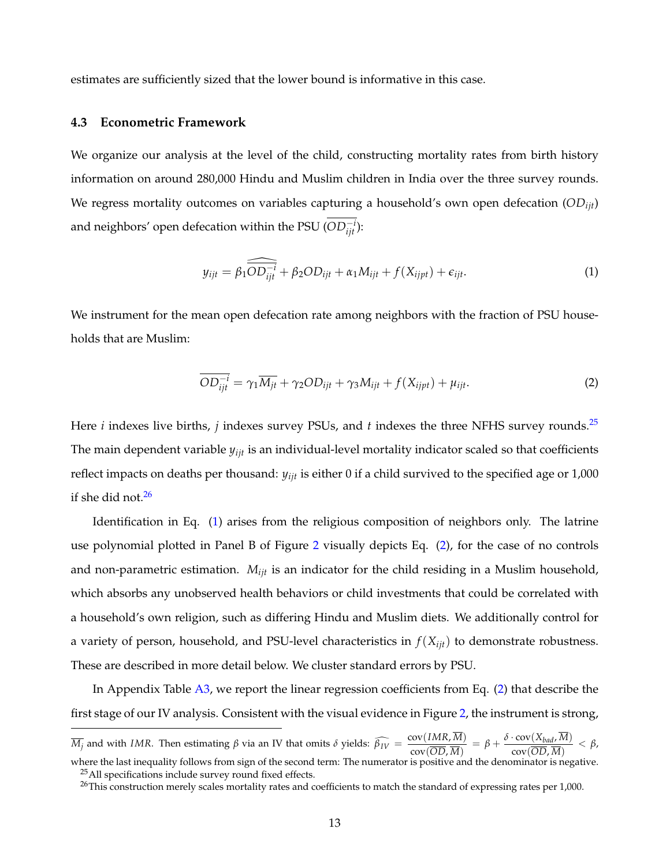estimates are sufficiently sized that the lower bound is informative in this case.

#### **4.3 Econometric Framework**

We organize our analysis at the level of the child, constructing mortality rates from birth history information on around 280,000 Hindu and Muslim children in India over the three survey rounds. We regress mortality outcomes on variables capturing a household's own open defecation (*ODijt*) and neighbors' open defecation within the PSU ( $OD^{-i}_{ijt}$ ):

<span id="page-14-2"></span>
$$
y_{ijt} = \beta_1 \widehat{\overline{OD_{ijt}^{-i}}} + \beta_2 OD_{ijt} + \alpha_1 M_{ijt} + f(X_{ijpt}) + \epsilon_{ijt}.
$$
 (1)

We instrument for the mean open defecation rate among neighbors with the fraction of PSU households that are Muslim:

<span id="page-14-3"></span>
$$
\overline{OD_{ijt}^{-i}} = \gamma_1 \overline{M_{jt}} + \gamma_2 OD_{ijt} + \gamma_3 M_{ijt} + f(X_{ijpt}) + \mu_{ijt}.
$$
 (2)

Here *i* indexes live births, *j* indexes survey PSUs, and *t* indexes the three NFHS survey rounds.<sup>[25](#page-14-0)</sup> The main dependent variable *yijt* is an individual-level mortality indicator scaled so that coefficients reflect impacts on deaths per thousand:  $y_{ijt}$  is either 0 if a child survived to the specified age or 1,000 if she did not.<sup>[26](#page-14-1)</sup>

Identification in Eq. [\(1\)](#page-14-2) arises from the religious composition of neighbors only. The latrine use polynomial plotted in Panel B of Figure [2](#page-36-0) visually depicts Eq. [\(2\)](#page-14-3), for the case of no controls and non-parametric estimation. *Mijt* is an indicator for the child residing in a Muslim household, which absorbs any unobserved health behaviors or child investments that could be correlated with a household's own religion, such as differing Hindu and Muslim diets. We additionally control for a variety of person, household, and PSU-level characteristics in *f*(*Xijt*) to demonstrate robustness. These are described in more detail below. We cluster standard errors by PSU.

In Appendix Table [A3,](#page-53-0) we report the linear regression coefficients from Eq. [\(2\)](#page-14-3) that describe the first stage of our IV analysis. Consistent with the visual evidence in Figure [2,](#page-36-0) the instrument is strong,

*M*<sub>*j*</sub> and with *IMR*. Then estimating *β* via an IV that omits *δ* yields:  $\widehat{\beta_{IV}} = \frac{\text{cov}(IMR, \overline{M})}{\text{cov}(\overline{OD} \ \overline{M})}$  $\frac{\mathrm{cov}(IMR, \overline{M})}{\mathrm{cov}(\overline{OD}, \overline{M})} = \beta + \frac{\delta \cdot \mathrm{cov}(X_{bad}, \overline{M})}{\mathrm{cov}(\overline{OD}, \overline{M})}$  $\frac{\text{cov}(\overline{np}_{\text{gad}}, n)}{\text{cov}(\overline{OD}, \overline{M})} < \beta$ , where the last inequality follows from sign of the second term: The numerator is positive and the denominator is negative.

<span id="page-14-0"></span><sup>&</sup>lt;sup>25</sup>All specifications include survey round fixed effects.

<span id="page-14-1"></span> $^{26}$ This construction merely scales mortality rates and coefficients to match the standard of expressing rates per 1,000.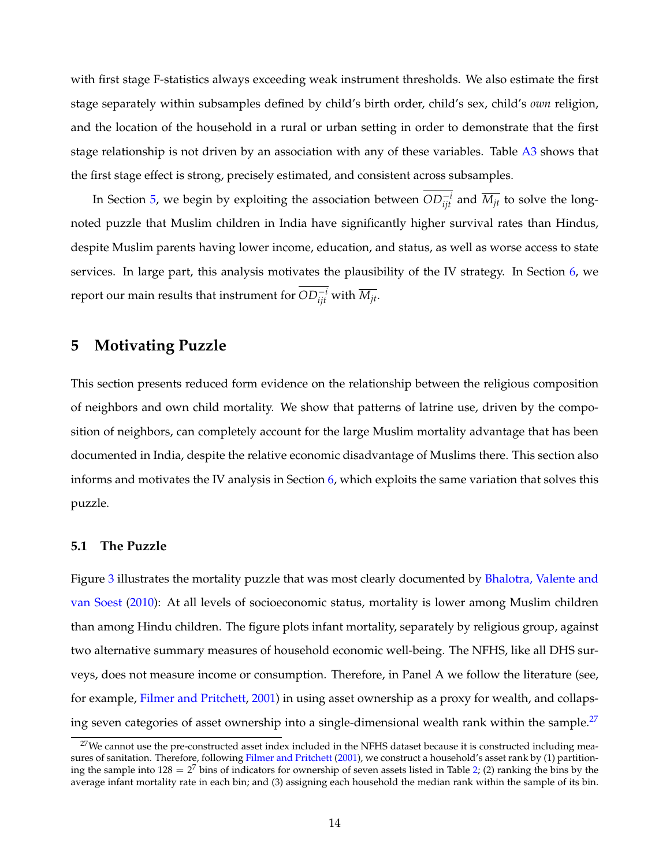with first stage F-statistics always exceeding weak instrument thresholds. We also estimate the first stage separately within subsamples defined by child's birth order, child's sex, child's *own* religion, and the location of the household in a rural or urban setting in order to demonstrate that the first stage relationship is not driven by an association with any of these variables. Table [A3](#page-53-0) shows that the first stage effect is strong, precisely estimated, and consistent across subsamples.

In Section [5,](#page-15-0) we begin by exploiting the association between  $OD_{ijt}^{-i}$  and  $\overline{M_{jt}}$  to solve the longnoted puzzle that Muslim children in India have significantly higher survival rates than Hindus, despite Muslim parents having lower income, education, and status, as well as worse access to state services. In large part, this analysis motivates the plausibility of the IV strategy. In Section [6,](#page-18-0) we report our main results that instrument for  $OD^{-i}_{ijt}$  with  $\overline{M_{jt}}$ .

# <span id="page-15-0"></span>**5 Motivating Puzzle**

This section presents reduced form evidence on the relationship between the religious composition of neighbors and own child mortality. We show that patterns of latrine use, driven by the composition of neighbors, can completely account for the large Muslim mortality advantage that has been documented in India, despite the relative economic disadvantage of Muslims there. This section also informs and motivates the IV analysis in Section [6,](#page-18-0) which exploits the same variation that solves this puzzle.

### **5.1 The Puzzle**

Figure [3](#page-37-0) illustrates the mortality puzzle that was most clearly documented by [Bhalotra, Valente and](#page-31-2) [van Soest](#page-31-2) [\(2010\)](#page-31-2): At all levels of socioeconomic status, mortality is lower among Muslim children than among Hindu children. The figure plots infant mortality, separately by religious group, against two alternative summary measures of household economic well-being. The NFHS, like all DHS surveys, does not measure income or consumption. Therefore, in Panel A we follow the literature (see, for example, [Filmer and Pritchett,](#page-32-13) [2001\)](#page-32-13) in using asset ownership as a proxy for wealth, and collaps-ing seven categories of asset ownership into a single-dimensional wealth rank within the sample.<sup>[27](#page-15-1)</sup>

<span id="page-15-1"></span> $27$ We cannot use the pre-constructed asset index included in the NFHS dataset because it is constructed including mea-sures of sanitation. Therefore, following [Filmer and Pritchett](#page-32-13) [\(2001\)](#page-32-13), we construct a household's asset rank by (1) partitioning the sample into  $128 = 2^7$  bins of indicators for ownership of seven assets listed in Table [2;](#page-39-0) (2) ranking the bins by the average infant mortality rate in each bin; and (3) assigning each household the median rank within the sample of its bin.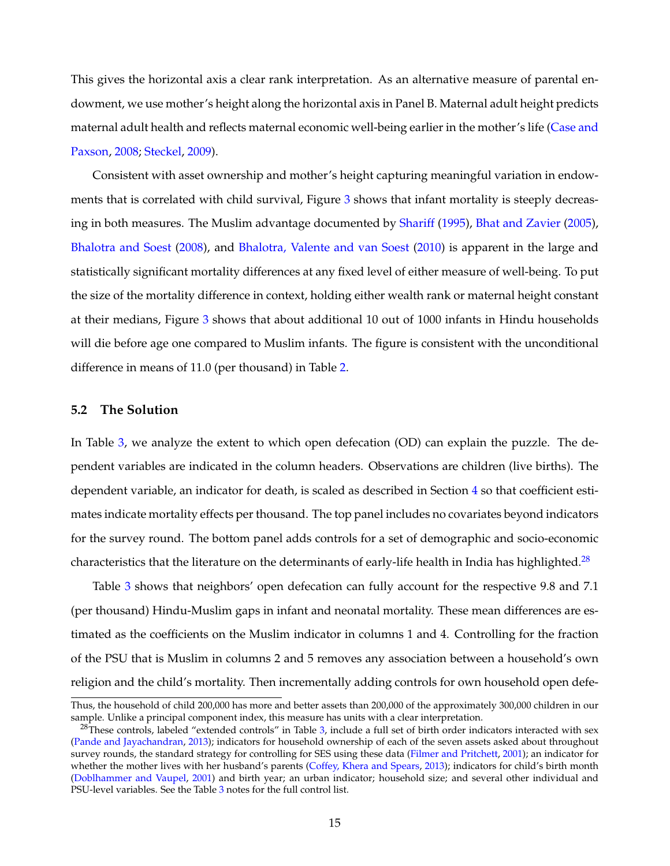This gives the horizontal axis a clear rank interpretation. As an alternative measure of parental endowment, we use mother's height along the horizontal axis in Panel B. Maternal adult height predicts maternal adult health and reflects maternal economic well-being earlier in the mother's life [\(Case and](#page-31-10) [Paxson,](#page-31-10) [2008;](#page-31-10) [Steckel,](#page-34-4) [2009\)](#page-34-4).

Consistent with asset ownership and mother's height capturing meaningful variation in endow-ments that is correlated with child survival, Figure [3](#page-37-0) shows that infant mortality is steeply decreasing in both measures. The Muslim advantage documented by [Shariff](#page-34-0) [\(1995\)](#page-34-0), [Bhat and Zavier](#page-31-3) [\(2005\)](#page-31-3), [Bhalotra and Soest](#page-31-4) [\(2008\)](#page-31-4), and [Bhalotra, Valente and van Soest](#page-31-2) [\(2010\)](#page-31-2) is apparent in the large and statistically significant mortality differences at any fixed level of either measure of well-being. To put the size of the mortality difference in context, holding either wealth rank or maternal height constant at their medians, Figure [3](#page-37-0) shows that about additional 10 out of 1000 infants in Hindu households will die before age one compared to Muslim infants. The figure is consistent with the unconditional difference in means of 11.0 (per thousand) in Table [2.](#page-39-0)

#### **5.2 The Solution**

In Table [3,](#page-40-0) we analyze the extent to which open defecation (OD) can explain the puzzle. The dependent variables are indicated in the column headers. Observations are children (live births). The dependent variable, an indicator for death, is scaled as described in Section [4](#page-10-0) so that coefficient estimates indicate mortality effects per thousand. The top panel includes no covariates beyond indicators for the survey round. The bottom panel adds controls for a set of demographic and socio-economic characteristics that the literature on the determinants of early-life health in India has highlighted.<sup>[28](#page-16-0)</sup>

Table [3](#page-40-0) shows that neighbors' open defecation can fully account for the respective 9.8 and 7.1 (per thousand) Hindu-Muslim gaps in infant and neonatal mortality. These mean differences are estimated as the coefficients on the Muslim indicator in columns 1 and 4. Controlling for the fraction of the PSU that is Muslim in columns 2 and 5 removes any association between a household's own religion and the child's mortality. Then incrementally adding controls for own household open defe-

Thus, the household of child 200,000 has more and better assets than 200,000 of the approximately 300,000 children in our sample. Unlike a principal component index, this measure has units with a clear interpretation.

<span id="page-16-0"></span> $^{28}$ These controls, labeled "extended controls" in Table [3,](#page-40-0) include a full set of birth order indicators interacted with sex [\(Pande and Jayachandran,](#page-33-12) [2013\)](#page-33-12); indicators for household ownership of each of the seven assets asked about throughout survey rounds, the standard strategy for controlling for SES using these data [\(Filmer and Pritchett,](#page-32-13) [2001\)](#page-32-13); an indicator for whether the mother lives with her husband's parents [\(Coffey, Khera and Spears,](#page-31-11) [2013\)](#page-31-11); indicators for child's birth month [\(Doblhammer and Vaupel,](#page-32-14) [2001\)](#page-32-14) and birth year; an urban indicator; household size; and several other individual and PSU-level variables. See the Table [3](#page-40-0) notes for the full control list.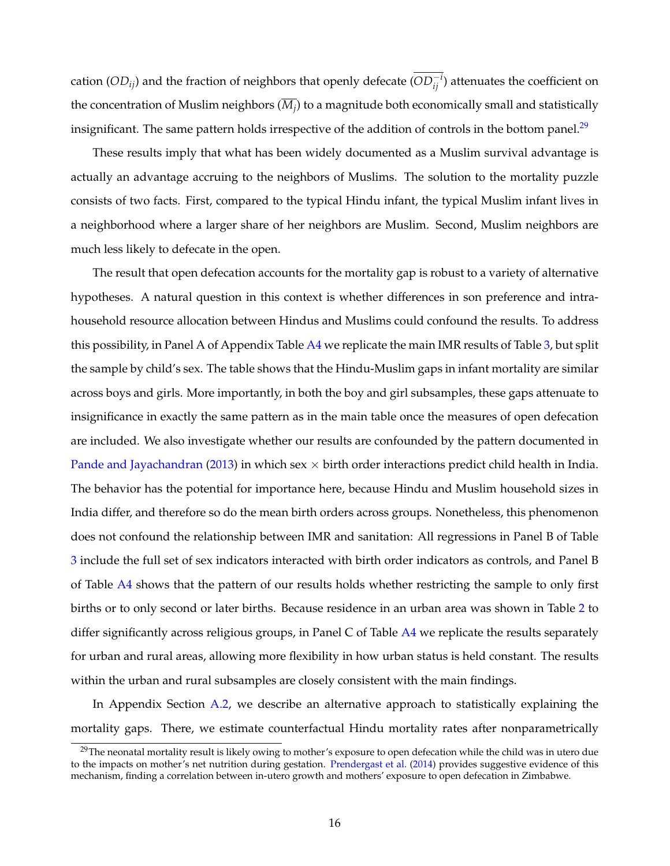cation ( $OD_{ij}$ ) and the fraction of neighbors that openly defecate ( $OD_{ij}^{-i}$ ) attenuates the coefficient on the concentration of Muslim neighbors (*M<sup>j</sup>* ) to a magnitude both economically small and statistically insignificant. The same pattern holds irrespective of the addition of controls in the bottom panel.<sup>[29](#page-17-0)</sup>

These results imply that what has been widely documented as a Muslim survival advantage is actually an advantage accruing to the neighbors of Muslims. The solution to the mortality puzzle consists of two facts. First, compared to the typical Hindu infant, the typical Muslim infant lives in a neighborhood where a larger share of her neighbors are Muslim. Second, Muslim neighbors are much less likely to defecate in the open.

The result that open defecation accounts for the mortality gap is robust to a variety of alternative hypotheses. A natural question in this context is whether differences in son preference and intrahousehold resource allocation between Hindus and Muslims could confound the results. To address this possibility, in Panel A of Appendix Table [A4](#page-54-0) we replicate the main IMR results of Table [3,](#page-40-0) but split the sample by child's sex. The table shows that the Hindu-Muslim gaps in infant mortality are similar across boys and girls. More importantly, in both the boy and girl subsamples, these gaps attenuate to insignificance in exactly the same pattern as in the main table once the measures of open defecation are included. We also investigate whether our results are confounded by the pattern documented in [Pande and Jayachandran](#page-33-12) [\(2013\)](#page-33-12) in which sex  $\times$  birth order interactions predict child health in India. The behavior has the potential for importance here, because Hindu and Muslim household sizes in India differ, and therefore so do the mean birth orders across groups. Nonetheless, this phenomenon does not confound the relationship between IMR and sanitation: All regressions in Panel B of Table [3](#page-40-0) include the full set of sex indicators interacted with birth order indicators as controls, and Panel B of Table [A4](#page-54-0) shows that the pattern of our results holds whether restricting the sample to only first births or to only second or later births. Because residence in an urban area was shown in Table [2](#page-39-0) to differ significantly across religious groups, in Panel C of Table [A4](#page-54-0) we replicate the results separately for urban and rural areas, allowing more flexibility in how urban status is held constant. The results within the urban and rural subsamples are closely consistent with the main findings.

In Appendix Section [A.2,](#page-47-0) we describe an alternative approach to statistically explaining the mortality gaps. There, we estimate counterfactual Hindu mortality rates after nonparametrically

<span id="page-17-0"></span> $29$ The neonatal mortality result is likely owing to mother's exposure to open defecation while the child was in utero due to the impacts on mother's net nutrition during gestation. [Prendergast et al.](#page-33-10) [\(2014\)](#page-33-10) provides suggestive evidence of this mechanism, finding a correlation between in-utero growth and mothers' exposure to open defecation in Zimbabwe.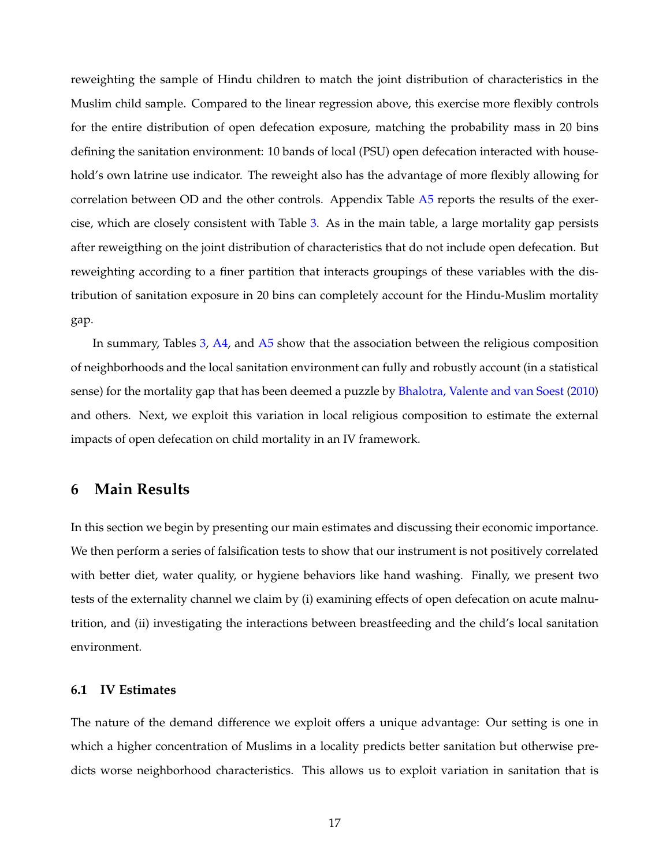reweighting the sample of Hindu children to match the joint distribution of characteristics in the Muslim child sample. Compared to the linear regression above, this exercise more flexibly controls for the entire distribution of open defecation exposure, matching the probability mass in 20 bins defining the sanitation environment: 10 bands of local (PSU) open defecation interacted with household's own latrine use indicator. The reweight also has the advantage of more flexibly allowing for correlation between OD and the other controls. Appendix Table [A5](#page-55-0) reports the results of the exercise, which are closely consistent with Table [3.](#page-40-0) As in the main table, a large mortality gap persists after reweigthing on the joint distribution of characteristics that do not include open defecation. But reweighting according to a finer partition that interacts groupings of these variables with the distribution of sanitation exposure in 20 bins can completely account for the Hindu-Muslim mortality gap.

In summary, Tables [3,](#page-40-0) [A4,](#page-54-0) and [A5](#page-55-0) show that the association between the religious composition of neighborhoods and the local sanitation environment can fully and robustly account (in a statistical sense) for the mortality gap that has been deemed a puzzle by [Bhalotra, Valente and van Soest](#page-31-2) [\(2010\)](#page-31-2) and others. Next, we exploit this variation in local religious composition to estimate the external impacts of open defecation on child mortality in an IV framework.

## <span id="page-18-0"></span>**6 Main Results**

In this section we begin by presenting our main estimates and discussing their economic importance. We then perform a series of falsification tests to show that our instrument is not positively correlated with better diet, water quality, or hygiene behaviors like hand washing. Finally, we present two tests of the externality channel we claim by (i) examining effects of open defecation on acute malnutrition, and (ii) investigating the interactions between breastfeeding and the child's local sanitation environment.

### **6.1 IV Estimates**

The nature of the demand difference we exploit offers a unique advantage: Our setting is one in which a higher concentration of Muslims in a locality predicts better sanitation but otherwise predicts worse neighborhood characteristics. This allows us to exploit variation in sanitation that is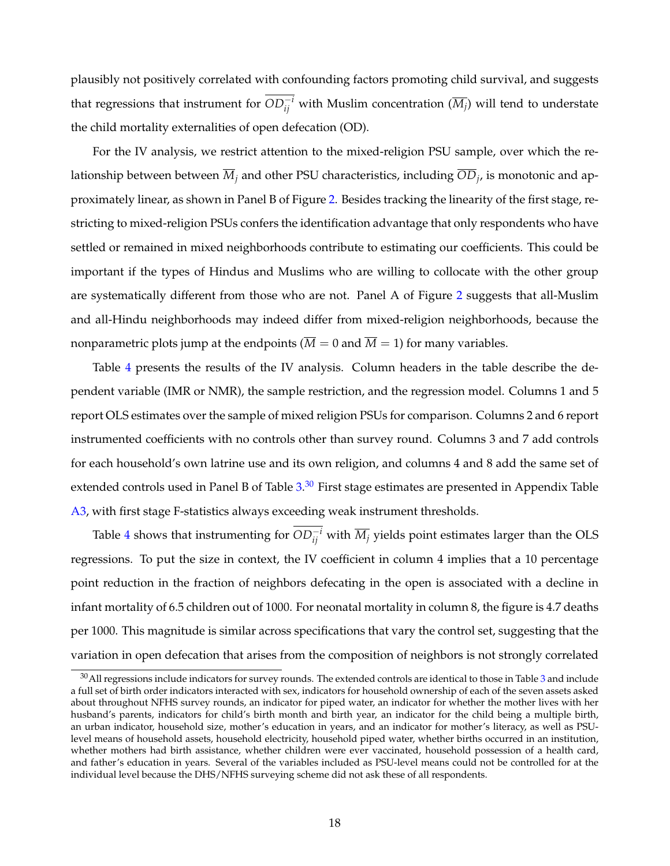plausibly not positively correlated with confounding factors promoting child survival, and suggests that regressions that instrument for  $OD^{-i}_{ij}$  with Muslim concentration  $(\overline{M_j})$  will tend to understate the child mortality externalities of open defecation (OD).

For the IV analysis, we restrict attention to the mixed-religion PSU sample, over which the relationship between between *M<sup>j</sup>* and other PSU characteristics, including *OD<sup>j</sup>* , is monotonic and approximately linear, as shown in Panel B of Figure [2.](#page-36-0) Besides tracking the linearity of the first stage, restricting to mixed-religion PSUs confers the identification advantage that only respondents who have settled or remained in mixed neighborhoods contribute to estimating our coefficients. This could be important if the types of Hindus and Muslims who are willing to collocate with the other group are systematically different from those who are not. Panel A of Figure [2](#page-36-0) suggests that all-Muslim and all-Hindu neighborhoods may indeed differ from mixed-religion neighborhoods, because the nonparametric plots jump at the endpoints ( $\overline{M} = 0$  and  $\overline{M} = 1$ ) for many variables.

Table [4](#page-41-0) presents the results of the IV analysis. Column headers in the table describe the dependent variable (IMR or NMR), the sample restriction, and the regression model. Columns 1 and 5 report OLS estimates over the sample of mixed religion PSUs for comparison. Columns 2 and 6 report instrumented coefficients with no controls other than survey round. Columns 3 and 7 add controls for each household's own latrine use and its own religion, and columns 4 and 8 add the same set of extended controls used in Panel B of Table [3.](#page-40-0)<sup>[30](#page-19-0)</sup> First stage estimates are presented in Appendix Table [A3,](#page-53-0) with first stage F-statistics always exceeding weak instrument thresholds.

Table [4](#page-41-0) shows that instrumenting for  $OD^{-i}_{ij}$  with  $\overline{M_j}$  yields point estimates larger than the OLS regressions. To put the size in context, the IV coefficient in column 4 implies that a 10 percentage point reduction in the fraction of neighbors defecating in the open is associated with a decline in infant mortality of 6.5 children out of 1000. For neonatal mortality in column 8, the figure is 4.7 deaths per 1000. This magnitude is similar across specifications that vary the control set, suggesting that the variation in open defecation that arises from the composition of neighbors is not strongly correlated

<span id="page-19-0"></span> $30$  $30$ All regressions include indicators for survey rounds. The extended controls are identical to those in Table  $3$  and include a full set of birth order indicators interacted with sex, indicators for household ownership of each of the seven assets asked about throughout NFHS survey rounds, an indicator for piped water, an indicator for whether the mother lives with her husband's parents, indicators for child's birth month and birth year, an indicator for the child being a multiple birth, an urban indicator, household size, mother's education in years, and an indicator for mother's literacy, as well as PSUlevel means of household assets, household electricity, household piped water, whether births occurred in an institution, whether mothers had birth assistance, whether children were ever vaccinated, household possession of a health card, and father's education in years. Several of the variables included as PSU-level means could not be controlled for at the individual level because the DHS/NFHS surveying scheme did not ask these of all respondents.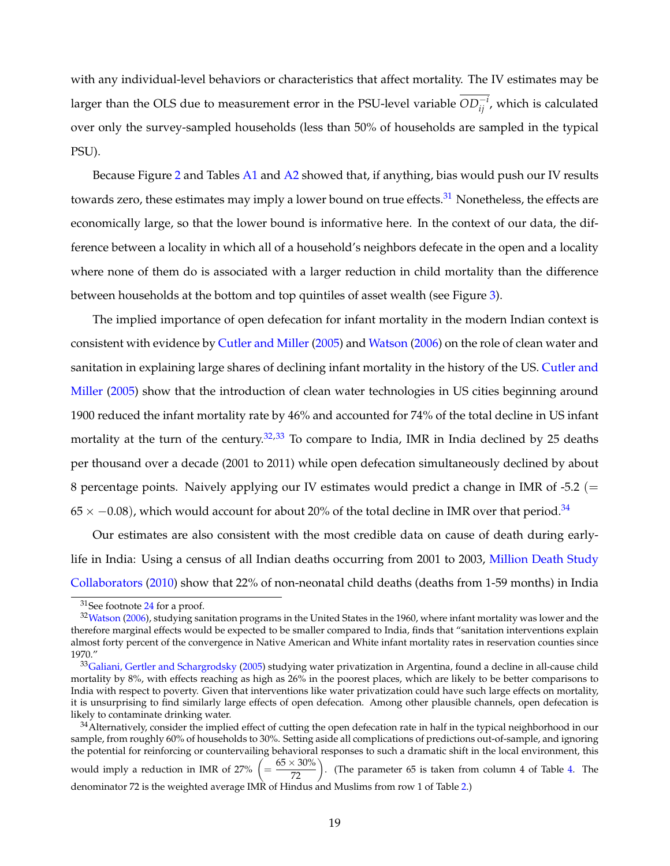with any individual-level behaviors or characteristics that affect mortality. The IV estimates may be larger than the OLS due to measurement error in the PSU-level variable *OD*<sub>*ij</sub>'*, which is calculated</sub> over only the survey-sampled households (less than 50% of households are sampled in the typical PSU).

Because Figure [2](#page-36-0) and Tables [A1](#page-51-0) and [A2](#page-52-0) showed that, if anything, bias would push our IV results towards zero, these estimates may imply a lower bound on true effects.<sup>[31](#page-20-0)</sup> Nonetheless, the effects are economically large, so that the lower bound is informative here. In the context of our data, the difference between a locality in which all of a household's neighbors defecate in the open and a locality where none of them do is associated with a larger reduction in child mortality than the difference between households at the bottom and top quintiles of asset wealth (see Figure [3\)](#page-37-0).

The implied importance of open defecation for infant mortality in the modern Indian context is consistent with evidence by [Cutler and Miller](#page-32-9) [\(2005\)](#page-32-9) and [Watson](#page-34-3) [\(2006\)](#page-34-3) on the role of clean water and sanitation in explaining large shares of declining infant mortality in the history of the US. [Cutler and](#page-32-9) [Miller](#page-32-9) [\(2005\)](#page-32-9) show that the introduction of clean water technologies in US cities beginning around 1900 reduced the infant mortality rate by 46% and accounted for 74% of the total decline in US infant mortality at the turn of the century.<sup>[32,](#page-20-1)[33](#page-20-2)</sup> To compare to India, IMR in India declined by 25 deaths per thousand over a decade (2001 to 2011) while open defecation simultaneously declined by about 8 percentage points. Naively applying our IV estimates would predict a change in IMR of -5.2 ( $=$  $65 \times -0.08$ ), which would account for about 20% of the total decline in IMR over that period.<sup>[34](#page-20-3)</sup>

Our estimates are also consistent with the most credible data on cause of death during earlylife in India: Using a census of all Indian deaths occurring from 2001 to 2003, [Million Death Study](#page-33-1) [Collaborators](#page-33-1) [\(2010\)](#page-33-1) show that 22% of non-neonatal child deaths (deaths from 1-59 months) in India

<span id="page-20-1"></span><span id="page-20-0"></span><sup>31</sup>See footnote [24](#page-13-1) for a proof.

 $32$ [Watson](#page-34-3) [\(2006\)](#page-34-3), studying sanitation programs in the United States in the 1960, where infant mortality was lower and the therefore marginal effects would be expected to be smaller compared to India, finds that "sanitation interventions explain almost forty percent of the convergence in Native American and White infant mortality rates in reservation counties since 1970."

<span id="page-20-2"></span> $33$ [Galiani, Gertler and Schargrodsky](#page-32-15) [\(2005\)](#page-32-15) studying water privatization in Argentina, found a decline in all-cause child mortality by 8%, with effects reaching as high as 26% in the poorest places, which are likely to be better comparisons to India with respect to poverty. Given that interventions like water privatization could have such large effects on mortality, it is unsurprising to find similarly large effects of open defecation. Among other plausible channels, open defecation is likely to contaminate drinking water.

<span id="page-20-3"></span><sup>&</sup>lt;sup>34</sup>Alternatively, consider the implied effect of cutting the open defecation rate in half in the typical neighborhood in our sample, from roughly 60% of households to 30%. Setting aside all complications of predictions out-of-sample, and ignoring the potential for reinforcing or countervailing behavioral responses to such a dramatic shift in the local environment, this would imply a reduction in IMR of 27%  $\left(=\frac{65\times30\%}{72}\right)$ . (The parameter 65 is taken from column 4 of Table [4.](#page-41-0) The denominator 72 is the weighted average IMR of Hindus and Muslims from row 1 of Table [2.](#page-39-0))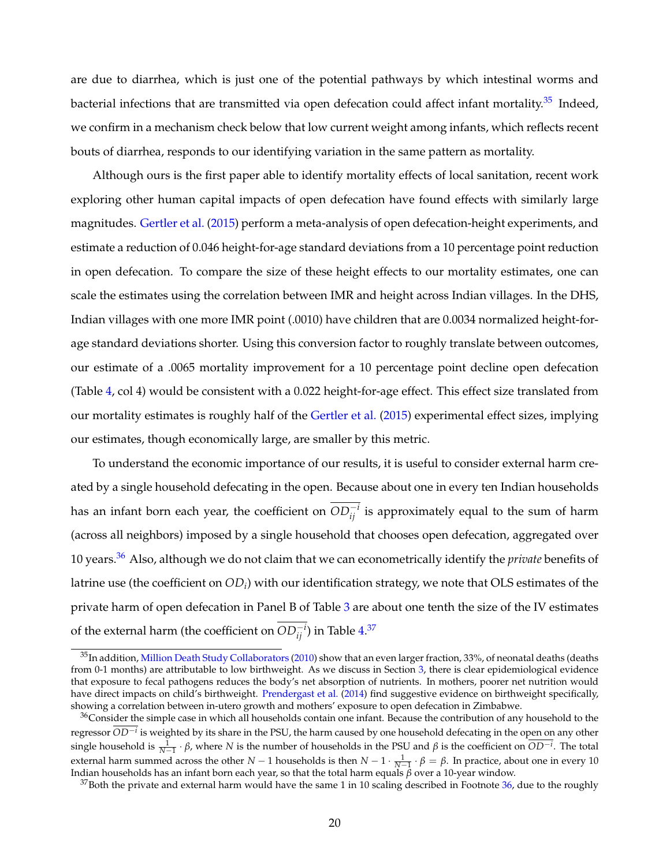are due to diarrhea, which is just one of the potential pathways by which intestinal worms and bacterial infections that are transmitted via open defecation could affect infant mortality.<sup>[35](#page-21-0)</sup> Indeed, we confirm in a mechanism check below that low current weight among infants, which reflects recent bouts of diarrhea, responds to our identifying variation in the same pattern as mortality.

Although ours is the first paper able to identify mortality effects of local sanitation, recent work exploring other human capital impacts of open defecation have found effects with similarly large magnitudes. [Gertler et al.](#page-32-4) [\(2015\)](#page-32-4) perform a meta-analysis of open defecation-height experiments, and estimate a reduction of 0.046 height-for-age standard deviations from a 10 percentage point reduction in open defecation. To compare the size of these height effects to our mortality estimates, one can scale the estimates using the correlation between IMR and height across Indian villages. In the DHS, Indian villages with one more IMR point (.0010) have children that are 0.0034 normalized height-forage standard deviations shorter. Using this conversion factor to roughly translate between outcomes, our estimate of a .0065 mortality improvement for a 10 percentage point decline open defecation (Table [4,](#page-41-0) col 4) would be consistent with a 0.022 height-for-age effect. This effect size translated from our mortality estimates is roughly half of the [Gertler et al.](#page-32-4) [\(2015\)](#page-32-4) experimental effect sizes, implying our estimates, though economically large, are smaller by this metric.

To understand the economic importance of our results, it is useful to consider external harm created by a single household defecating in the open. Because about one in every ten Indian households has an infant born each year, the coefficient on  $OD_{ij}^{-i}$  is approximately equal to the sum of harm (across all neighbors) imposed by a single household that chooses open defecation, aggregated over 10 years.[36](#page-21-1) Also, although we do not claim that we can econometrically identify the *private* benefits of latrine use (the coefficient on  $OD_i$ ) with our identification strategy, we note that OLS estimates of the private harm of open defecation in Panel B of Table [3](#page-40-0) are about one tenth the size of the IV estimates of the external harm (the coefficient on  $OD_{ij}^{-i}$ ) in Table  $4.^{37}$  $4.^{37}$  $4.^{37}$  $4.^{37}$ 

<span id="page-21-0"></span><sup>35</sup>In addition, [Million Death Study Collaborators](#page-33-1) [\(2010\)](#page-33-1) show that an even larger fraction, 33%, of neonatal deaths (deaths from 0-1 months) are attributable to low birthweight. As we discuss in Section [3,](#page-8-0) there is clear epidemiological evidence that exposure to fecal pathogens reduces the body's net absorption of nutrients. In mothers, poorer net nutrition would have direct impacts on child's birthweight. [Prendergast et al.](#page-33-10) [\(2014\)](#page-33-10) find suggestive evidence on birthweight specifically, showing a correlation between in-utero growth and mothers' exposure to open defecation in Zimbabwe.

<span id="page-21-1"></span> $36$ Consider the simple case in which all households contain one infant. Because the contribution of any household to the regressor *OD*−*<sup>i</sup>* is weighted by its share in the PSU, the harm caused by one household defecating in the open on any other single household is  $\frac{1}{N-1}$  ⋅ *β*, where *N* is the number of households in the PSU and *β* is the coefficient on  $OD^{-i}$ . The total external harm summed across the other *N* − 1 households is then  $N-1 \cdot \frac{1}{N-1} \cdot \beta = \beta$ . In practice, about one in every 10 Indian households has an infant born each year, so that the total harm equals *β* over a 10-year window.

<span id="page-21-2"></span> $37$ Both the private and external harm would have the same 1 in 10 scaling described in Footnote [36,](#page-21-1) due to the roughly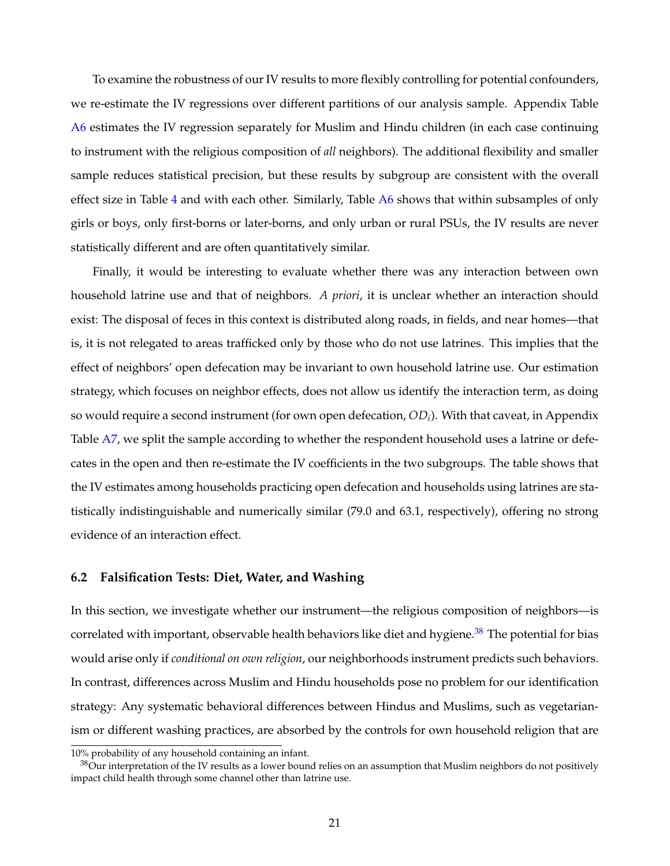To examine the robustness of our IV results to more flexibly controlling for potential confounders, we re-estimate the IV regressions over different partitions of our analysis sample. Appendix Table [A6](#page-56-0) estimates the IV regression separately for Muslim and Hindu children (in each case continuing to instrument with the religious composition of *all* neighbors). The additional flexibility and smaller sample reduces statistical precision, but these results by subgroup are consistent with the overall effect size in Table [4](#page-41-0) and with each other. Similarly, Table [A6](#page-56-0) shows that within subsamples of only girls or boys, only first-borns or later-borns, and only urban or rural PSUs, the IV results are never statistically different and are often quantitatively similar.

Finally, it would be interesting to evaluate whether there was any interaction between own household latrine use and that of neighbors. *A priori*, it is unclear whether an interaction should exist: The disposal of feces in this context is distributed along roads, in fields, and near homes—that is, it is not relegated to areas trafficked only by those who do not use latrines. This implies that the effect of neighbors' open defecation may be invariant to own household latrine use. Our estimation strategy, which focuses on neighbor effects, does not allow us identify the interaction term, as doing so would require a second instrument (for own open defecation, *OD<sup>i</sup>* ). With that caveat, in Appendix Table [A7,](#page-57-0) we split the sample according to whether the respondent household uses a latrine or defecates in the open and then re-estimate the IV coefficients in the two subgroups. The table shows that the IV estimates among households practicing open defecation and households using latrines are statistically indistinguishable and numerically similar (79.0 and 63.1, respectively), offering no strong evidence of an interaction effect.

#### <span id="page-22-0"></span>**6.2 Falsification Tests: Diet, Water, and Washing**

In this section, we investigate whether our instrument—the religious composition of neighbors—is correlated with important, observable health behaviors like diet and hygiene.<sup>[38](#page-22-1)</sup> The potential for bias would arise only if *conditional on own religion*, our neighborhoods instrument predicts such behaviors. In contrast, differences across Muslim and Hindu households pose no problem for our identification strategy: Any systematic behavioral differences between Hindus and Muslims, such as vegetarianism or different washing practices, are absorbed by the controls for own household religion that are

<sup>10%</sup> probability of any household containing an infant.

<span id="page-22-1"></span> $38$ Our interpretation of the IV results as a lower bound relies on an assumption that Muslim neighbors do not positively impact child health through some channel other than latrine use.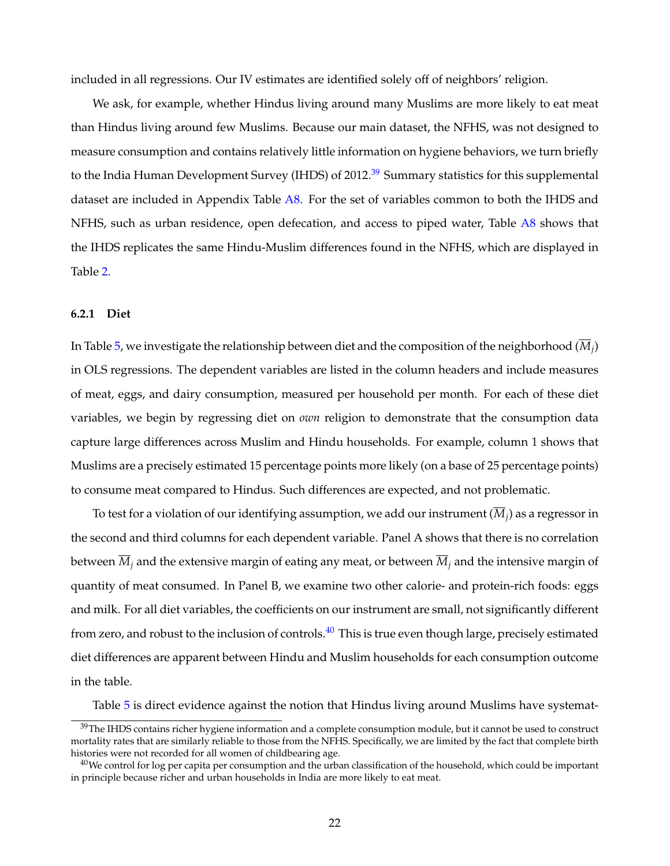included in all regressions. Our IV estimates are identified solely off of neighbors' religion.

We ask, for example, whether Hindus living around many Muslims are more likely to eat meat than Hindus living around few Muslims. Because our main dataset, the NFHS, was not designed to measure consumption and contains relatively little information on hygiene behaviors, we turn briefly to the India Human Development Survey (IHDS) of 2012.<sup>[39](#page-23-0)</sup> Summary statistics for this supplemental dataset are included in Appendix Table [A8.](#page-58-0) For the set of variables common to both the IHDS and NFHS, such as urban residence, open defecation, and access to piped water, Table [A8](#page-58-0) shows that the IHDS replicates the same Hindu-Muslim differences found in the NFHS, which are displayed in Table [2.](#page-39-0)

### **6.2.1 Diet**

In Table [5,](#page-42-0) we investigate the relationship between diet and the composition of the neighborhood (*M<sup>j</sup>* ) in OLS regressions. The dependent variables are listed in the column headers and include measures of meat, eggs, and dairy consumption, measured per household per month. For each of these diet variables, we begin by regressing diet on *own* religion to demonstrate that the consumption data capture large differences across Muslim and Hindu households. For example, column 1 shows that Muslims are a precisely estimated 15 percentage points more likely (on a base of 25 percentage points) to consume meat compared to Hindus. Such differences are expected, and not problematic.

To test for a violation of our identifying assumption, we add our instrument ( $M_j$ ) as a regressor in the second and third columns for each dependent variable. Panel A shows that there is no correlation between  $\overline{M}_i$  and the extensive margin of eating any meat, or between  $\overline{M}_i$  and the intensive margin of quantity of meat consumed. In Panel B, we examine two other calorie- and protein-rich foods: eggs and milk. For all diet variables, the coefficients on our instrument are small, not significantly different from zero, and robust to the inclusion of controls.<sup>[40](#page-23-1)</sup> This is true even though large, precisely estimated diet differences are apparent between Hindu and Muslim households for each consumption outcome in the table.

Table [5](#page-42-0) is direct evidence against the notion that Hindus living around Muslims have systemat-

<span id="page-23-0"></span> $39$ The IHDS contains richer hygiene information and a complete consumption module, but it cannot be used to construct mortality rates that are similarly reliable to those from the NFHS. Specifically, we are limited by the fact that complete birth histories were not recorded for all women of childbearing age.

<span id="page-23-1"></span> $40$ We control for log per capita per consumption and the urban classification of the household, which could be important in principle because richer and urban households in India are more likely to eat meat.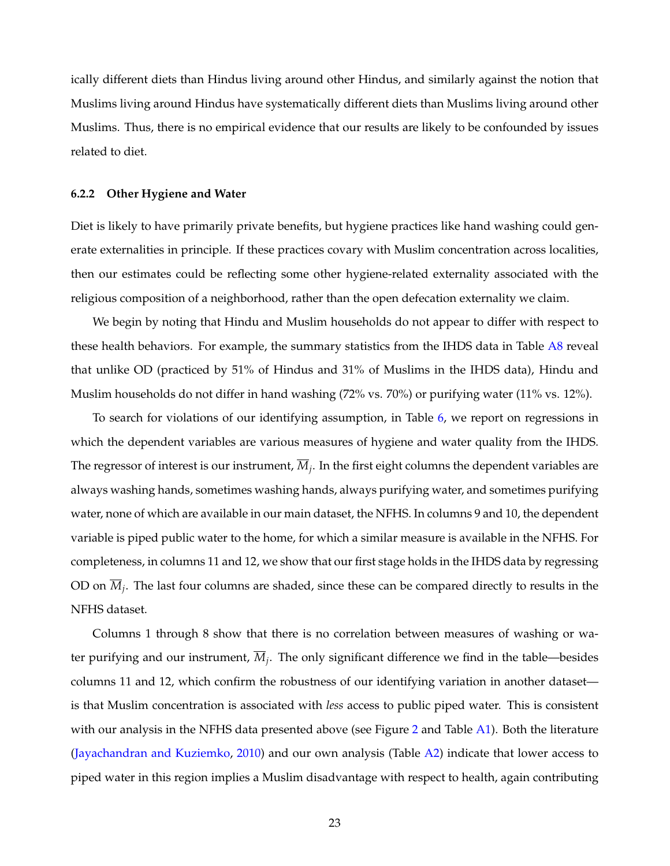ically different diets than Hindus living around other Hindus, and similarly against the notion that Muslims living around Hindus have systematically different diets than Muslims living around other Muslims. Thus, there is no empirical evidence that our results are likely to be confounded by issues related to diet.

#### **6.2.2 Other Hygiene and Water**

Diet is likely to have primarily private benefits, but hygiene practices like hand washing could generate externalities in principle. If these practices covary with Muslim concentration across localities, then our estimates could be reflecting some other hygiene-related externality associated with the religious composition of a neighborhood, rather than the open defecation externality we claim.

We begin by noting that Hindu and Muslim households do not appear to differ with respect to these health behaviors. For example, the summary statistics from the IHDS data in Table [A8](#page-58-0) reveal that unlike OD (practiced by 51% of Hindus and 31% of Muslims in the IHDS data), Hindu and Muslim households do not differ in hand washing (72% vs. 70%) or purifying water (11% vs. 12%).

To search for violations of our identifying assumption, in Table [6,](#page-43-0) we report on regressions in which the dependent variables are various measures of hygiene and water quality from the IHDS. The regressor of interest is our instrument, *M<sup>j</sup>* . In the first eight columns the dependent variables are always washing hands, sometimes washing hands, always purifying water, and sometimes purifying water, none of which are available in our main dataset, the NFHS. In columns 9 and 10, the dependent variable is piped public water to the home, for which a similar measure is available in the NFHS. For completeness, in columns 11 and 12, we show that our first stage holds in the IHDS data by regressing OD on *M<sup>j</sup>* . The last four columns are shaded, since these can be compared directly to results in the NFHS dataset.

Columns 1 through 8 show that there is no correlation between measures of washing or water purifying and our instrument, *M<sup>j</sup>* . The only significant difference we find in the table—besides columns 11 and 12, which confirm the robustness of our identifying variation in another dataset is that Muslim concentration is associated with *less* access to public piped water. This is consistent with our analysis in the NFHS data presented above (see Figure [2](#page-36-0) and Table [A1\)](#page-51-0). Both the literature [\(Jayachandran and Kuziemko,](#page-33-13) [2010\)](#page-33-13) and our own analysis (Table [A2\)](#page-52-0) indicate that lower access to piped water in this region implies a Muslim disadvantage with respect to health, again contributing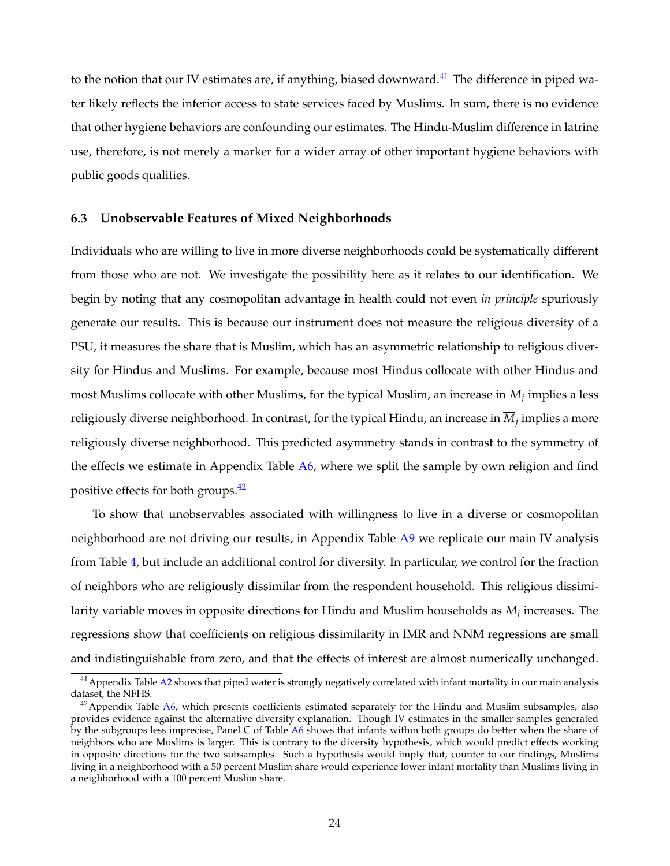to the notion that our IV estimates are, if anything, biased downward.<sup>[41](#page-25-0)</sup> The difference in piped water likely reflects the inferior access to state services faced by Muslims. In sum, there is no evidence that other hygiene behaviors are confounding our estimates. The Hindu-Muslim difference in latrine use, therefore, is not merely a marker for a wider array of other important hygiene behaviors with public goods qualities.

### **6.3 Unobservable Features of Mixed Neighborhoods**

Individuals who are willing to live in more diverse neighborhoods could be systematically different from those who are not. We investigate the possibility here as it relates to our identification. We begin by noting that any cosmopolitan advantage in health could not even *in principle* spuriously generate our results. This is because our instrument does not measure the religious diversity of a PSU, it measures the share that is Muslim, which has an asymmetric relationship to religious diversity for Hindus and Muslims. For example, because most Hindus collocate with other Hindus and most Muslims collocate with other Muslims, for the typical Muslim, an increase in *M<sup>j</sup>* implies a less religiously diverse neighborhood. In contrast, for the typical Hindu, an increase in *M<sup>j</sup>* implies a more religiously diverse neighborhood. This predicted asymmetry stands in contrast to the symmetry of the effects we estimate in Appendix Table [A6,](#page-56-0) where we split the sample by own religion and find positive effects for both groups.<sup>[42](#page-25-1)</sup>

To show that unobservables associated with willingness to live in a diverse or cosmopolitan neighborhood are not driving our results, in Appendix Table [A9](#page-59-0) we replicate our main IV analysis from Table [4,](#page-41-0) but include an additional control for diversity. In particular, we control for the fraction of neighbors who are religiously dissimilar from the respondent household. This religious dissimilarity variable moves in opposite directions for Hindu and Muslim households as *M<sup>j</sup>* increases. The regressions show that coefficients on religious dissimilarity in IMR and NNM regressions are small and indistinguishable from zero, and that the effects of interest are almost numerically unchanged.

<span id="page-25-0"></span> $41$  Appendix Table [A2](#page-52-0) shows that piped water is strongly negatively correlated with infant mortality in our main analysis dataset, the NFHS.

<span id="page-25-1"></span> $42$ Appendix Table [A6,](#page-56-0) which presents coefficients estimated separately for the Hindu and Muslim subsamples, also provides evidence against the alternative diversity explanation. Though IV estimates in the smaller samples generated by the subgroups less imprecise, Panel C of Table [A6](#page-56-0) shows that infants within both groups do better when the share of neighbors who are Muslims is larger. This is contrary to the diversity hypothesis, which would predict effects working in opposite directions for the two subsamples. Such a hypothesis would imply that, counter to our findings, Muslims living in a neighborhood with a 50 percent Muslim share would experience lower infant mortality than Muslims living in a neighborhood with a 100 percent Muslim share.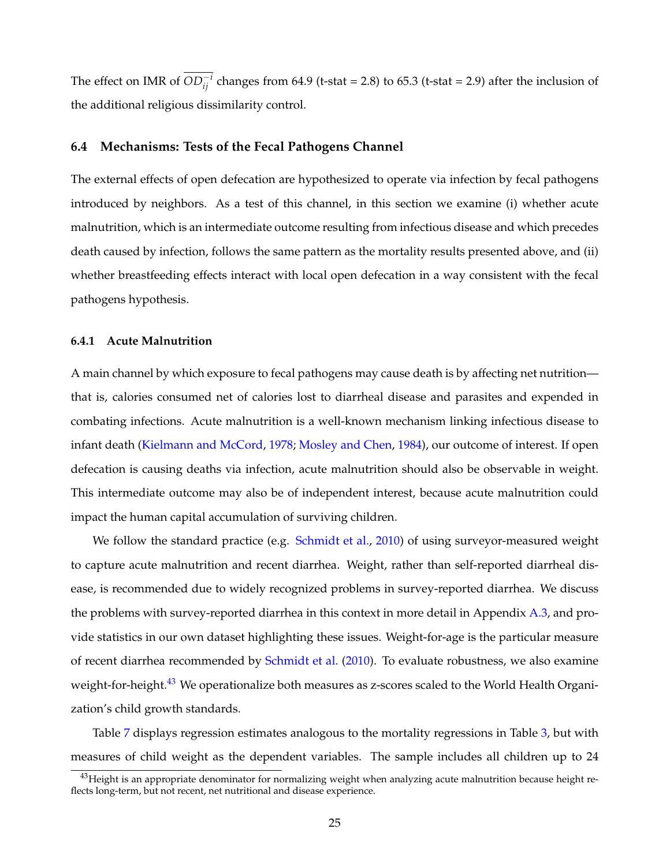The effect on IMR of  $OD^{-i}_{ij}$  changes from 64.9 (t-stat = 2.8) to 65.3 (t-stat = 2.9) after the inclusion of the additional religious dissimilarity control.

#### **6.4 Mechanisms: Tests of the Fecal Pathogens Channel**

The external effects of open defecation are hypothesized to operate via infection by fecal pathogens introduced by neighbors. As a test of this channel, in this section we examine (i) whether acute malnutrition, which is an intermediate outcome resulting from infectious disease and which precedes death caused by infection, follows the same pattern as the mortality results presented above, and (ii) whether breastfeeding effects interact with local open defecation in a way consistent with the fecal pathogens hypothesis.

#### **6.4.1 Acute Malnutrition**

A main channel by which exposure to fecal pathogens may cause death is by affecting net nutrition that is, calories consumed net of calories lost to diarrheal disease and parasites and expended in combating infections. Acute malnutrition is a well-known mechanism linking infectious disease to infant death [\(Kielmann and McCord,](#page-33-4) [1978;](#page-33-4) [Mosley and Chen,](#page-33-5) [1984\)](#page-33-5), our outcome of interest. If open defecation is causing deaths via infection, acute malnutrition should also be observable in weight. This intermediate outcome may also be of independent interest, because acute malnutrition could impact the human capital accumulation of surviving children.

We follow the standard practice (e.g. [Schmidt et al.,](#page-34-5) [2010\)](#page-34-5) of using surveyor-measured weight to capture acute malnutrition and recent diarrhea. Weight, rather than self-reported diarrheal disease, is recommended due to widely recognized problems in survey-reported diarrhea. We discuss the problems with survey-reported diarrhea in this context in more detail in Appendix [A.3,](#page-48-0) and provide statistics in our own dataset highlighting these issues. Weight-for-age is the particular measure of recent diarrhea recommended by [Schmidt et al.](#page-34-5) [\(2010\)](#page-34-5). To evaluate robustness, we also examine weight-for-height.<sup>[43](#page-26-0)</sup> We operationalize both measures as z-scores scaled to the World Health Organization's child growth standards.

Table [7](#page-44-0) displays regression estimates analogous to the mortality regressions in Table [3,](#page-40-0) but with measures of child weight as the dependent variables. The sample includes all children up to 24

<span id="page-26-0"></span> $^{43}$ Height is an appropriate denominator for normalizing weight when analyzing acute malnutrition because height reflects long-term, but not recent, net nutritional and disease experience.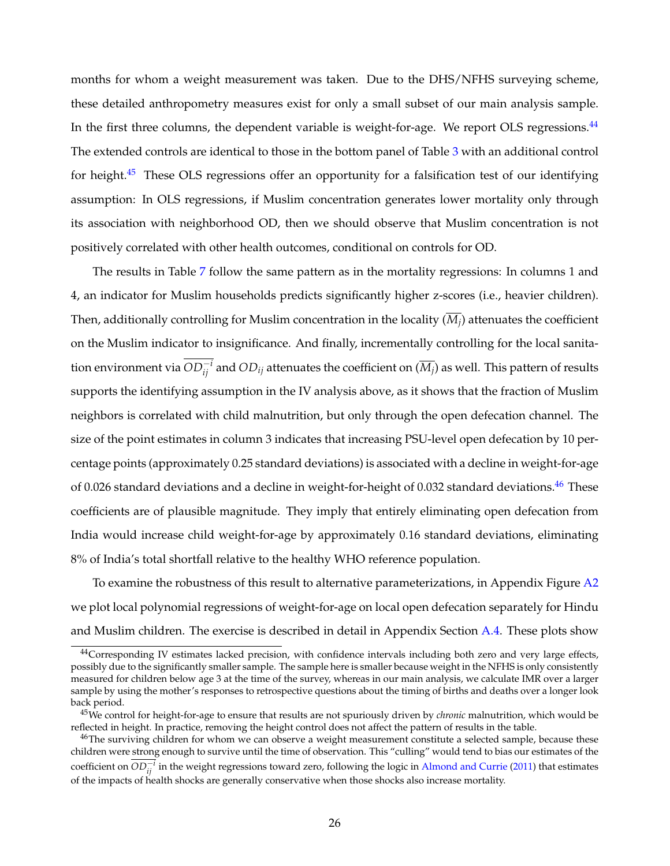months for whom a weight measurement was taken. Due to the DHS/NFHS surveying scheme, these detailed anthropometry measures exist for only a small subset of our main analysis sample. In the first three columns, the dependent variable is weight-for-age. We report OLS regressions.<sup>[44](#page-27-0)</sup> The extended controls are identical to those in the bottom panel of Table [3](#page-40-0) with an additional control for height.<sup>[45](#page-27-1)</sup> These OLS regressions offer an opportunity for a falsification test of our identifying assumption: In OLS regressions, if Muslim concentration generates lower mortality only through its association with neighborhood OD, then we should observe that Muslim concentration is not positively correlated with other health outcomes, conditional on controls for OD.

The results in Table [7](#page-44-0) follow the same pattern as in the mortality regressions: In columns 1 and 4, an indicator for Muslim households predicts significantly higher z-scores (i.e., heavier children). Then, additionally controlling for Muslim concentration in the locality  $(M_j)$  attenuates the coefficient on the Muslim indicator to insignificance. And finally, incrementally controlling for the local sanitation environment via  $OD^{-i}_{ij}$  and  $OD_{ij}$  attenuates the coefficient on  $(\overline{M_j})$  as well. This pattern of results supports the identifying assumption in the IV analysis above, as it shows that the fraction of Muslim neighbors is correlated with child malnutrition, but only through the open defecation channel. The size of the point estimates in column 3 indicates that increasing PSU-level open defecation by 10 percentage points (approximately 0.25 standard deviations) is associated with a decline in weight-for-age of 0.026 standard deviations and a decline in weight-for-height of 0.032 standard deviations.<sup>[46](#page-27-2)</sup> These coefficients are of plausible magnitude. They imply that entirely eliminating open defecation from India would increase child weight-for-age by approximately 0.16 standard deviations, eliminating 8% of India's total shortfall relative to the healthy WHO reference population.

To examine the robustness of this result to alternative parameterizations, in Appendix Figure [A2](#page-50-0) we plot local polynomial regressions of weight-for-age on local open defecation separately for Hindu and Muslim children. The exercise is described in detail in Appendix Section [A.4.](#page-48-1) These plots show

<span id="page-27-0"></span><sup>44</sup>Corresponding IV estimates lacked precision, with confidence intervals including both zero and very large effects, possibly due to the significantly smaller sample. The sample here is smaller because weight in the NFHS is only consistently measured for children below age 3 at the time of the survey, whereas in our main analysis, we calculate IMR over a larger sample by using the mother's responses to retrospective questions about the timing of births and deaths over a longer look back period.

<span id="page-27-1"></span><sup>45</sup>We control for height-for-age to ensure that results are not spuriously driven by *chronic* malnutrition, which would be reflected in height. In practice, removing the height control does not affect the pattern of results in the table.

<span id="page-27-2"></span><sup>&</sup>lt;sup>46</sup>The surviving children for whom we can observe a weight measurement constitute a selected sample, because these children were strong enough to survive until the time of observation. This "culling" would tend to bias our estimates of the *coefficient on*  $\overline{OD_{ij}^{-i}}$  *in the weight regressions toward zero, following the logic in [Almond and Currie](#page-31-12) [\(2011\)](#page-31-12) that estimates* of the impacts of health shocks are generally conservative when those shocks also increase mortality.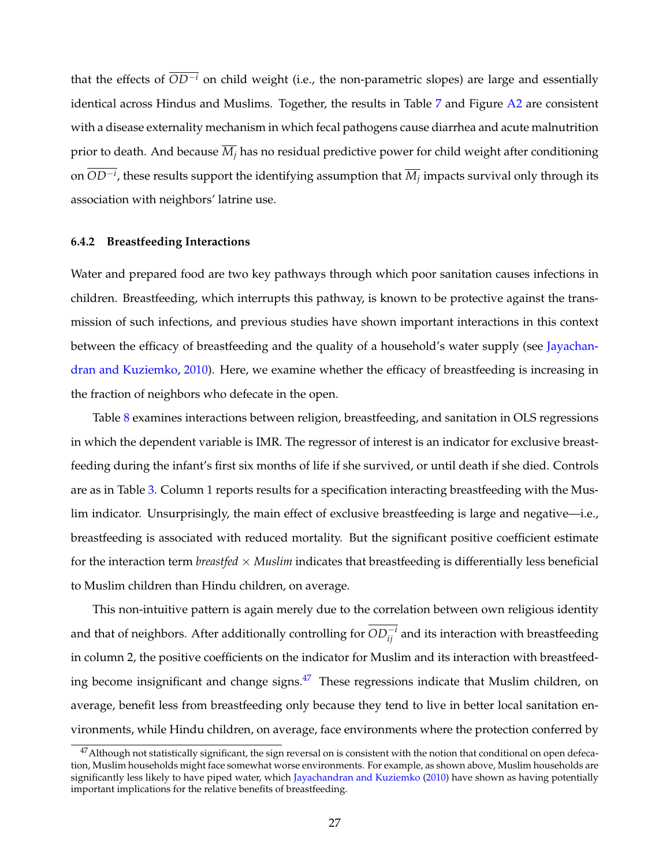that the effects of  $\overline{OD^{-i}}$  on child weight (i.e., the non-parametric slopes) are large and essentially identical across Hindus and Muslims. Together, the results in Table [7](#page-44-0) and Figure [A2](#page-50-0) are consistent with a disease externality mechanism in which fecal pathogens cause diarrhea and acute malnutrition prior to death. And because  $\overline{M}_i$  has no residual predictive power for child weight after conditioning on *OD*−*<sup>i</sup>* , these results support the identifying assumption that *M<sup>j</sup>* impacts survival only through its association with neighbors' latrine use.

#### **6.4.2 Breastfeeding Interactions**

Water and prepared food are two key pathways through which poor sanitation causes infections in children. Breastfeeding, which interrupts this pathway, is known to be protective against the transmission of such infections, and previous studies have shown important interactions in this context between the efficacy of breastfeeding and the quality of a household's water supply (see [Jayachan](#page-33-13)[dran and Kuziemko,](#page-33-13) [2010\)](#page-33-13). Here, we examine whether the efficacy of breastfeeding is increasing in the fraction of neighbors who defecate in the open.

Table [8](#page-45-0) examines interactions between religion, breastfeeding, and sanitation in OLS regressions in which the dependent variable is IMR. The regressor of interest is an indicator for exclusive breastfeeding during the infant's first six months of life if she survived, or until death if she died. Controls are as in Table [3.](#page-40-0) Column 1 reports results for a specification interacting breastfeeding with the Muslim indicator. Unsurprisingly, the main effect of exclusive breastfeeding is large and negative—i.e., breastfeeding is associated with reduced mortality. But the significant positive coefficient estimate for the interaction term *breastfed* × *Muslim* indicates that breastfeeding is differentially less beneficial to Muslim children than Hindu children, on average.

This non-intuitive pattern is again merely due to the correlation between own religious identity and that of neighbors. After additionally controlling for  $OD^{-i}_{ij}$  and its interaction with breastfeeding in column 2, the positive coefficients on the indicator for Muslim and its interaction with breastfeed-ing become insignificant and change signs.<sup>[47](#page-28-0)</sup> These regressions indicate that Muslim children, on average, benefit less from breastfeeding only because they tend to live in better local sanitation environments, while Hindu children, on average, face environments where the protection conferred by

<span id="page-28-0"></span><sup>&</sup>lt;sup>47</sup> Although not statistically significant, the sign reversal on is consistent with the notion that conditional on open defecation, Muslim households might face somewhat worse environments. For example, as shown above, Muslim households are significantly less likely to have piped water, which [Jayachandran and Kuziemko](#page-33-13) [\(2010\)](#page-33-13) have shown as having potentially important implications for the relative benefits of breastfeeding.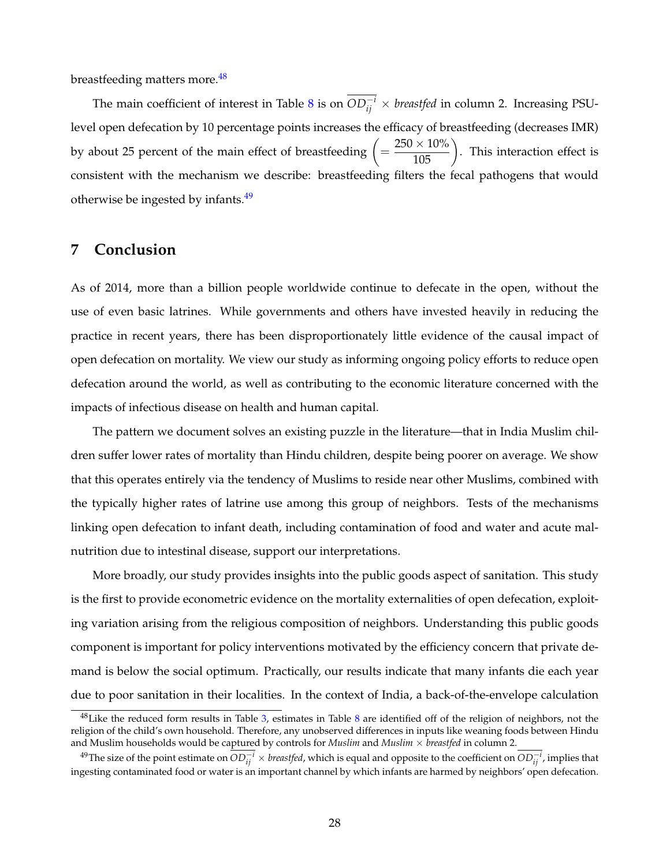breastfeeding matters more.<sup>[48](#page-29-1)</sup>

The main coefficient of interest in Table [8](#page-45-0) is on  $OD_{ij}^{-i} \times \textit{breastfed}$  in column 2. Increasing PSUlevel open defecation by 10 percentage points increases the efficacy of breastfeeding (decreases IMR) by about 25 percent of the main effect of breastfeeding  $\left(=\frac{250\times10\%}{105}\right)$ . This interaction effect is consistent with the mechanism we describe: breastfeeding filters the fecal pathogens that would otherwise be ingested by infants.<sup>[49](#page-29-2)</sup>

## <span id="page-29-0"></span>**7 Conclusion**

As of 2014, more than a billion people worldwide continue to defecate in the open, without the use of even basic latrines. While governments and others have invested heavily in reducing the practice in recent years, there has been disproportionately little evidence of the causal impact of open defecation on mortality. We view our study as informing ongoing policy efforts to reduce open defecation around the world, as well as contributing to the economic literature concerned with the impacts of infectious disease on health and human capital.

The pattern we document solves an existing puzzle in the literature—that in India Muslim children suffer lower rates of mortality than Hindu children, despite being poorer on average. We show that this operates entirely via the tendency of Muslims to reside near other Muslims, combined with the typically higher rates of latrine use among this group of neighbors. Tests of the mechanisms linking open defecation to infant death, including contamination of food and water and acute malnutrition due to intestinal disease, support our interpretations.

More broadly, our study provides insights into the public goods aspect of sanitation. This study is the first to provide econometric evidence on the mortality externalities of open defecation, exploiting variation arising from the religious composition of neighbors. Understanding this public goods component is important for policy interventions motivated by the efficiency concern that private demand is below the social optimum. Practically, our results indicate that many infants die each year due to poor sanitation in their localities. In the context of India, a back-of-the-envelope calculation

<span id="page-29-1"></span><sup>&</sup>lt;sup>48</sup> Like the reduced form results in Table [3,](#page-40-0) estimates in Table [8](#page-45-0) are identified off of the religion of neighbors, not the religion of the child's own household. Therefore, any unobserved differences in inputs like weaning foods between Hindu and Muslim households would be captured by controls for *Muslim* and *Muslim* × *breastfed* in column 2.

<span id="page-29-2"></span><sup>&</sup>lt;sup>49</sup>The size of the point estimate on  $OD_{ij}^{-i} \times \textit{breastfed}$ , which is equal and opposite to the coefficient on  $OD_{ij}^{-i}$ , implies that ingesting contaminated food or water is an important channel by which infants are harmed by neighbors' open defecation.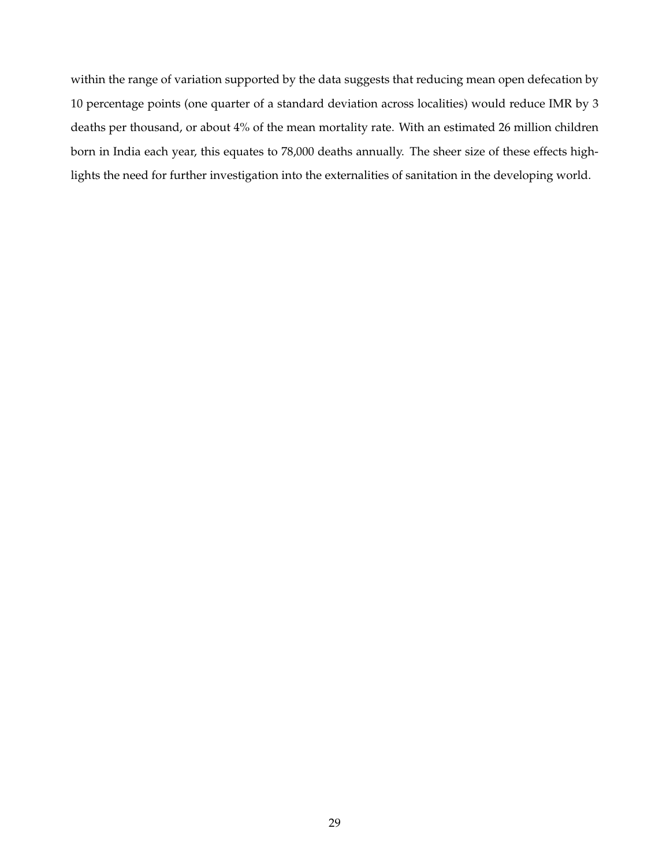within the range of variation supported by the data suggests that reducing mean open defecation by 10 percentage points (one quarter of a standard deviation across localities) would reduce IMR by 3 deaths per thousand, or about 4% of the mean mortality rate. With an estimated 26 million children born in India each year, this equates to 78,000 deaths annually. The sheer size of these effects highlights the need for further investigation into the externalities of sanitation in the developing world.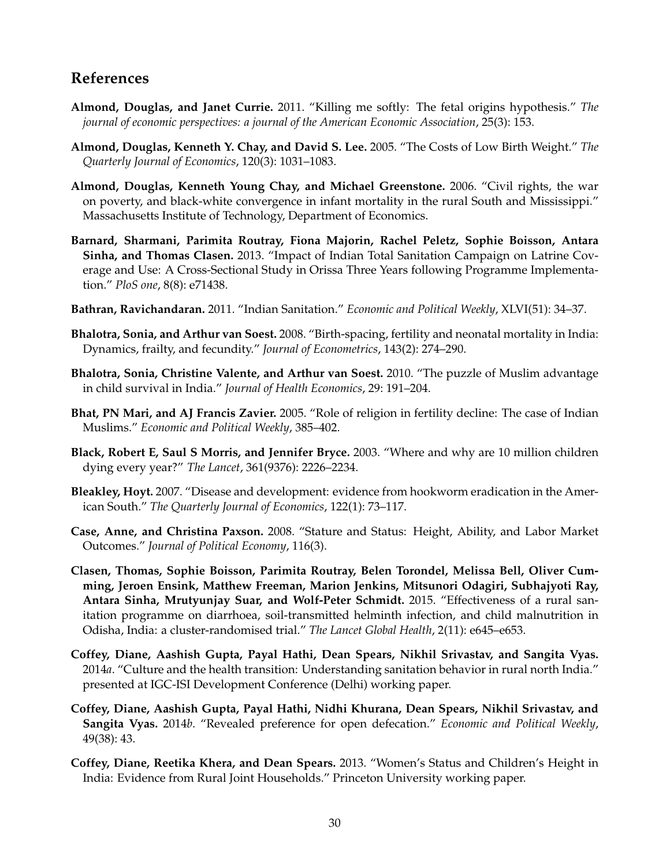# **References**

- <span id="page-31-12"></span>**Almond, Douglas, and Janet Currie.** 2011. "Killing me softly: The fetal origins hypothesis." *The journal of economic perspectives: a journal of the American Economic Association*, 25(3): 153.
- **Almond, Douglas, Kenneth Y. Chay, and David S. Lee.** 2005. "The Costs of Low Birth Weight." *The Quarterly Journal of Economics*, 120(3): 1031–1083.
- **Almond, Douglas, Kenneth Young Chay, and Michael Greenstone.** 2006. "Civil rights, the war on poverty, and black-white convergence in infant mortality in the rural South and Mississippi." Massachusetts Institute of Technology, Department of Economics.
- <span id="page-31-7"></span>**Barnard, Sharmani, Parimita Routray, Fiona Majorin, Rachel Peletz, Sophie Boisson, Antara Sinha, and Thomas Clasen.** 2013. "Impact of Indian Total Sanitation Campaign on Latrine Coverage and Use: A Cross-Sectional Study in Orissa Three Years following Programme Implementation." *PloS one*, 8(8): e71438.
- <span id="page-31-8"></span>**Bathran, Ravichandaran.** 2011. "Indian Sanitation." *Economic and Political Weekly*, XLVI(51): 34–37.
- <span id="page-31-4"></span>**Bhalotra, Sonia, and Arthur van Soest.** 2008. "Birth-spacing, fertility and neonatal mortality in India: Dynamics, frailty, and fecundity." *Journal of Econometrics*, 143(2): 274–290.
- <span id="page-31-2"></span>**Bhalotra, Sonia, Christine Valente, and Arthur van Soest.** 2010. "The puzzle of Muslim advantage in child survival in India." *Journal of Health Economics*, 29: 191–204.
- <span id="page-31-3"></span>**Bhat, PN Mari, and AJ Francis Zavier.** 2005. "Role of religion in fertility decline: The case of Indian Muslims." *Economic and Political Weekly*, 385–402.
- <span id="page-31-9"></span>**Black, Robert E, Saul S Morris, and Jennifer Bryce.** 2003. "Where and why are 10 million children dying every year?" *The Lancet*, 361(9376): 2226–2234.
- <span id="page-31-5"></span>**Bleakley, Hoyt.** 2007. "Disease and development: evidence from hookworm eradication in the American South." *The Quarterly Journal of Economics*, 122(1): 73–117.
- <span id="page-31-10"></span>**Case, Anne, and Christina Paxson.** 2008. "Stature and Status: Height, Ability, and Labor Market Outcomes." *Journal of Political Economy*, 116(3).
- <span id="page-31-0"></span>**Clasen, Thomas, Sophie Boisson, Parimita Routray, Belen Torondel, Melissa Bell, Oliver Cumming, Jeroen Ensink, Matthew Freeman, Marion Jenkins, Mitsunori Odagiri, Subhajyoti Ray, Antara Sinha, Mrutyunjay Suar, and Wolf-Peter Schmidt.** 2015. "Effectiveness of a rural sanitation programme on diarrhoea, soil-transmitted helminth infection, and child malnutrition in Odisha, India: a cluster-randomised trial." *The Lancet Global Health*, 2(11): e645–e653.
- <span id="page-31-1"></span>**Coffey, Diane, Aashish Gupta, Payal Hathi, Dean Spears, Nikhil Srivastav, and Sangita Vyas.** 2014*a*. "Culture and the health transition: Understanding sanitation behavior in rural north India." presented at IGC-ISI Development Conference (Delhi) working paper.
- <span id="page-31-6"></span>**Coffey, Diane, Aashish Gupta, Payal Hathi, Nidhi Khurana, Dean Spears, Nikhil Srivastav, and Sangita Vyas.** 2014*b*. "Revealed preference for open defecation." *Economic and Political Weekly*, 49(38): 43.
- <span id="page-31-11"></span>**Coffey, Diane, Reetika Khera, and Dean Spears.** 2013. "Women's Status and Children's Height in India: Evidence from Rural Joint Households." Princeton University working paper.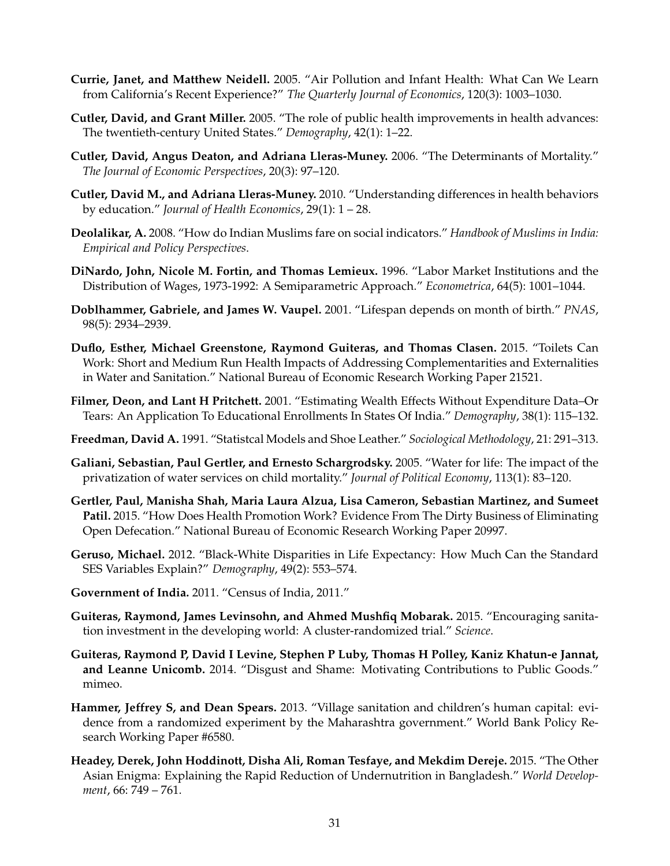- **Currie, Janet, and Matthew Neidell.** 2005. "Air Pollution and Infant Health: What Can We Learn from California's Recent Experience?" *The Quarterly Journal of Economics*, 120(3): 1003–1030.
- <span id="page-32-9"></span>**Cutler, David, and Grant Miller.** 2005. "The role of public health improvements in health advances: The twentieth-century United States." *Demography*, 42(1): 1–22.
- <span id="page-32-12"></span>**Cutler, David, Angus Deaton, and Adriana Lleras-Muney.** 2006. "The Determinants of Mortality." *The Journal of Economic Perspectives*, 20(3): 97–120.
- <span id="page-32-6"></span>**Cutler, David M., and Adriana Lleras-Muney.** 2010. "Understanding differences in health behaviors by education." *Journal of Health Economics*, 29(1): 1 – 28.
- <span id="page-32-5"></span>**Deolalikar, A.** 2008. "How do Indian Muslims fare on social indicators." *Handbook of Muslims in India: Empirical and Policy Perspectives*.
- <span id="page-32-16"></span>**DiNardo, John, Nicole M. Fortin, and Thomas Lemieux.** 1996. "Labor Market Institutions and the Distribution of Wages, 1973-1992: A Semiparametric Approach." *Econometrica*, 64(5): 1001–1044.
- <span id="page-32-14"></span>**Doblhammer, Gabriele, and James W. Vaupel.** 2001. "Lifespan depends on month of birth." *PNAS*, 98(5): 2934–2939.
- <span id="page-32-2"></span>**Duflo, Esther, Michael Greenstone, Raymond Guiteras, and Thomas Clasen.** 2015. "Toilets Can Work: Short and Medium Run Health Impacts of Addressing Complementarities and Externalities in Water and Sanitation." National Bureau of Economic Research Working Paper 21521.
- <span id="page-32-13"></span>**Filmer, Deon, and Lant H Pritchett.** 2001. "Estimating Wealth Effects Without Expenditure Data–Or Tears: An Application To Educational Enrollments In States Of India." *Demography*, 38(1): 115–132.
- <span id="page-32-11"></span>**Freedman, David A.** 1991. "Statistcal Models and Shoe Leather." *Sociological Methodology*, 21: 291–313.
- <span id="page-32-15"></span>**Galiani, Sebastian, Paul Gertler, and Ernesto Schargrodsky.** 2005. "Water for life: The impact of the privatization of water services on child mortality." *Journal of Political Economy*, 113(1): 83–120.
- <span id="page-32-4"></span>**Gertler, Paul, Manisha Shah, Maria Laura Alzua, Lisa Cameron, Sebastian Martinez, and Sumeet Patil.** 2015. "How Does Health Promotion Work? Evidence From The Dirty Business of Eliminating Open Defecation." National Bureau of Economic Research Working Paper 20997.
- <span id="page-32-7"></span>**Geruso, Michael.** 2012. "Black-White Disparities in Life Expectancy: How Much Can the Standard SES Variables Explain?" *Demography*, 49(2): 553–574.
- <span id="page-32-8"></span>**Government of India.** 2011. "Census of India, 2011."
- <span id="page-32-0"></span>**Guiteras, Raymond, James Levinsohn, and Ahmed Mushfiq Mobarak.** 2015. "Encouraging sanitation investment in the developing world: A cluster-randomized trial." *Science*.
- <span id="page-32-1"></span>**Guiteras, Raymond P, David I Levine, Stephen P Luby, Thomas H Polley, Kaniz Khatun-e Jannat, and Leanne Unicomb.** 2014. "Disgust and Shame: Motivating Contributions to Public Goods." mimeo.
- <span id="page-32-3"></span>**Hammer, Jeffrey S, and Dean Spears.** 2013. "Village sanitation and children's human capital: evidence from a randomized experiment by the Maharashtra government." World Bank Policy Research Working Paper #6580.
- <span id="page-32-10"></span>**Headey, Derek, John Hoddinott, Disha Ali, Roman Tesfaye, and Mekdim Dereje.** 2015. "The Other Asian Enigma: Explaining the Rapid Reduction of Undernutrition in Bangladesh." *World Development*, 66: 749 – 761.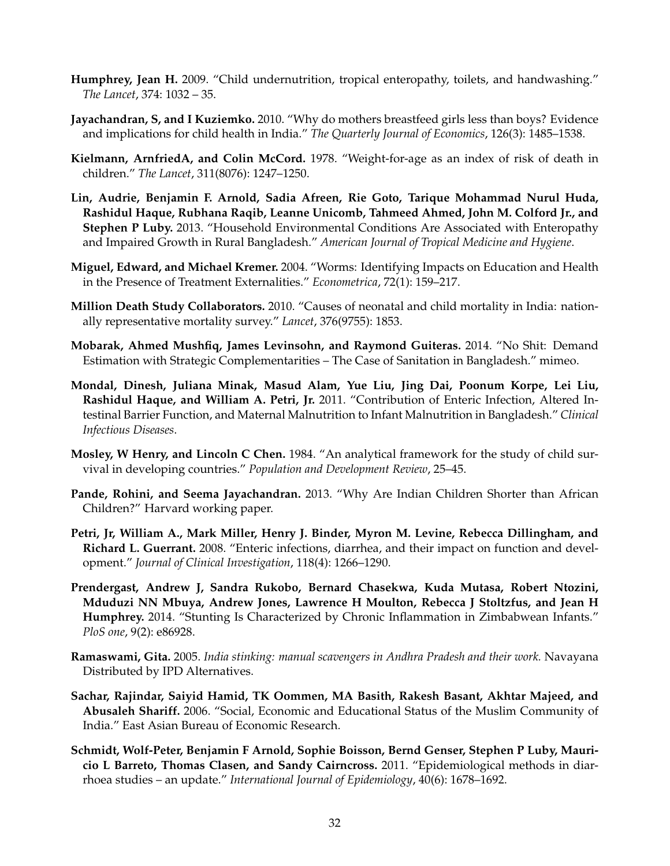- <span id="page-33-6"></span>**Humphrey, Jean H.** 2009. "Child undernutrition, tropical enteropathy, toilets, and handwashing." *The Lancet*, 374: 1032 – 35.
- <span id="page-33-13"></span>**Jayachandran, S, and I Kuziemko.** 2010. "Why do mothers breastfeed girls less than boys? Evidence and implications for child health in India." *The Quarterly Journal of Economics*, 126(3): 1485–1538.
- <span id="page-33-4"></span>**Kielmann, ArnfriedA, and Colin McCord.** 1978. "Weight-for-age as an index of risk of death in children." *The Lancet*, 311(8076): 1247–1250.
- <span id="page-33-9"></span>**Lin, Audrie, Benjamin F. Arnold, Sadia Afreen, Rie Goto, Tarique Mohammad Nurul Huda, Rashidul Haque, Rubhana Raqib, Leanne Unicomb, Tahmeed Ahmed, John M. Colford Jr., and Stephen P Luby.** 2013. "Household Environmental Conditions Are Associated with Enteropathy and Impaired Growth in Rural Bangladesh." *American Journal of Tropical Medicine and Hygiene*.
- <span id="page-33-11"></span>**Miguel, Edward, and Michael Kremer.** 2004. "Worms: Identifying Impacts on Education and Health in the Presence of Treatment Externalities." *Econometrica*, 72(1): 159–217.
- <span id="page-33-1"></span>**Million Death Study Collaborators.** 2010. "Causes of neonatal and child mortality in India: nationally representative mortality survey." *Lancet*, 376(9755): 1853.
- <span id="page-33-3"></span>**Mobarak, Ahmed Mushfiq, James Levinsohn, and Raymond Guiteras.** 2014. "No Shit: Demand Estimation with Strategic Complementarities – The Case of Sanitation in Bangladesh." mimeo.
- <span id="page-33-8"></span>**Mondal, Dinesh, Juliana Minak, Masud Alam, Yue Liu, Jing Dai, Poonum Korpe, Lei Liu, Rashidul Haque, and William A. Petri, Jr.** 2011. "Contribution of Enteric Infection, Altered Intestinal Barrier Function, and Maternal Malnutrition to Infant Malnutrition in Bangladesh." *Clinical Infectious Diseases*.
- <span id="page-33-5"></span>**Mosley, W Henry, and Lincoln C Chen.** 1984. "An analytical framework for the study of child survival in developing countries." *Population and Development Review*, 25–45.
- <span id="page-33-12"></span>**Pande, Rohini, and Seema Jayachandran.** 2013. "Why Are Indian Children Shorter than African Children?" Harvard working paper.
- <span id="page-33-7"></span>**Petri, Jr, William A., Mark Miller, Henry J. Binder, Myron M. Levine, Rebecca Dillingham, and Richard L. Guerrant.** 2008. "Enteric infections, diarrhea, and their impact on function and development." *Journal of Clinical Investigation*, 118(4): 1266–1290.
- <span id="page-33-10"></span>**Prendergast, Andrew J, Sandra Rukobo, Bernard Chasekwa, Kuda Mutasa, Robert Ntozini, Mduduzi NN Mbuya, Andrew Jones, Lawrence H Moulton, Rebecca J Stoltzfus, and Jean H Humphrey.** 2014. "Stunting Is Characterized by Chronic Inflammation in Zimbabwean Infants." *PloS one*, 9(2): e86928.
- <span id="page-33-2"></span>**Ramaswami, Gita.** 2005. *India stinking: manual scavengers in Andhra Pradesh and their work.* Navayana Distributed by IPD Alternatives.
- <span id="page-33-0"></span>**Sachar, Rajindar, Saiyid Hamid, TK Oommen, MA Basith, Rakesh Basant, Akhtar Majeed, and Abusaleh Shariff.** 2006. "Social, Economic and Educational Status of the Muslim Community of India." East Asian Bureau of Economic Research.
- <span id="page-33-14"></span>**Schmidt, Wolf-Peter, Benjamin F Arnold, Sophie Boisson, Bernd Genser, Stephen P Luby, Mauricio L Barreto, Thomas Clasen, and Sandy Cairncross.** 2011. "Epidemiological methods in diarrhoea studies – an update." *International Journal of Epidemiology*, 40(6): 1678–1692.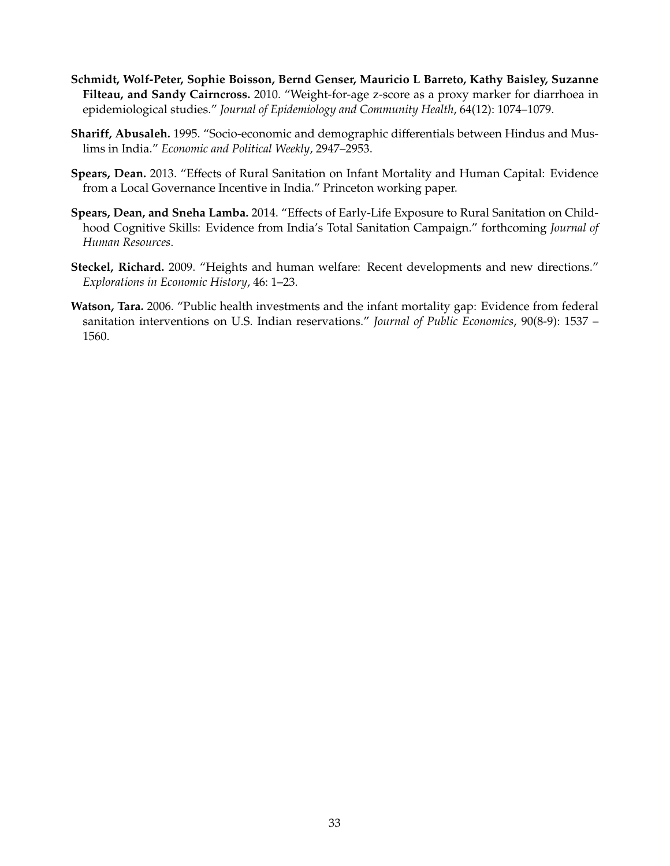- <span id="page-34-5"></span>**Schmidt, Wolf-Peter, Sophie Boisson, Bernd Genser, Mauricio L Barreto, Kathy Baisley, Suzanne Filteau, and Sandy Cairncross.** 2010. "Weight-for-age z-score as a proxy marker for diarrhoea in epidemiological studies." *Journal of Epidemiology and Community Health*, 64(12): 1074–1079.
- <span id="page-34-0"></span>**Shariff, Abusaleh.** 1995. "Socio-economic and demographic differentials between Hindus and Muslims in India." *Economic and Political Weekly*, 2947–2953.
- <span id="page-34-1"></span>**Spears, Dean.** 2013. "Effects of Rural Sanitation on Infant Mortality and Human Capital: Evidence from a Local Governance Incentive in India." Princeton working paper.
- <span id="page-34-2"></span>**Spears, Dean, and Sneha Lamba.** 2014. "Effects of Early-Life Exposure to Rural Sanitation on Childhood Cognitive Skills: Evidence from India's Total Sanitation Campaign." forthcoming *Journal of Human Resources*.
- <span id="page-34-4"></span>**Steckel, Richard.** 2009. "Heights and human welfare: Recent developments and new directions." *Explorations in Economic History*, 46: 1–23.
- <span id="page-34-3"></span>**Watson, Tara.** 2006. "Public health investments and the infant mortality gap: Evidence from federal sanitation interventions on U.S. Indian reservations." *Journal of Public Economics*, 90(8-9): 1537 – 1560.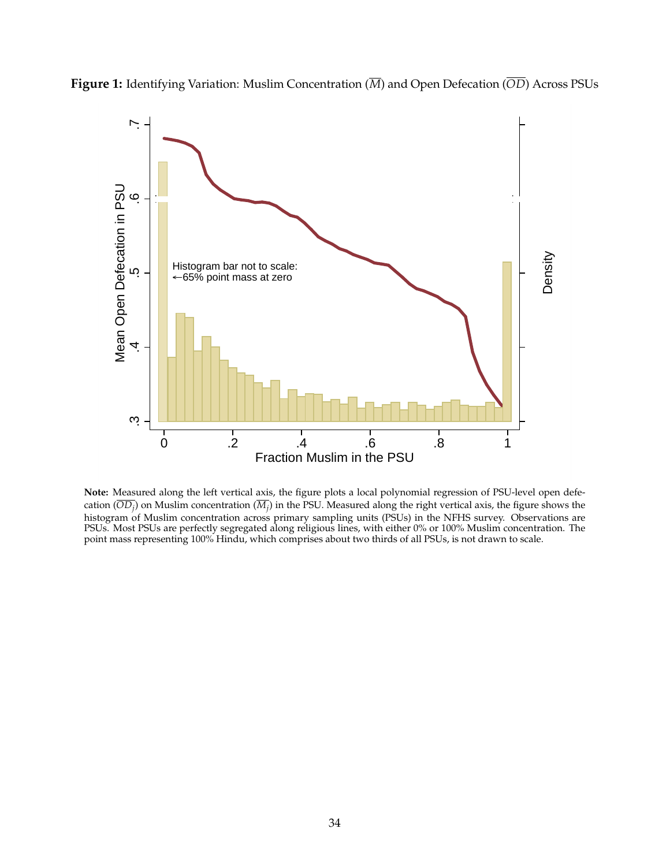<span id="page-35-0"></span>



**Note:** Measured along the left vertical axis, the figure plots a local polynomial regression of PSU-level open defecation  $(OD_j)$  on Muslim concentration  $(M_j)$  in the PSU. Measured along the right vertical axis, the figure shows the histogram of Muslim concentration across primary sampling units (PSUs) in the NFHS survey. Observations are PSUs. Most PSUs are perfectly segregated along religious lines, with either 0% or 100% Muslim concentration. The point mass representing 100% Hindu, which comprises about two thirds of all PSUs, is not drawn to scale.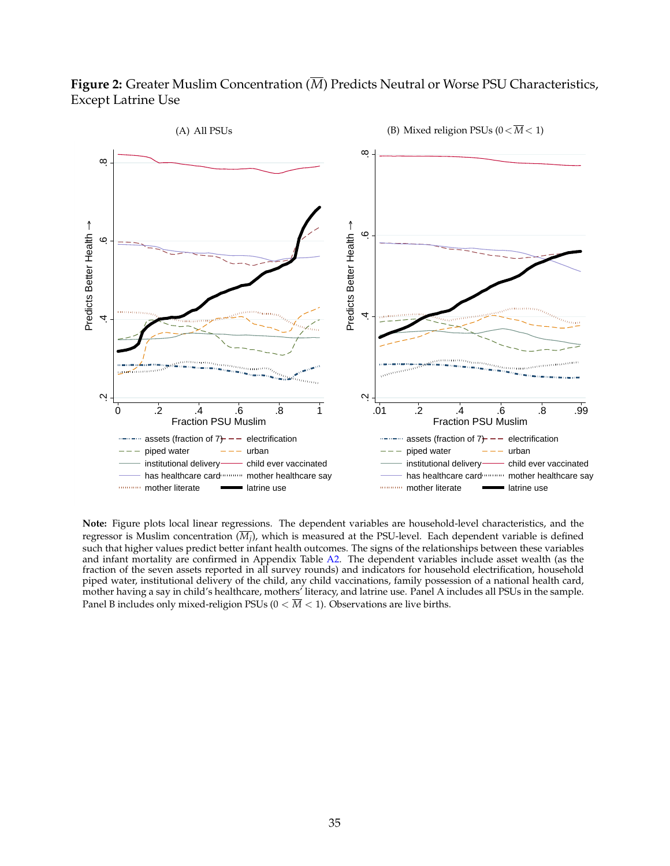## <span id="page-36-0"></span>**Figure 2:** Greater Muslim Concentration (*M*) Predicts Neutral or Worse PSU Characteristics, Except Latrine Use



**Note:** Figure plots local linear regressions. The dependent variables are household-level characteristics, and the regressor is Muslim concentration (*M<sup>j</sup>* ), which is measured at the PSU-level. Each dependent variable is defined such that higher values predict better infant health outcomes. The signs of the relationships between these variables and infant mortality are confirmed in Appendix Table [A2.](#page-52-0) The dependent variables include asset wealth (as the fraction of the seven assets reported in all survey rounds) and indicators for household electrification, household piped water, institutional delivery of the child, any child vaccinations, family possession of a national health card, mother having a say in child's healthcare, mothers' literacy, and latrine use. Panel A includes all PSUs in the sample. Panel B includes only mixed-religion PSUs  $(0 < \overline{M} < 1)$ . Observations are live births.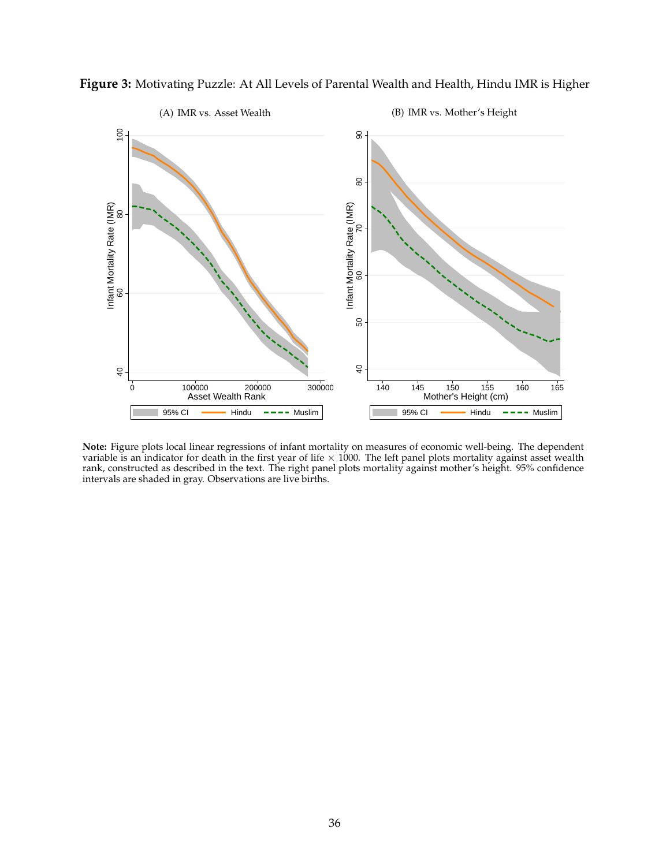

<span id="page-37-0"></span>**Figure 3:** Motivating Puzzle: At All Levels of Parental Wealth and Health, Hindu IMR is Higher

**Note:** Figure plots local linear regressions of infant mortality on measures of economic well-being. The dependent variable is an indicator for death in the first year of life  $\times$  1000. The left panel plots mortality against asset wealth rank, constructed as described in the text. The right panel plots mortality against mother's height. 95% confidence intervals are shaded in gray. Observations are live births.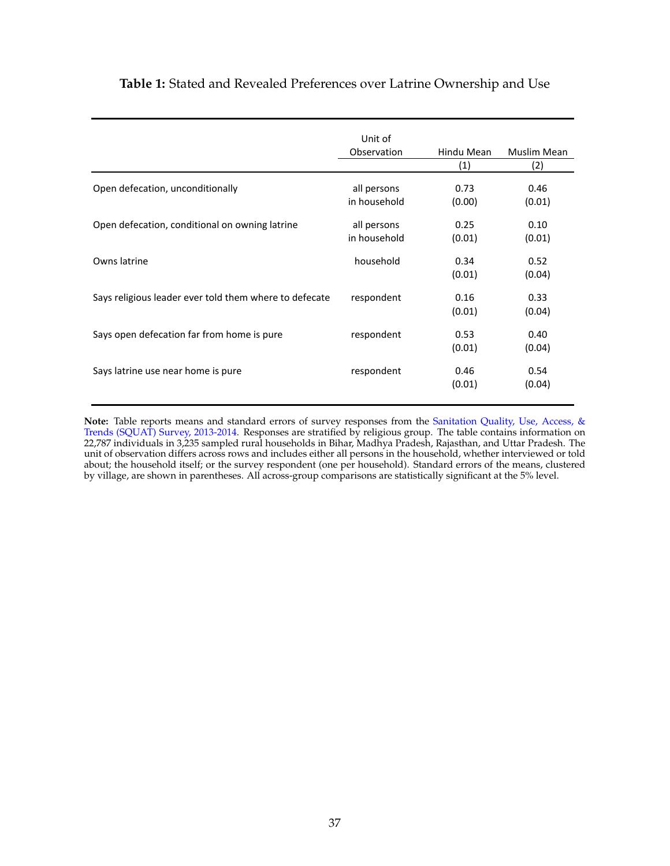## <span id="page-38-0"></span>**Table 1:** Stated and Revealed Preferences over Latrine Ownership and Use

|                                                        | Unit of<br>Observation      | Hindu Mean<br>(1) | Muslim Mean<br>(2) |
|--------------------------------------------------------|-----------------------------|-------------------|--------------------|
| Open defecation, unconditionally                       | all persons<br>in household | 0.73<br>(0.00)    | 0.46<br>(0.01)     |
| Open defecation, conditional on owning latrine         | all persons<br>in household | 0.25<br>(0.01)    | 0.10<br>(0.01)     |
| Owns latrine                                           | household                   | 0.34<br>(0.01)    | 0.52<br>(0.04)     |
| Says religious leader ever told them where to defecate | respondent                  | 0.16<br>(0.01)    | 0.33<br>(0.04)     |
| Says open defecation far from home is pure             | respondent                  | 0.53<br>(0.01)    | 0.40<br>(0.04)     |
| Says latrine use near home is pure                     | respondent                  | 0.46<br>(0.01)    | 0.54<br>(0.04)     |

**Note:** Table reports means and standard errors of survey responses from the [Sanitation Quality, Use, Access, &](http://squatreport.in) [Trends \(SQUAT\) Survey, 2013-2014.](http://squatreport.in) Responses are stratified by religious group. The table contains information on 22,787 individuals in 3,235 sampled rural households in Bihar, Madhya Pradesh, Rajasthan, and Uttar Pradesh. The unit of observation differs across rows and includes either all persons in the household, whether interviewed or told about; the household itself; or the survey respondent (one per household). Standard errors of the means, clustered by village, are shown in parentheses. All across-group comparisons are statistically significant at the 5% level.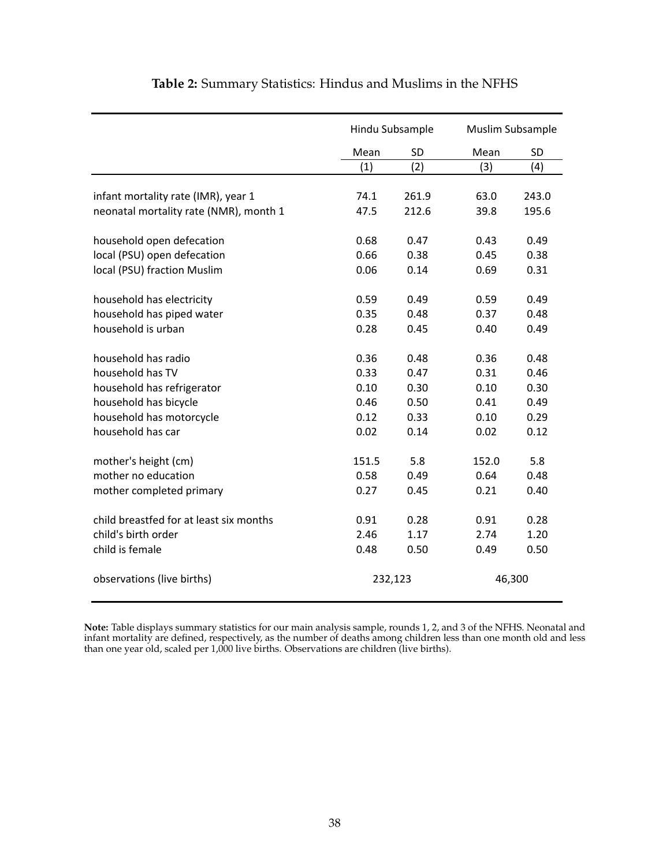<span id="page-39-0"></span>

|                                         |       | Hindu Subsample | Muslim Subsample |           |
|-----------------------------------------|-------|-----------------|------------------|-----------|
|                                         | Mean  | <b>SD</b>       | Mean             | <b>SD</b> |
|                                         | (1)   | (2)             | (3)              | (4)       |
| infant mortality rate (IMR), year 1     | 74.1  | 261.9           | 63.0             | 243.0     |
| neonatal mortality rate (NMR), month 1  | 47.5  | 212.6           | 39.8             | 195.6     |
|                                         |       |                 |                  |           |
| household open defecation               | 0.68  | 0.47            | 0.43             | 0.49      |
| local (PSU) open defecation             | 0.66  | 0.38            | 0.45             | 0.38      |
| local (PSU) fraction Muslim             | 0.06  | 0.14            | 0.69             | 0.31      |
| household has electricity               | 0.59  | 0.49            | 0.59             | 0.49      |
| household has piped water               | 0.35  | 0.48            | 0.37             | 0.48      |
| household is urban                      | 0.28  | 0.45            | 0.40             | 0.49      |
| household has radio                     | 0.36  | 0.48            | 0.36             | 0.48      |
| household has TV                        | 0.33  | 0.47            | 0.31             | 0.46      |
| household has refrigerator              | 0.10  | 0.30            | 0.10             | 0.30      |
| household has bicycle                   | 0.46  | 0.50            | 0.41             | 0.49      |
| household has motorcycle                | 0.12  | 0.33            | 0.10             | 0.29      |
| household has car                       | 0.02  | 0.14            | 0.02             | 0.12      |
| mother's height (cm)                    | 151.5 | 5.8             | 152.0            | 5.8       |
| mother no education                     | 0.58  | 0.49            | 0.64             | 0.48      |
| mother completed primary                | 0.27  | 0.45            | 0.21             | 0.40      |
| child breastfed for at least six months | 0.91  | 0.28            | 0.91             | 0.28      |
| child's birth order                     | 2.46  | 1.17            | 2.74             | 1.20      |
| child is female                         | 0.48  | 0.50            | 0.49             | 0.50      |
| observations (live births)              |       | 232,123         | 46,300           |           |

## **Table 2:** Summary Statistics: Hindus and Muslims in the NFHS

**Note:** Table displays summary statistics for our main analysis sample, rounds 1, 2, and 3 of the NFHS. Neonatal and infant mortality are defined, respectively, as the number of deaths among children less than one month old and less than one year old, scaled per 1,000 live births. Observations are children (live births).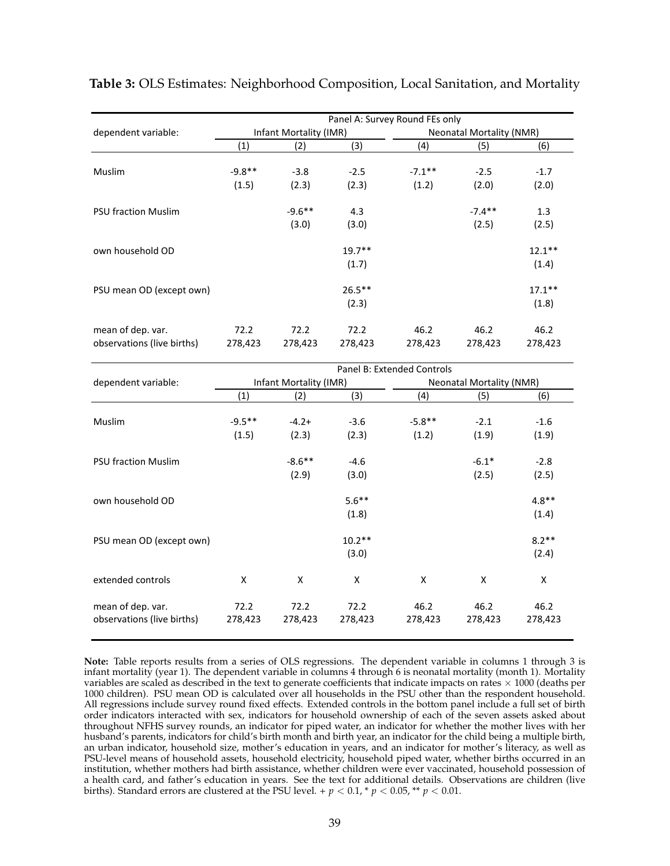<span id="page-40-1"></span>

|                            | Panel A: Survey Round FEs only |                        |           |                                 |           |           |  |  |  |
|----------------------------|--------------------------------|------------------------|-----------|---------------------------------|-----------|-----------|--|--|--|
| dependent variable:        |                                | Infant Mortality (IMR) |           | <b>Neonatal Mortality (NMR)</b> |           |           |  |  |  |
|                            | (1)                            | (2)                    | (3)       | (4)                             | (5)       | (6)       |  |  |  |
| <b>Muslim</b>              | $-9.8**$                       | $-3.8$                 | $-2.5$    | $-7.1***$                       | $-2.5$    | $-1.7$    |  |  |  |
|                            | (1.5)                          | (2.3)                  | (2.3)     | (1.2)                           | (2.0)     | (2.0)     |  |  |  |
| <b>PSU fraction Muslim</b> |                                | $-9.6***$              | 4.3       |                                 | $-7.4***$ | 1.3       |  |  |  |
|                            |                                | (3.0)                  | (3.0)     |                                 | (2.5)     | (2.5)     |  |  |  |
| own household OD           |                                |                        | $19.7**$  |                                 |           | $12.1***$ |  |  |  |
|                            |                                |                        | (1.7)     |                                 |           | (1.4)     |  |  |  |
| PSU mean OD (except own)   |                                |                        | $26.5***$ |                                 |           | $17.1***$ |  |  |  |
|                            |                                |                        | (2.3)     |                                 |           | (1.8)     |  |  |  |
| mean of dep. var.          | 72.2                           | 72.2                   | 72.2      | 46.2                            | 46.2      | 46.2      |  |  |  |
| observations (live births) | 278,423                        | 278,423                | 278,423   | 278,423                         | 278,423   | 278,423   |  |  |  |

### <span id="page-40-0"></span>**Table 3:** OLS Estimates: Neighborhood Composition, Local Sanitation, and Mortality

|                                                 | Panel B: Extended Controls |                        |                 |                                 |                 |                 |  |  |  |
|-------------------------------------------------|----------------------------|------------------------|-----------------|---------------------------------|-----------------|-----------------|--|--|--|
| dependent variable:                             |                            | Infant Mortality (IMR) |                 | <b>Neonatal Mortality (NMR)</b> |                 |                 |  |  |  |
|                                                 | (1)                        | (2)                    | (3)             | (4)                             | (5)             | (6)             |  |  |  |
|                                                 |                            |                        |                 |                                 |                 |                 |  |  |  |
| Muslim                                          | $-9.5***$                  | $-4.2+$                | $-3.6$          | $-5.8**$                        | $-2.1$          | $-1.6$          |  |  |  |
|                                                 | (1.5)                      | (2.3)                  | (2.3)           | (1.2)                           | (1.9)           | (1.9)           |  |  |  |
|                                                 |                            |                        |                 |                                 |                 |                 |  |  |  |
| <b>PSU fraction Muslim</b>                      |                            | $-8.6***$              | $-4.6$          |                                 | $-6.1*$         | $-2.8$          |  |  |  |
|                                                 |                            | (2.9)                  | (3.0)           |                                 | (2.5)           | (2.5)           |  |  |  |
| own household OD                                |                            |                        | $5.6***$        |                                 |                 | $4.8**$         |  |  |  |
|                                                 |                            |                        | (1.8)           |                                 |                 | (1.4)           |  |  |  |
| PSU mean OD (except own)                        |                            |                        | $10.2**$        |                                 |                 | $8.2**$         |  |  |  |
|                                                 |                            |                        | (3.0)           |                                 |                 | (2.4)           |  |  |  |
| extended controls                               | X                          | X                      | X               | X                               | X               | X               |  |  |  |
| mean of dep. var.<br>observations (live births) | 72.2<br>278,423            | 72.2<br>278,423        | 72.2<br>278,423 | 46.2<br>278,423                 | 46.2<br>278,423 | 46.2<br>278,423 |  |  |  |

**Note:** Table reports results from a series of OLS regressions. The dependent variable in columns 1 through 3 is infant mortality (year 1). The dependent variable in columns 4 through 6 is neonatal mortality (month 1). Mortality variables are scaled as described in the text to generate coefficients that indicate impacts on rates  $\times$  1000 (deaths per 1000 children). PSU mean OD is calculated over all households in the PSU other than the respondent household. All regressions include survey round fixed effects. Extended controls in the bottom panel include a full set of birth order indicators interacted with sex, indicators for household ownership of each of the seven assets asked about throughout NFHS survey rounds, an indicator for piped water, an indicator for whether the mother lives with her husband's parents, indicators for child's birth month and birth year, an indicator for the child being a multiple birth, an urban indicator, household size, mother's education in years, and an indicator for mother's literacy, as well as PSU-level means of household assets, household electricity, household piped water, whether births occurred in an institution, whether mothers had birth assistance, whether children were ever vaccinated, household possession of a health card, and father's education in years. See the text for additional details. Observations are children (live births). Standard errors are clustered at the PSU level. +  $p < 0.1$ , \*  $p < 0.05$ , \*\*  $p < 0.01$ .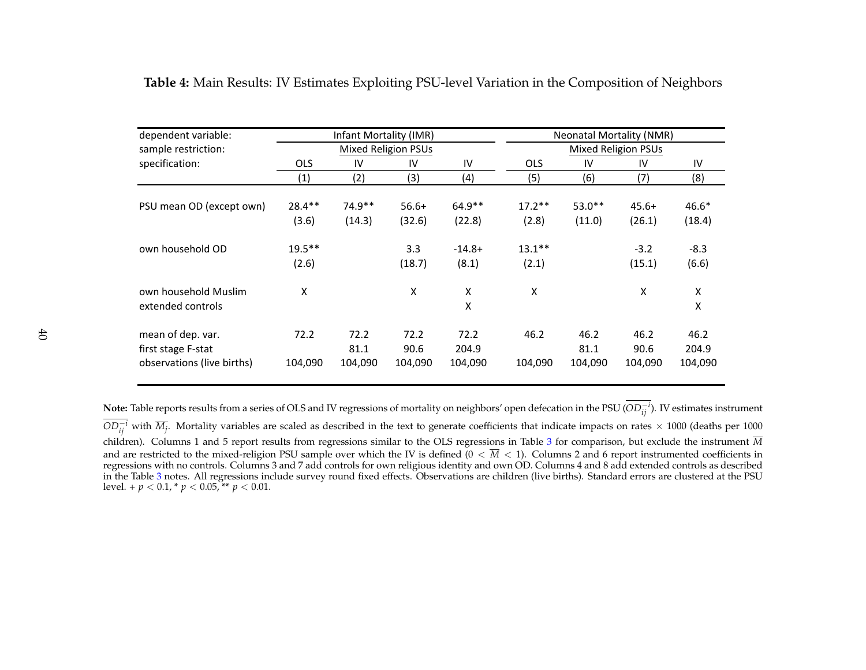| dependent variable:        |            | Infant Mortality (IMR) |                            |          |            | <b>Neonatal Mortality (NMR)</b> |                            |         |  |
|----------------------------|------------|------------------------|----------------------------|----------|------------|---------------------------------|----------------------------|---------|--|
| sample restriction:        |            |                        | <b>Mixed Religion PSUs</b> |          |            |                                 | <b>Mixed Religion PSUs</b> |         |  |
| specification:             | <b>OLS</b> | IV                     | IV                         | IV       | <b>OLS</b> | IV                              | IV                         | IV      |  |
|                            | (1)        | (2)                    | (3)                        | (4)      | (5)        | (6)                             | (7)                        | (8)     |  |
|                            | $28.4**$   | $74.9**$               | $56.6+$                    | $64.9**$ | $17.2**$   | $53.0**$                        | $45.6+$                    | $46.6*$ |  |
| PSU mean OD (except own)   |            |                        |                            |          |            |                                 |                            |         |  |
|                            | (3.6)      | (14.3)                 | (32.6)                     | (22.8)   | (2.8)      | (11.0)                          | (26.1)                     | (18.4)  |  |
| own household OD           | $19.5***$  |                        | 3.3                        | $-14.8+$ | $13.1***$  |                                 | $-3.2$                     | $-8.3$  |  |
|                            | (2.6)      |                        | (18.7)                     | (8.1)    | (2.1)      |                                 | (15.1)                     | (6.6)   |  |
| own household Muslim       | Χ          |                        | X                          | X        | X          |                                 | X                          | X       |  |
| extended controls          |            |                        |                            | X        |            |                                 |                            | X       |  |
| mean of dep. var.          | 72.2       | 72.2                   | 72.2                       | 72.2     | 46.2       | 46.2                            | 46.2                       | 46.2    |  |
| first stage F-stat         |            | 81.1                   | 90.6                       | 204.9    |            | 81.1                            | 90.6                       | 204.9   |  |
|                            |            |                        |                            |          |            |                                 |                            |         |  |
| observations (live births) | 104,090    | 104,090                | 104,090                    | 104,090  | 104,090    | 104,090                         | 104,090                    | 104,090 |  |

**Table 4:** Main Results: IV Estimates Exploiting PSU-level Variation in the Composition of Neighbors

<span id="page-41-0"></span>**Note:** Table reports results from <sup>a</sup> series of OLS and IV regressions of mortality on neighbors' open defecation in the PSU (*OD*−*<sup>i</sup> ij* ). IV estimates instrument  $OD_{ij}^{-i}$  with  $\overline{M}_j$ . Mortality variables are scaled as described in the text to generate coefficients that indicate impacts on rates × 1000 (deaths per 1000) children). Columns <sup>1</sup> and 5 repor<sup>t</sup> results from regressions similar to the OLS regressions in Table [3](#page-40-1) for comparison, but exclude the instrument *<sup>M</sup>*and are restricted to the mixed-religion PSU sample over which the IV is defined  $(0 < M < 1)$ . Columns 2 and 6 report instrumented coefficients recreases with no controls Columns 3 and 7 add controls and 7 and 7 and 2 and c regressions with no controls. Columns 3 and 7 add controls for own religious identity and own OD. Columns 4 and 8 add extended controls as described in the Table [3](#page-40-1) notes. All regressions include survey round fixed effects. Observations are children (live births). Standard errors are clustered at the PSU level. +  $p < 0.1$ , \*  $p < 0.05$ , \*\*  $p < 0.01$ .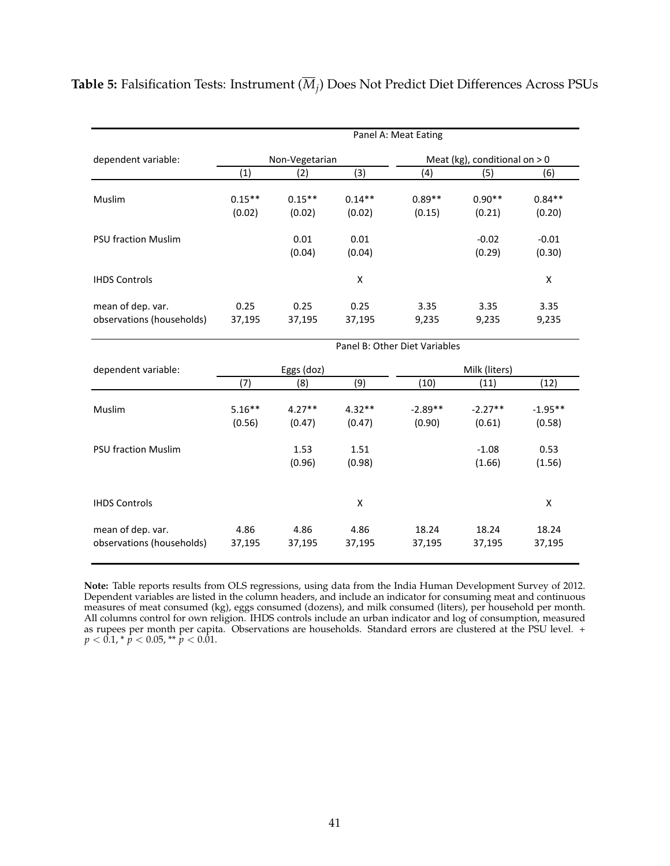|                            | Panel A: Meat Eating |                |                    |                               |                                 |           |  |  |  |
|----------------------------|----------------------|----------------|--------------------|-------------------------------|---------------------------------|-----------|--|--|--|
| dependent variable:        |                      | Non-Vegetarian |                    |                               | Meat (kg), conditional on $> 0$ |           |  |  |  |
|                            | (1)                  | (2)            | (3)                | (4)                           | (5)                             | (6)       |  |  |  |
| Muslim                     | $0.15***$            | $0.15**$       | $0.14**$           | $0.89**$                      | $0.90**$                        | $0.84**$  |  |  |  |
|                            | (0.02)               | (0.02)         | (0.02)             | (0.15)                        | (0.21)                          | (0.20)    |  |  |  |
| <b>PSU fraction Muslim</b> |                      | 0.01           | 0.01               |                               | $-0.02$                         | $-0.01$   |  |  |  |
|                            |                      | (0.04)         | (0.04)             |                               | (0.29)                          | (0.30)    |  |  |  |
| <b>IHDS Controls</b>       |                      |                | X                  |                               |                                 | X         |  |  |  |
| mean of dep. var.          | 0.25                 | 0.25           | 0.25               | 3.35                          | 3.35                            | 3.35      |  |  |  |
| observations (households)  | 37,195               | 37,195         | 37,195             | 9,235                         | 9,235                           | 9,235     |  |  |  |
|                            |                      |                |                    | Panel B: Other Diet Variables |                                 |           |  |  |  |
| dependent variable:        |                      | Eggs (doz)     |                    |                               | Milk (liters)                   |           |  |  |  |
|                            | (7)                  | (8)            | (9)                | (10)                          | (11)                            | (12)      |  |  |  |
| Muslim                     | $5.16***$            | $4.27**$       | $4.32**$           | $-2.89**$                     | $-2.27**$                       | $-1.95**$ |  |  |  |
|                            | (0.56)               | (0.47)         | (0.47)             | (0.90)                        | (0.61)                          | (0.58)    |  |  |  |
| <b>PSU fraction Muslim</b> |                      | 1.53           | 1.51               |                               | $-1.08$                         | 0.53      |  |  |  |
|                            |                      | (0.96)         | (0.98)             |                               | (1.66)                          | (1.56)    |  |  |  |
| <b>IHDS Controls</b>       |                      |                | $\pmb{\mathsf{X}}$ |                               |                                 | X         |  |  |  |
| mean of dep. var.          | 4.86                 | 4.86           | 4.86               | 18.24                         | 18.24                           | 18.24     |  |  |  |
| observations (households)  | 37,195               | 37,195         | 37,195             | 37,195                        | 37,195                          | 37,195    |  |  |  |

<span id="page-42-0"></span>**Table 5:** Falsification Tests: Instrument (*M<sup>j</sup>* ) Does Not Predict Diet Differences Across PSUs

**Note:** Table reports results from OLS regressions, using data from the India Human Development Survey of 2012. Dependent variables are listed in the column headers, and include an indicator for consuming meat and continuous measures of meat consumed (kg), eggs consumed (dozens), and milk consumed (liters), per household per month. All columns control for own religion. IHDS controls include an urban indicator and log of consumption, measured as rupees per month per capita. Observations are households. Standard errors are clustered at the PSU level. +  $p < 0.1$ , \*  $p < 0.05$ , \*\*  $p < 0.01$ .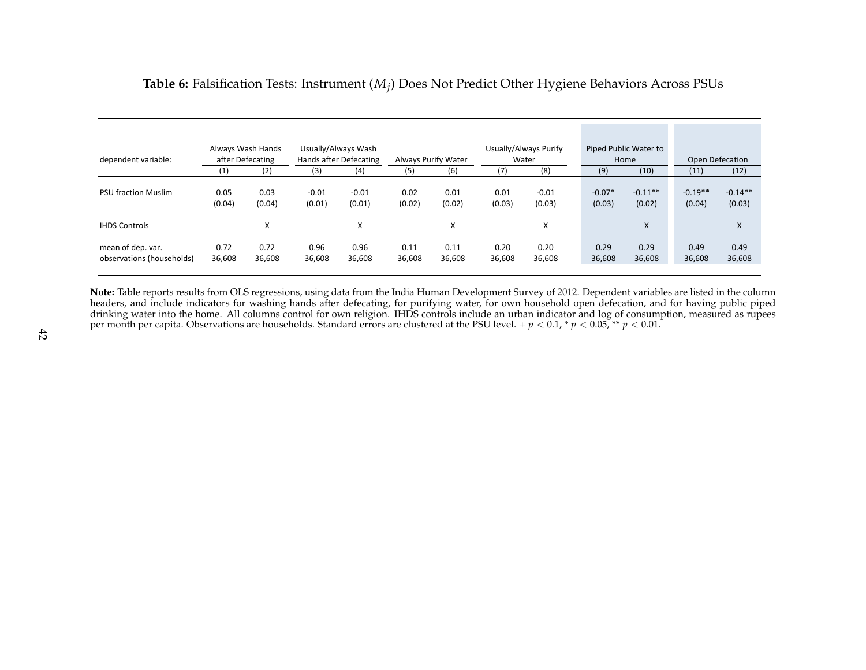| dependent variable:                            |                | Always Wash Hands<br>after Defecating |                   | Usually/Always Wash<br>Hands after Defecating |                | Always Purify Water |                | Usually/Always Purify<br>Water |                    | Piped Public Water to<br>Home | <b>Open Defecation</b> |                     |
|------------------------------------------------|----------------|---------------------------------------|-------------------|-----------------------------------------------|----------------|---------------------|----------------|--------------------------------|--------------------|-------------------------------|------------------------|---------------------|
|                                                | (1)            | (2)                                   | (3)               | (4)                                           | (5)            | (6)                 | (7)            | (8)                            | (9)                | (10)                          | (11)                   | (12)                |
| <b>PSU fraction Muslim</b>                     | 0.05<br>(0.04) | 0.03<br>(0.04)                        | $-0.01$<br>(0.01) | $-0.01$<br>(0.01)                             | 0.02<br>(0.02) | 0.01<br>(0.02)      | 0.01<br>(0.03) | $-0.01$<br>(0.03)              | $-0.07*$<br>(0.03) | $-0.11**$<br>(0.02)           | $-0.19**$<br>(0.04)    | $-0.14**$<br>(0.03) |
| <b>IHDS Controls</b>                           |                | X                                     |                   | X                                             |                | X                   |                | X                              |                    | X                             |                        | X                   |
| mean of dep. var.<br>observations (households) | 0.72<br>36,608 | 0.72<br>36,608                        | 0.96<br>36,608    | 0.96<br>36,608                                | 0.11<br>36,608 | 0.11<br>36,608      | 0.20<br>36,608 | 0.20<br>36,608                 | 0.29<br>36,608     | 0.29<br>36,608                | 0.49<br>36,608         | 0.49<br>36,608      |

# **Table 6:** Falsification Tests: Instrument (*Mj*) Does Not Predict Other Hygiene Behaviors Across PSUs

<span id="page-43-0"></span>**Note:** Table reports results from OLS regressions, using data from the India Human Development Survey of 2012. Dependent variables are listed in the column headers, and include indicators for washing hands after defecating, for purifying water, for own household open defecation, and for having public piped drinking water into the home. All columns control for own religion. IHDS controls include an urban indicator and log of consumption, measured as rupeesper month per capita. Observations are households. Standard errors are clustered at the PSU level. +  $p < 0.1$ , \*  $p < 0.05$ , \*\*  $p < 0.01$ .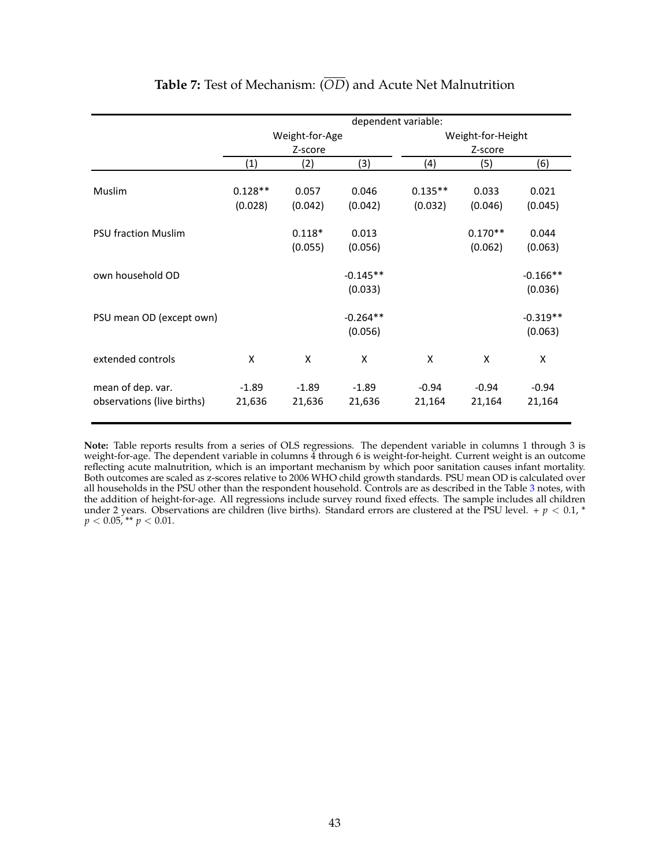<span id="page-44-0"></span>

|                                                 | dependent variable:  |                     |                       |                      |                      |                       |  |
|-------------------------------------------------|----------------------|---------------------|-----------------------|----------------------|----------------------|-----------------------|--|
|                                                 |                      | Weight-for-Age      |                       | Weight-for-Height    |                      |                       |  |
|                                                 |                      | Z-score             |                       |                      | Z-score              |                       |  |
|                                                 | (1)                  | (2)                 | (3)                   | (4)                  | (5)                  | (6)                   |  |
| <b>Muslim</b>                                   | $0.128**$<br>(0.028) | 0.057<br>(0.042)    | 0.046<br>(0.042)      | $0.135**$<br>(0.032) | 0.033<br>(0.046)     | 0.021<br>(0.045)      |  |
| <b>PSU fraction Muslim</b>                      |                      | $0.118*$<br>(0.055) | 0.013<br>(0.056)      |                      | $0.170**$<br>(0.062) | 0.044<br>(0.063)      |  |
| own household OD                                |                      |                     | $-0.145**$<br>(0.033) |                      |                      | $-0.166**$<br>(0.036) |  |
| PSU mean OD (except own)                        |                      |                     | $-0.264**$<br>(0.056) |                      |                      | $-0.319**$<br>(0.063) |  |
| extended controls                               | X                    | X                   | X                     | X                    | X                    | X                     |  |
| mean of dep. var.<br>observations (live births) | $-1.89$<br>21,636    | $-1.89$<br>21,636   | $-1.89$<br>21,636     | $-0.94$<br>21,164    | $-0.94$<br>21,164    | $-0.94$<br>21,164     |  |

## **Table 7:** Test of Mechanism: (*OD*) and Acute Net Malnutrition

**Note:** Table reports results from a series of OLS regressions. The dependent variable in columns 1 through 3 is weight-for-age. The dependent variable in columns 4 through 6 is weight-for-height. Current weight is an outcome reflecting acute malnutrition, which is an important mechanism by which poor sanitation causes infant mortality. Both outcomes are scaled as z-scores relative to 2006 WHO child growth standards. PSU mean OD is calculated over all households in the PSU other than the respondent household. Controls are as described in the Table [3](#page-40-0) notes, with the addition of height-for-age. All regressions include survey round fixed effects. The sample includes all children under 2 years. Observations are children (live births). Standard errors are clustered at the PSU level. +  $p < 0.1$ , \*  $p < 0.05$ , \*\*  $p < 0.01$ .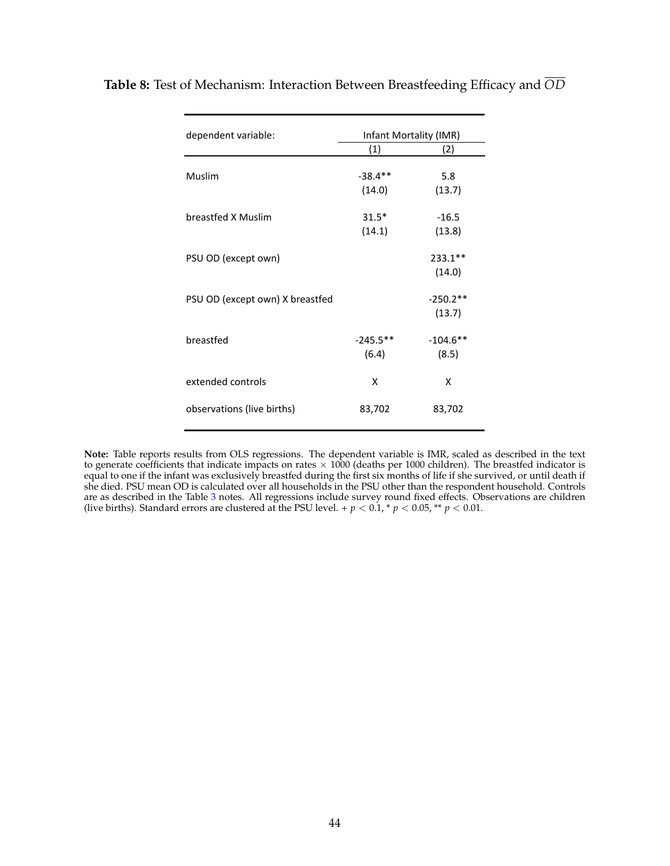| dependent variable:             | Infant Mortality (IMR) |             |  |  |
|---------------------------------|------------------------|-------------|--|--|
|                                 | (1)                    | (2)         |  |  |
| Muslim                          | $-38.4**$              | 5.8         |  |  |
|                                 | (14.0)                 | (13.7)      |  |  |
| breastfed X Muslim              | $31.5*$                | $-16.5$     |  |  |
|                                 | (14.1)                 | (13.8)      |  |  |
| PSU OD (except own)             |                        | $233.1**$   |  |  |
|                                 |                        | (14.0)      |  |  |
| PSU OD (except own) X breastfed |                        | $-250.2**$  |  |  |
|                                 |                        | (13.7)      |  |  |
| breastfed                       | $-245.5$ **            | $-104.6$ ** |  |  |
|                                 | (6.4)                  | (8.5)       |  |  |
| extended controls               | x                      | x           |  |  |
| observations (live births)      | 83,702                 | 83,702      |  |  |

<span id="page-45-0"></span>**Table 8:** Test of Mechanism: Interaction Between Breastfeeding Efficacy and *OD*

**Note:** Table reports results from OLS regressions. The dependent variable is IMR, scaled as described in the text to generate coefficients that indicate impacts on rates  $\times$  1000 (deaths per 1000 children). The breastfed indicator is equal to one if the infant was exclusively breastfed during the first six months of life if she survived, or until death if she died. PSU mean OD is calculated over all households in the PSU other than the respondent household. Controls are as described in the Table [3](#page-40-0) notes. All regressions include survey round fixed effects. Observations are children (live births). Standard errors are clustered at the PSU level. +  $p < 0.1$ , \*  $p < 0.05$ , \*\*  $p < 0.01$ .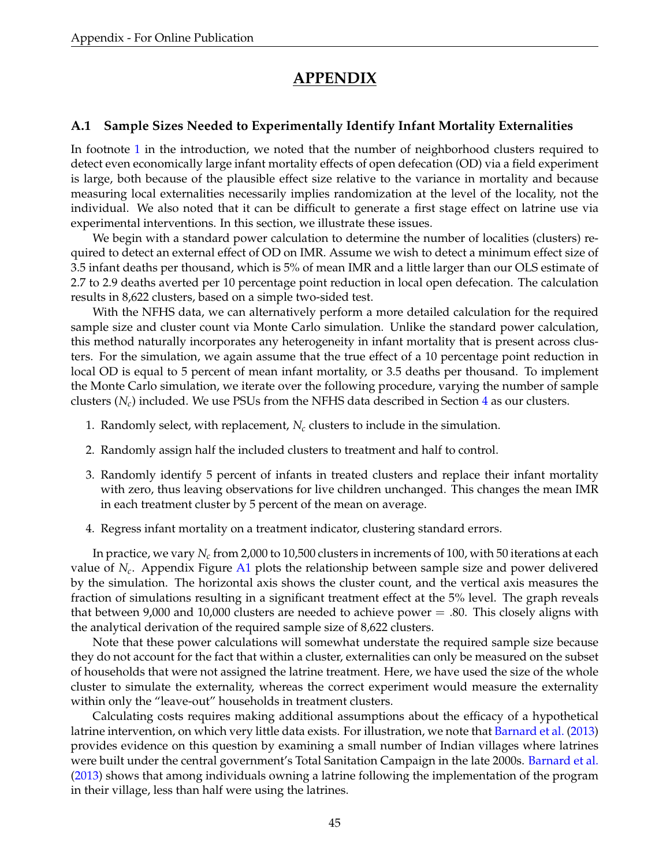# **APPENDIX**

### <span id="page-46-0"></span>**A.1 Sample Sizes Needed to Experimentally Identify Infant Mortality Externalities**

In footnote [1](#page-2-2) in the introduction, we noted that the number of neighborhood clusters required to detect even economically large infant mortality effects of open defecation (OD) via a field experiment is large, both because of the plausible effect size relative to the variance in mortality and because measuring local externalities necessarily implies randomization at the level of the locality, not the individual. We also noted that it can be difficult to generate a first stage effect on latrine use via experimental interventions. In this section, we illustrate these issues.

We begin with a standard power calculation to determine the number of localities (clusters) required to detect an external effect of OD on IMR. Assume we wish to detect a minimum effect size of 3.5 infant deaths per thousand, which is 5% of mean IMR and a little larger than our OLS estimate of 2.7 to 2.9 deaths averted per 10 percentage point reduction in local open defecation. The calculation results in 8,622 clusters, based on a simple two-sided test.

With the NFHS data, we can alternatively perform a more detailed calculation for the required sample size and cluster count via Monte Carlo simulation. Unlike the standard power calculation, this method naturally incorporates any heterogeneity in infant mortality that is present across clusters. For the simulation, we again assume that the true effect of a 10 percentage point reduction in local OD is equal to 5 percent of mean infant mortality, or 3.5 deaths per thousand. To implement the Monte Carlo simulation, we iterate over the following procedure, varying the number of sample clusters  $(N_c)$  included. We use PSUs from the NFHS data described in Section [4](#page-10-0) as our clusters.

- 1. Randomly select, with replacement,  $N_c$  clusters to include in the simulation.
- 2. Randomly assign half the included clusters to treatment and half to control.
- 3. Randomly identify 5 percent of infants in treated clusters and replace their infant mortality with zero, thus leaving observations for live children unchanged. This changes the mean IMR in each treatment cluster by 5 percent of the mean on average.
- 4. Regress infant mortality on a treatment indicator, clustering standard errors.

In practice, we vary *N<sup>c</sup>* from 2,000 to 10,500 clusters in increments of 100, with 50 iterations at each value of *N<sup>c</sup>* . Appendix Figure [A1](#page-49-0) plots the relationship between sample size and power delivered by the simulation. The horizontal axis shows the cluster count, and the vertical axis measures the fraction of simulations resulting in a significant treatment effect at the 5% level. The graph reveals that between 9,000 and 10,000 clusters are needed to achieve power  $=$  .80. This closely aligns with the analytical derivation of the required sample size of 8,622 clusters.

Note that these power calculations will somewhat understate the required sample size because they do not account for the fact that within a cluster, externalities can only be measured on the subset of households that were not assigned the latrine treatment. Here, we have used the size of the whole cluster to simulate the externality, whereas the correct experiment would measure the externality within only the "leave-out" households in treatment clusters.

Calculating costs requires making additional assumptions about the efficacy of a hypothetical latrine intervention, on which very little data exists. For illustration, we note that [Barnard et al.](#page-31-7) [\(2013\)](#page-31-7) provides evidence on this question by examining a small number of Indian villages where latrines were built under the central government's Total Sanitation Campaign in the late 2000s. [Barnard et al.](#page-31-7) [\(2013\)](#page-31-7) shows that among individuals owning a latrine following the implementation of the program in their village, less than half were using the latrines.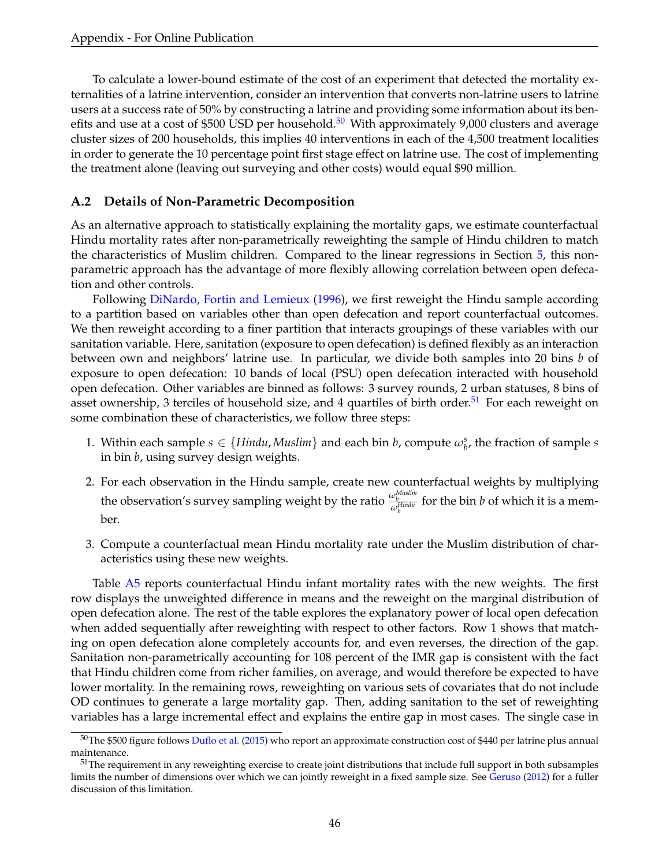To calculate a lower-bound estimate of the cost of an experiment that detected the mortality externalities of a latrine intervention, consider an intervention that converts non-latrine users to latrine users at a success rate of 50% by constructing a latrine and providing some information about its ben-efits and use at a cost of \$[50](#page-47-1)0 USD per household.<sup>50</sup> With approximately 9,000 clusters and average cluster sizes of 200 households, this implies 40 interventions in each of the 4,500 treatment localities in order to generate the 10 percentage point first stage effect on latrine use. The cost of implementing the treatment alone (leaving out surveying and other costs) would equal \$90 million.

### <span id="page-47-0"></span>**A.2 Details of Non-Parametric Decomposition**

As an alternative approach to statistically explaining the mortality gaps, we estimate counterfactual Hindu mortality rates after non-parametrically reweighting the sample of Hindu children to match the characteristics of Muslim children. Compared to the linear regressions in Section [5,](#page-15-0) this nonparametric approach has the advantage of more flexibly allowing correlation between open defecation and other controls.

Following [DiNardo, Fortin and Lemieux](#page-32-16) [\(1996\)](#page-32-16), we first reweight the Hindu sample according to a partition based on variables other than open defecation and report counterfactual outcomes. We then reweight according to a finer partition that interacts groupings of these variables with our sanitation variable. Here, sanitation (exposure to open defecation) is defined flexibly as an interaction between own and neighbors' latrine use. In particular, we divide both samples into 20 bins *b* of exposure to open defecation: 10 bands of local (PSU) open defecation interacted with household open defecation. Other variables are binned as follows: 3 survey rounds, 2 urban statuses, 8 bins of asset ownership, 3 terciles of household size, and 4 quartiles of birth order.<sup>[51](#page-47-2)</sup> For each reweight on some combination these of characteristics, we follow three steps:

- 1. Within each sample  $s \in \{Hindu, Muslim\}$  and each bin *b*, compute  $\omega_b^s$ , the fraction of sample *s* in bin *b*, using survey design weights.
- 2. For each observation in the Hindu sample, create new counterfactual weights by multiplying the observation's survey sampling weight by the ratio  $\frac{\omega_b^{Muslim}}{\omega_b^{Hindu}}$  for the bin *b* of which it is a member.
- 3. Compute a counterfactual mean Hindu mortality rate under the Muslim distribution of characteristics using these new weights.

Table [A5](#page-55-0) reports counterfactual Hindu infant mortality rates with the new weights. The first row displays the unweighted difference in means and the reweight on the marginal distribution of open defecation alone. The rest of the table explores the explanatory power of local open defecation when added sequentially after reweighting with respect to other factors. Row 1 shows that matching on open defecation alone completely accounts for, and even reverses, the direction of the gap. Sanitation non-parametrically accounting for 108 percent of the IMR gap is consistent with the fact that Hindu children come from richer families, on average, and would therefore be expected to have lower mortality. In the remaining rows, reweighting on various sets of covariates that do not include OD continues to generate a large mortality gap. Then, adding sanitation to the set of reweighting variables has a large incremental effect and explains the entire gap in most cases. The single case in

<span id="page-47-1"></span> $50$ The \$500 figure follows [Duflo et al.](#page-32-2) [\(2015\)](#page-32-2) who report an approximate construction cost of \$440 per latrine plus annual maintenance.

<span id="page-47-2"></span> $51$ The requirement in any reweighting exercise to create joint distributions that include full support in both subsamples limits the number of dimensions over which we can jointly reweight in a fixed sample size. See [Geruso](#page-32-7) [\(2012\)](#page-32-7) for a fuller discussion of this limitation.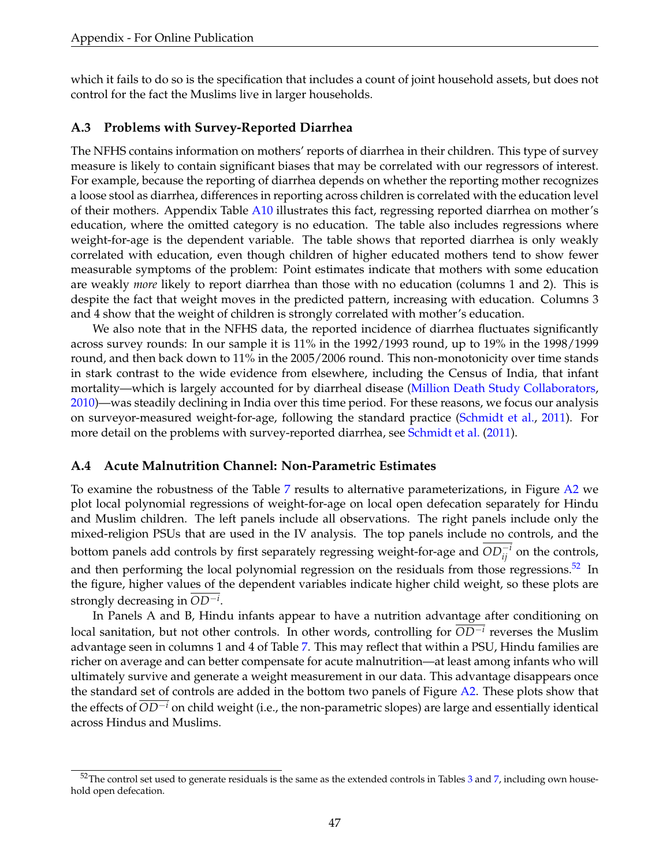which it fails to do so is the specification that includes a count of joint household assets, but does not control for the fact the Muslims live in larger households.

### <span id="page-48-0"></span>**A.3 Problems with Survey-Reported Diarrhea**

The NFHS contains information on mothers' reports of diarrhea in their children. This type of survey measure is likely to contain significant biases that may be correlated with our regressors of interest. For example, because the reporting of diarrhea depends on whether the reporting mother recognizes a loose stool as diarrhea, differences in reporting across children is correlated with the education level of their mothers. Appendix Table [A10](#page-60-0) illustrates this fact, regressing reported diarrhea on mother's education, where the omitted category is no education. The table also includes regressions where weight-for-age is the dependent variable. The table shows that reported diarrhea is only weakly correlated with education, even though children of higher educated mothers tend to show fewer measurable symptoms of the problem: Point estimates indicate that mothers with some education are weakly *more* likely to report diarrhea than those with no education (columns 1 and 2). This is despite the fact that weight moves in the predicted pattern, increasing with education. Columns 3 and 4 show that the weight of children is strongly correlated with mother's education.

We also note that in the NFHS data, the reported incidence of diarrhea fluctuates significantly across survey rounds: In our sample it is 11% in the 1992/1993 round, up to 19% in the 1998/1999 round, and then back down to 11% in the 2005/2006 round. This non-monotonicity over time stands in stark contrast to the wide evidence from elsewhere, including the Census of India, that infant mortality—which is largely accounted for by diarrheal disease [\(Million Death Study Collaborators,](#page-33-1) [2010\)](#page-33-1)—was steadily declining in India over this time period. For these reasons, we focus our analysis on surveyor-measured weight-for-age, following the standard practice [\(Schmidt et al.,](#page-33-14) [2011\)](#page-33-14). For more detail on the problems with survey-reported diarrhea, see [Schmidt et al.](#page-33-14) [\(2011\)](#page-33-14).

### <span id="page-48-1"></span>**A.4 Acute Malnutrition Channel: Non-Parametric Estimates**

To examine the robustness of the Table [7](#page-44-0) results to alternative parameterizations, in Figure [A2](#page-50-0) we plot local polynomial regressions of weight-for-age on local open defecation separately for Hindu and Muslim children. The left panels include all observations. The right panels include only the mixed-religion PSUs that are used in the IV analysis. The top panels include no controls, and the bottom panels add controls by first separately regressing weight-for-age and  $OD^{-i}_{ij}$  on the controls, and then performing the local polynomial regression on the residuals from those regressions.<sup>[52](#page-48-2)</sup> In the figure, higher values of the dependent variables indicate higher child weight, so these plots are strongly decreasing in *OD*−*<sup>i</sup>* .

In Panels A and B, Hindu infants appear to have a nutrition advantage after conditioning on local sanitation, but not other controls. In other words, controlling for *OD*−*<sup>i</sup>* reverses the Muslim advantage seen in columns 1 and 4 of Table [7.](#page-44-0) This may reflect that within a PSU, Hindu families are richer on average and can better compensate for acute malnutrition—at least among infants who will ultimately survive and generate a weight measurement in our data. This advantage disappears once the standard set of controls are added in the bottom two panels of Figure [A2.](#page-50-0) These plots show that the effects of *OD*−*<sup>i</sup>* on child weight (i.e., the non-parametric slopes) are large and essentially identical across Hindus and Muslims.

<span id="page-48-2"></span> $52$ The control set used to generate residuals is the same as the extended controls in Tables [3](#page-40-0) and [7,](#page-44-0) including own household open defecation.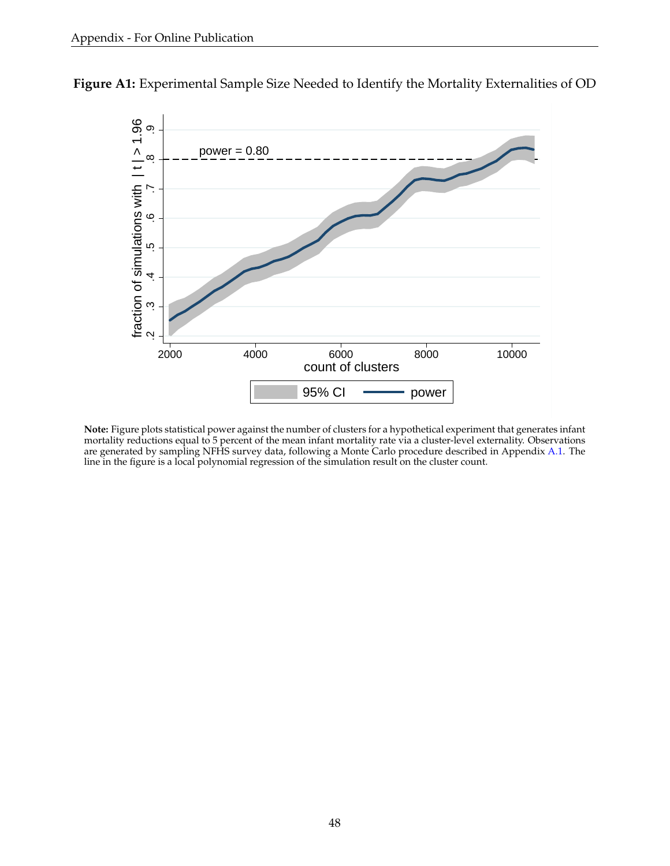

<span id="page-49-0"></span>**Figure A1:** Experimental Sample Size Needed to Identify the Mortality Externalities of OD

**Note:** Figure plots statistical power against the number of clusters for a hypothetical experiment that generates infant mortality reductions equal to 5 percent of the mean infant mortality rate via a cluster-level externality. Observations are generated by sampling NFHS survey data, following a Monte Carlo procedure described in Appendix [A.1.](#page-46-0) The line in the figure is a local polynomial regression of the simulation result on the cluster count.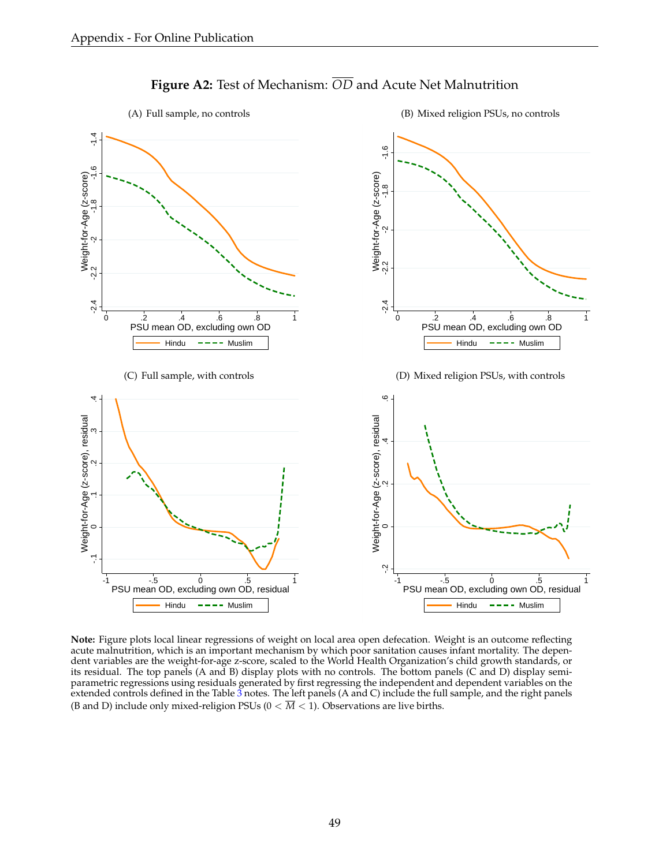<span id="page-50-0"></span>

## **Figure A2:** Test of Mechanism: *OD* and Acute Net Malnutrition

**Note:** Figure plots local linear regressions of weight on local area open defecation. Weight is an outcome reflecting acute malnutrition, which is an important mechanism by which poor sanitation causes infant mortality. The dependent variables are the weight-for-age z-score, scaled to the World Health Organization's child growth standards, or its residual. The top panels (A and B) display plots with no controls. The bottom panels (C and D) display semiparametric regressions using residuals generated by first regressing the independent and dependent variables on the extended controls defined in the Table  $\tilde{3}$  $\tilde{3}$  $\tilde{3}$  notes. The left panels (A and C) include the full sample, and the right panels (B and D) include only mixed-religion PSUs ( $0 < \overline{M} < 1$ ). Observations are live births.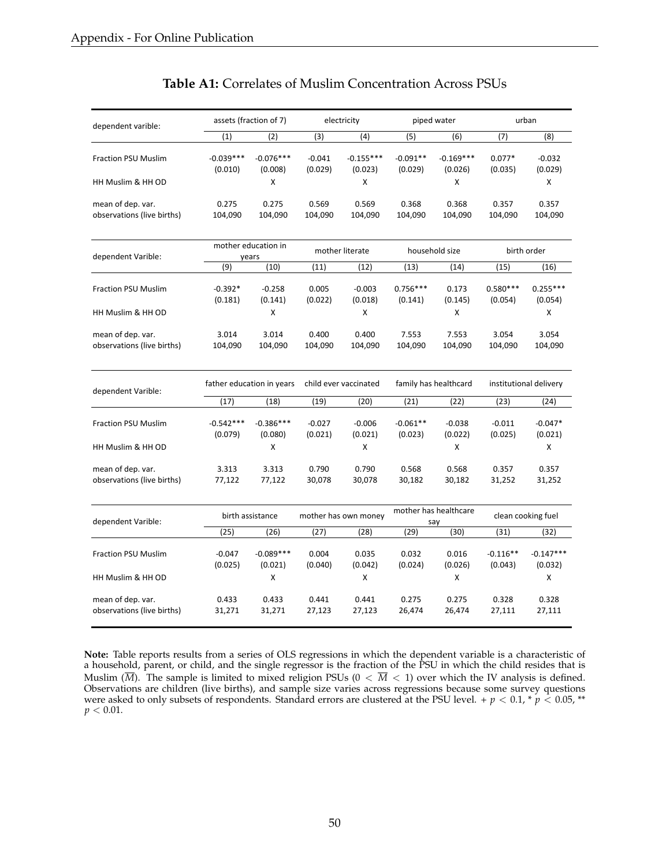<span id="page-51-0"></span>

| dependent varible:                              |                           | assets (fraction of 7)       |                     | electricity            |                       | piped water                  |                       | urban                  |  |
|-------------------------------------------------|---------------------------|------------------------------|---------------------|------------------------|-----------------------|------------------------------|-----------------------|------------------------|--|
|                                                 | (1)                       | (2)                          | (3)                 | (4)                    | (5)                   | (6)                          | (7)                   | (8)                    |  |
| <b>Fraction PSU Muslim</b>                      | $-0.039***$<br>(0.010)    | $-0.076***$<br>(0.008)       | $-0.041$<br>(0.029) | $-0.155***$<br>(0.023) | $-0.091**$<br>(0.029) | $-0.169***$<br>(0.026)       | $0.077*$<br>(0.035)   | $-0.032$<br>(0.029)    |  |
| HH Muslim & HH OD                               |                           | x                            |                     | x                      |                       | X                            |                       | X                      |  |
| mean of dep. var.<br>observations (live births) | 0.275<br>104,090          | 0.275<br>104,090             | 0.569<br>104,090    | 0.569<br>104,090       | 0.368<br>104,090      | 0.368<br>104,090             | 0.357<br>104,090      | 0.357<br>104,090       |  |
| dependent Varible:                              |                           | mother education in<br>years |                     | mother literate        |                       | household size               |                       | birth order            |  |
|                                                 | (9)                       | (10)                         | (11)                | (12)                   | (13)                  | (14)                         | (15)                  | (16)                   |  |
| <b>Fraction PSU Muslim</b>                      | $-0.392*$<br>(0.181)      | $-0.258$<br>(0.141)          | 0.005<br>(0.022)    | $-0.003$<br>(0.018)    | $0.756***$<br>(0.141) | 0.173<br>(0.145)             | $0.580***$<br>(0.054) | $0.255***$<br>(0.054)  |  |
| HH Muslim & HH OD                               |                           | x                            |                     | X                      |                       | X                            |                       | X                      |  |
| mean of dep. var.<br>observations (live births) | 3.014<br>104,090          | 3.014<br>104,090             | 0.400<br>104,090    | 0.400<br>104,090       | 7.553<br>104,090      | 7.553<br>104,090             | 3.054<br>104,090      | 3.054<br>104,090       |  |
| dependent Varible:                              | father education in years |                              |                     | child ever vaccinated  |                       | family has healthcard        |                       | institutional delivery |  |
|                                                 | (17)                      | (18)                         | (19)                | (20)                   | (21)                  | (22)                         | (23)                  | (24)                   |  |
| <b>Fraction PSU Muslim</b>                      | $-0.542***$<br>(0.079)    | $-0.386***$<br>(0.080)       | $-0.027$<br>(0.021) | $-0.006$<br>(0.021)    | $-0.061**$<br>(0.023) | $-0.038$<br>(0.022)          | $-0.011$<br>(0.025)   | $-0.047*$<br>(0.021)   |  |
| HH Muslim & HH OD                               |                           | X                            |                     | X                      |                       | X                            |                       | X                      |  |
| mean of dep. var.<br>observations (live births) | 3.313<br>77,122           | 3.313<br>77,122              | 0.790<br>30,078     | 0.790<br>30,078        | 0.568<br>30,182       | 0.568<br>30,182              | 0.357<br>31,252       | 0.357<br>31,252        |  |
| dependent Varible:                              |                           | birth assistance             |                     | mother has own money   |                       | mother has healthcare<br>say |                       | clean cooking fuel     |  |
|                                                 | (25)                      | (26)                         | (27)                | (28)                   | (29)                  | (30)                         | (31)                  | (32)                   |  |
| <b>Fraction PSU Muslim</b>                      | $-0.047$<br>(0.025)       | $-0.089***$<br>(0.021)       | 0.004<br>(0.040)    | 0.035<br>(0.042)       | 0.032<br>(0.024)      | 0.016<br>(0.026)             | $-0.116**$<br>(0.043) | $-0.147***$<br>(0.032) |  |
| HH Muslim & HH OD                               |                           | x                            |                     | x                      |                       | X                            |                       | x                      |  |
| mean of dep. var.<br>observations (live births) | 0.433<br>31,271           | 0.433<br>31,271              | 0.441<br>27,123     | 0.441<br>27,123        | 0.275<br>26,474       | 0.275<br>26,474              | 0.328<br>27,111       | 0.328<br>27,111        |  |

### **Table A1:** Correlates of Muslim Concentration Across PSUs

**Note:** Table reports results from a series of OLS regressions in which the dependent variable is a characteristic of a household, parent, or child, and the single regressor is the fraction of the PSU in which the child resides that is Muslim ( $\overline{M}$ ). The sample is limited to mixed religion PSUs ( $0 < \overline{M} < 1$ ) over which the IV analysis is defined. Observations are children (live births), and sample size varies across regressions because some survey questions were asked to only subsets of respondents. Standard errors are clustered at the PSU level. +  $p < 0.1$ , \*  $p < 0.05$ , \*\*  $p < 0.01$ .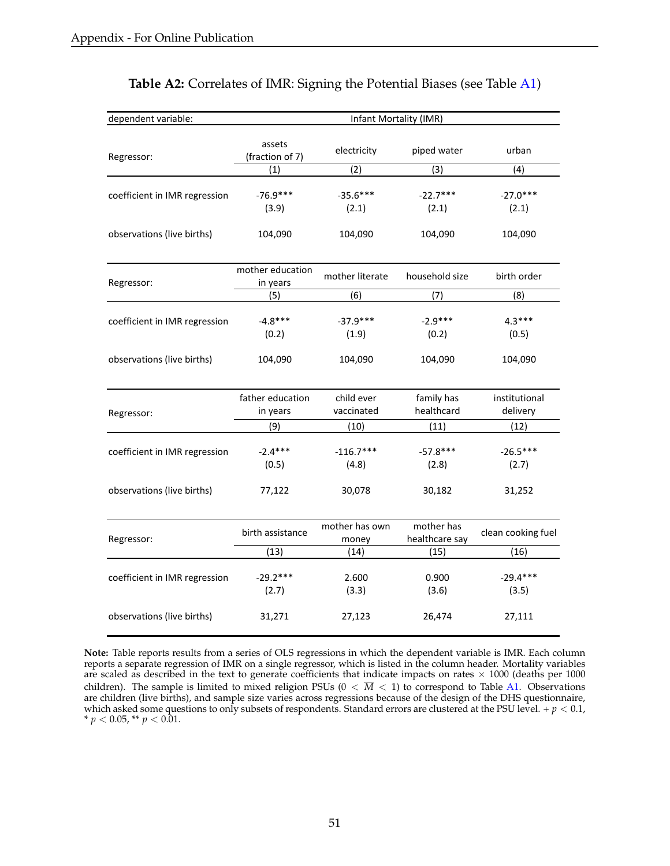<span id="page-52-0"></span>

| dependent variable:           |                              | Infant Mortality (IMR)  |                              |                     |
|-------------------------------|------------------------------|-------------------------|------------------------------|---------------------|
|                               | assets                       | electricity             | piped water                  | urban               |
| Regressor:                    | (fraction of 7)              |                         |                              |                     |
|                               | (1)                          | (2)                     | (3)                          | (4)                 |
| coefficient in IMR regression | $-76.9***$                   | $-35.6***$              | $-22.7***$                   | $-27.0***$          |
|                               | (3.9)                        | (2.1)                   | (2.1)                        | (2.1)               |
| observations (live births)    | 104,090                      | 104,090                 | 104,090                      | 104,090             |
| Regressor:                    | mother education<br>in years | mother literate         | household size               | birth order         |
|                               | (5)                          | (6)                     | (7)                          | (8)                 |
| coefficient in IMR regression | $-4.8***$                    | $-37.9***$              | $-2.9***$                    | $4.3***$            |
|                               | (0.2)                        | (1.9)                   | (0.2)                        | (0.5)               |
| observations (live births)    | 104,090                      | 104,090                 | 104,090                      | 104,090             |
|                               | father education             | child ever              | family has                   | institutional       |
| Regressor:                    | in years                     | vaccinated              | healthcard                   | delivery            |
|                               | (9)                          | (10)                    | (11)                         | (12)                |
| coefficient in IMR regression | $-2.4***$                    | $-116.7***$             | $-57.8***$                   | $-26.5***$          |
|                               | (0.5)                        | (4.8)                   | (2.8)                        | (2.7)               |
| observations (live births)    | 77,122                       | 30,078                  | 30,182                       | 31,252              |
| Regressor:                    | birth assistance             | mother has own<br>money | mother has<br>healthcare say | clean cooking fuel  |
|                               | (13)                         | (14)                    | (15)                         | (16)                |
| coefficient in IMR regression | $-29.2***$<br>(2.7)          | 2.600<br>(3.3)          | 0.900<br>(3.6)               | $-29.4***$<br>(3.5) |
| observations (live births)    | 31,271                       | 27,123                  | 26,474                       | 27,111              |

### **Table A2:** Correlates of IMR: Signing the Potential Biases (see Table [A1\)](#page-51-0)

**Note:** Table reports results from a series of OLS regressions in which the dependent variable is IMR. Each column reports a separate regression of IMR on a single regressor, which is listed in the column header. Mortality variables are scaled as described in the text to generate coefficients that indicate impacts on rates  $\times$  1000 (deaths per 1000) children). The sample is limited to mixed religion PSUs ( $0 < \overline{M} < 1$ ) to correspond to Table [A1.](#page-51-0) Observations are children (live births), and sample size varies across regressions because of the design of the DHS questionnaire, which asked some questions to only subsets of respondents. Standard errors are clustered at the PSU level.  $+p < 0.1$ , \*  $p < 0.05$ , \*\*  $p < 0.01$ .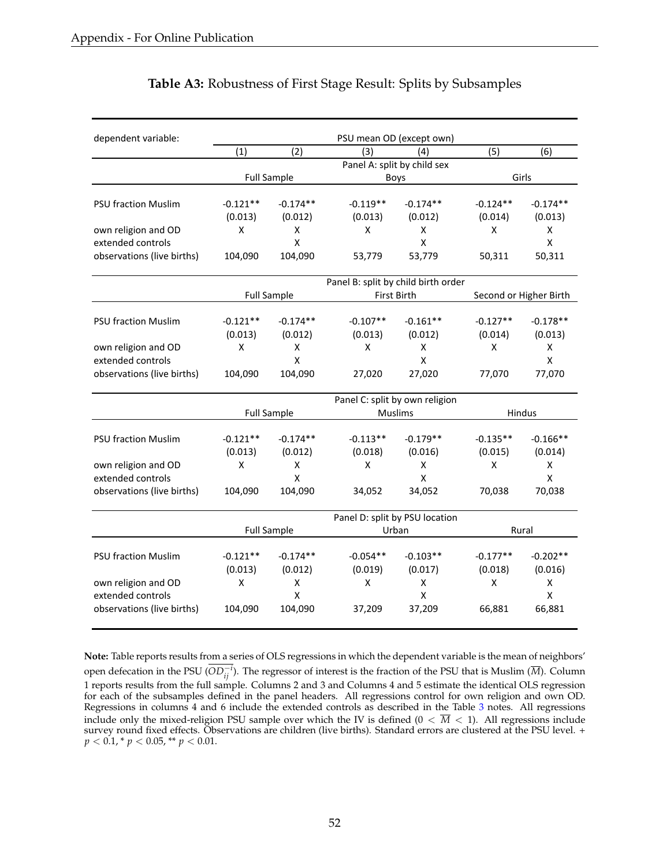<span id="page-53-0"></span>

| dependent variable:        | PSU mean OD (except own)       |                    |                                     |                                |            |                        |  |  |  |
|----------------------------|--------------------------------|--------------------|-------------------------------------|--------------------------------|------------|------------------------|--|--|--|
|                            | (1)                            | (2)                | (3)                                 | (4)                            | (5)        | (6)                    |  |  |  |
|                            |                                |                    |                                     | Panel A: split by child sex    |            |                        |  |  |  |
|                            |                                | <b>Full Sample</b> |                                     | Boys                           |            | Girls                  |  |  |  |
|                            |                                |                    |                                     |                                |            |                        |  |  |  |
| <b>PSU fraction Muslim</b> | $-0.121**$                     | $-0.174**$         | $-0.119**$                          | $-0.174**$                     | $-0.124**$ | $-0.174**$             |  |  |  |
|                            | (0.013)                        | (0.012)            | (0.013)                             | (0.012)                        | (0.014)    | (0.013)                |  |  |  |
| own religion and OD        | X                              | X                  | X                                   | X                              | X          | X                      |  |  |  |
| extended controls          |                                | $\mathsf{x}$       |                                     | $\mathsf{x}$                   |            | $\mathsf{x}$           |  |  |  |
| observations (live births) | 104,090                        | 104,090            | 53,779                              | 53,779                         | 50,311     | 50,311                 |  |  |  |
|                            |                                |                    | Panel B: split by child birth order |                                |            |                        |  |  |  |
|                            |                                | <b>Full Sample</b> |                                     | First Birth                    |            | Second or Higher Birth |  |  |  |
| <b>PSU fraction Muslim</b> | $-0.121**$                     | $-0.174**$         | $-0.107**$                          | $-0.161**$                     | $-0.127**$ | $-0.178**$             |  |  |  |
|                            | (0.013)                        | (0.012)            | (0.013)                             | (0.012)                        | (0.014)    | (0.013)                |  |  |  |
| own religion and OD        | X                              | X                  | X                                   | X                              | X          | X                      |  |  |  |
| extended controls          |                                | $\mathsf{x}$       |                                     | $\mathsf{x}$                   |            | X                      |  |  |  |
| observations (live births) | 104,090                        | 104,090            | 27,020                              | 27,020                         | 77,070     | 77,070                 |  |  |  |
|                            | Panel C: split by own religion |                    |                                     |                                |            |                        |  |  |  |
|                            |                                | <b>Full Sample</b> |                                     | <b>Muslims</b>                 |            | <b>Hindus</b>          |  |  |  |
|                            |                                |                    |                                     |                                |            |                        |  |  |  |
| <b>PSU fraction Muslim</b> | $-0.121**$                     | $-0.174**$         | $-0.113**$                          | $-0.179**$                     | $-0.135**$ | $-0.166**$             |  |  |  |
|                            | (0.013)                        | (0.012)            | (0.018)                             | (0.016)                        | (0.015)    | (0.014)                |  |  |  |
| own religion and OD        | X                              | X                  | X                                   | X                              | X          | X                      |  |  |  |
| extended controls          |                                | $\pmb{\mathsf{X}}$ |                                     | X                              |            | $\mathsf X$            |  |  |  |
| observations (live births) | 104,090                        | 104,090            | 34,052                              | 34,052                         | 70,038     | 70,038                 |  |  |  |
|                            |                                |                    |                                     | Panel D: split by PSU location |            |                        |  |  |  |
|                            |                                | <b>Full Sample</b> |                                     | Urban                          |            | Rural                  |  |  |  |
|                            |                                |                    |                                     |                                |            |                        |  |  |  |
| <b>PSU fraction Muslim</b> | $-0.121**$                     | $-0.174**$         | $-0.054**$                          | $-0.103**$                     | $-0.177**$ | $-0.202**$             |  |  |  |
|                            | (0.013)                        | (0.012)            | (0.019)                             | (0.017)                        | (0.018)    | (0.016)                |  |  |  |
| own religion and OD        | X                              | X                  | X                                   | X                              | X          | X                      |  |  |  |
| extended controls          |                                | X                  |                                     | X                              |            | X                      |  |  |  |
| observations (live births) | 104,090                        | 104,090            | 37,209                              | 37,209                         | 66,881     | 66,881                 |  |  |  |

## **Table A3:** Robustness of First Stage Result: Splits by Subsamples

**Note:** Table reports results from a series of OLS regressions in which the dependent variable is the mean of neighbors' open defecation in the PSU ( $OD_{ij}^{-i}$ ). The regressor of interest is the fraction of the PSU that is Muslim ( $\overline{M}$ ). Column 1 reports results from the full sample. Columns 2 and 3 and Columns 4 and 5 estimate the identical OLS regression for each of the subsamples defined in the panel headers. All regressions control for own religion and own OD.

Regressions in columns 4 and 6 include the extended controls as described in the Table [3](#page-40-0) notes. All regressions include only the mixed-religion PSU sample over which the IV is defined  $(0 < \overline{M} < 1)$ . All regressions include survey round fixed effects. Observations are children (live births). Standard errors are clustered at the PSU level. +  $p < 0.1$ , \*  $p < 0.05$ , \*\*  $p < 0.01$ .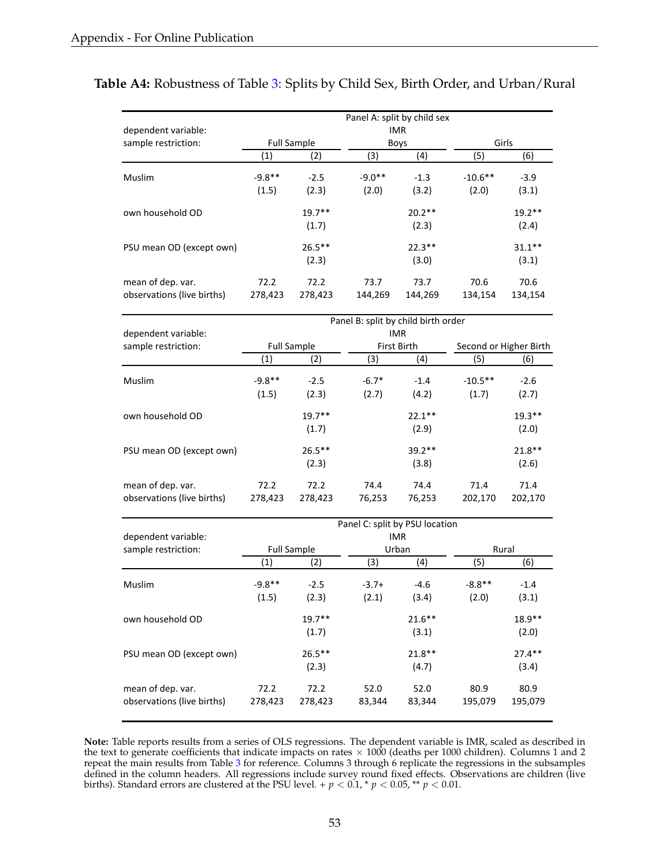|                            | Panel A: split by child sex |                    |          |             |            |           |  |  |  |  |
|----------------------------|-----------------------------|--------------------|----------|-------------|------------|-----------|--|--|--|--|
| dependent variable:        |                             | <b>IMR</b>         |          |             |            |           |  |  |  |  |
| sample restriction:        |                             | <b>Full Sample</b> |          | <b>Boys</b> |            | Girls     |  |  |  |  |
|                            | $\left( 1\right)$           | (2)                | (3)      | (4)         | (5)        | (6)       |  |  |  |  |
| Muslim                     | $-9.8**$                    | $-2.5$             | $-9.0**$ | $-1.3$      | $-10.6$ ** | $-3.9$    |  |  |  |  |
|                            | (1.5)                       | (2.3)              | (2.0)    | (3.2)       | (2.0)      | (3.1)     |  |  |  |  |
| own household OD           |                             | $19.7**$           |          | $20.2**$    |            | $19.2**$  |  |  |  |  |
|                            |                             | (1.7)              |          | (2.3)       |            | (2.4)     |  |  |  |  |
| PSU mean OD (except own)   |                             | $26.5***$          |          | $22.3**$    |            | $31.1***$ |  |  |  |  |
|                            |                             | (2.3)              |          | (3.0)       |            | (3.1)     |  |  |  |  |
| mean of dep. var.          | 72.2                        | 72.2               | 73.7     | 73.7        | 70.6       | 70.6      |  |  |  |  |
| observations (live births) | 278,423                     | 278,423            | 144,269  | 144,269     | 134,154    | 134,154   |  |  |  |  |
|                            |                             |                    |          |             |            |           |  |  |  |  |

## <span id="page-54-0"></span>**Table A4:** Robustness of Table [3:](#page-40-0) Splits by Child Sex, Birth Order, and Urban/Rural

|                                                 | Panel B: split by child birth order |                 |                |                |                 |                        |  |
|-------------------------------------------------|-------------------------------------|-----------------|----------------|----------------|-----------------|------------------------|--|
| dependent variable:                             |                                     |                 |                | IMR.           |                 |                        |  |
| sample restriction:                             | <b>Full Sample</b>                  |                 |                | First Birth    |                 | Second or Higher Birth |  |
|                                                 | (1)                                 | (2)             | (3)            | (4)            | (5)             | (6)                    |  |
| Muslim                                          | $-9.8**$                            | $-2.5$          | $-6.7*$        | $-1.4$         | $-10.5**$       | $-2.6$                 |  |
|                                                 | (1.5)                               | (2.3)           | (2.7)          | (4.2)          | (1.7)           | (2.7)                  |  |
| own household OD                                |                                     | $19.7**$        |                | $22.1**$       |                 | $19.3**$               |  |
|                                                 |                                     | (1.7)           |                | (2.9)          |                 | (2.0)                  |  |
| PSU mean OD (except own)                        |                                     | $26.5***$       |                | $39.2**$       |                 | $21.8**$               |  |
|                                                 |                                     | (2.3)           |                | (3.8)          |                 | (2.6)                  |  |
| mean of dep. var.<br>observations (live births) | 72.2<br>278,423                     | 72.2<br>278,423 | 74.4<br>76,253 | 74.4<br>76,253 | 71.4<br>202,170 | 71.4<br>202,170        |  |

|                                                 | Panel C: split by PSU location |                    |                |                |                 |                 |  |  |
|-------------------------------------------------|--------------------------------|--------------------|----------------|----------------|-----------------|-----------------|--|--|
| dependent variable:                             | <b>IMR</b>                     |                    |                |                |                 |                 |  |  |
| sample restriction:                             |                                | <b>Full Sample</b> |                | Urban          |                 | Rural           |  |  |
|                                                 | $\left( 1\right)$              | (2)                | (3)            | (4)            | (5)             | (6)             |  |  |
| <b>Muslim</b>                                   | $-9.8**$                       | $-2.5$             | $-3.7+$        | -4.6           | $-8.8**$        | $-1.4$          |  |  |
|                                                 | (1.5)                          | (2.3)              | (2.1)          | (3.4)          | (2.0)           | (3.1)           |  |  |
| own household OD                                |                                | $19.7**$           |                | $21.6***$      |                 | $18.9**$        |  |  |
|                                                 |                                | (1.7)              |                | (3.1)          |                 | (2.0)           |  |  |
| PSU mean OD (except own)                        |                                | $26.5***$          |                | $21.8**$       |                 | $27.4**$        |  |  |
|                                                 |                                | (2.3)              |                | (4.7)          |                 | (3.4)           |  |  |
| mean of dep. var.<br>observations (live births) | 72.2<br>278,423                | 72.2<br>278,423    | 52.0<br>83,344 | 52.0<br>83,344 | 80.9<br>195,079 | 80.9<br>195,079 |  |  |

**Note:** Table reports results from a series of OLS regressions. The dependent variable is IMR, scaled as described in the text to generate coefficients that indicate impacts on rates  $\times$  1000 (deaths per 1000 children). Columns 1 and 2 repeat the main results from Table [3](#page-40-0) for reference. Columns 3 through 6 replicate the regressions in the subsamples defined in the column headers. All regressions include survey round fixed effects. Observations are children (live births). Standard errors are clustered at the PSU level. +  $p < 0.1$ , \*  $p < 0.05$ , \*\*  $p < 0.01$ .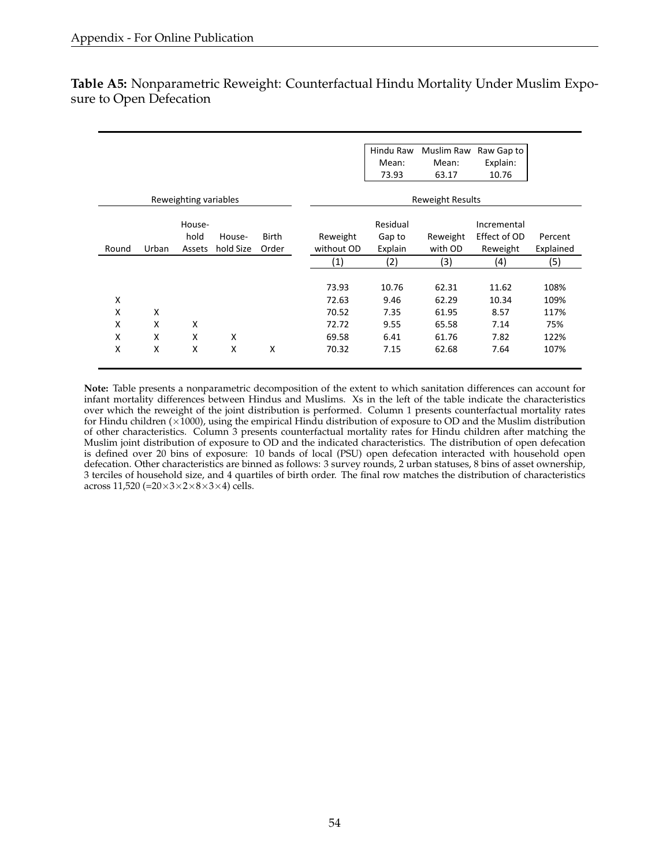|       |       |                       |           |              |            | Hindu Raw | Muslim Raw              | Raw Gap to   |           |
|-------|-------|-----------------------|-----------|--------------|------------|-----------|-------------------------|--------------|-----------|
|       |       |                       |           |              |            | Mean:     | Mean:                   | Explain:     |           |
|       |       |                       |           |              |            | 73.93     | 63.17                   | 10.76        |           |
|       |       | Reweighting variables |           |              |            |           | <b>Reweight Results</b> |              |           |
|       |       |                       |           |              |            |           |                         |              |           |
|       |       | House-                |           |              |            | Residual  |                         | Incremental  |           |
|       |       | hold                  | House-    | <b>Birth</b> | Reweight   | Gap to    | Reweight                | Effect of OD | Percent   |
| Round | Urban | Assets                | hold Size | Order        | without OD | Explain   | with OD                 | Reweight     | Explained |
|       |       |                       |           |              | (1)        | (2)       | (3)                     | (4)          | (5)       |
|       |       |                       |           |              |            |           |                         |              |           |
|       |       |                       |           |              | 73.93      | 10.76     | 62.31                   | 11.62        | 108%      |
| X     |       |                       |           |              | 72.63      | 9.46      | 62.29                   | 10.34        | 109%      |
| X     | X     |                       |           |              | 70.52      | 7.35      | 61.95                   | 8.57         | 117%      |
| X     | X     | X                     |           |              | 72.72      | 9.55      | 65.58                   | 7.14         | 75%       |
| X     | X     | X                     | X         |              | 69.58      | 6.41      | 61.76                   | 7.82         | 122%      |
| X     | X     | X                     | X         | X            | 70.32      | 7.15      | 62.68                   | 7.64         | 107%      |
|       |       |                       |           |              |            |           |                         |              |           |

<span id="page-55-0"></span>**Table A5:** Nonparametric Reweight: Counterfactual Hindu Mortality Under Muslim Exposure to Open Defecation

**Note:** Table presents a nonparametric decomposition of the extent to which sanitation differences can account for infant mortality differences between Hindus and Muslims. Xs in the left of the table indicate the characteristics over which the reweight of the joint distribution is performed. Column 1 presents counterfactual mortality rates for Hindu children ( $\times$ 1000), using the empirical Hindu distribution of exposure to OD and the Muslim distribution of other characteristics. Column 3 presents counterfactual mortality rates for Hindu children after matching the Muslim joint distribution of exposure to OD and the indicated characteristics. The distribution of open defecation is defined over 20 bins of exposure: 10 bands of local (PSU) open defecation interacted with household open defecation. Other characteristics are binned as follows: 3 survey rounds, 2 urban statuses, 8 bins of asset ownership, 3 terciles of household size, and 4 quartiles of birth order. The final row matches the distribution of characteristics across 11,520 (= $20 \times 3 \times 2 \times 8 \times 3 \times 4$ ) cells.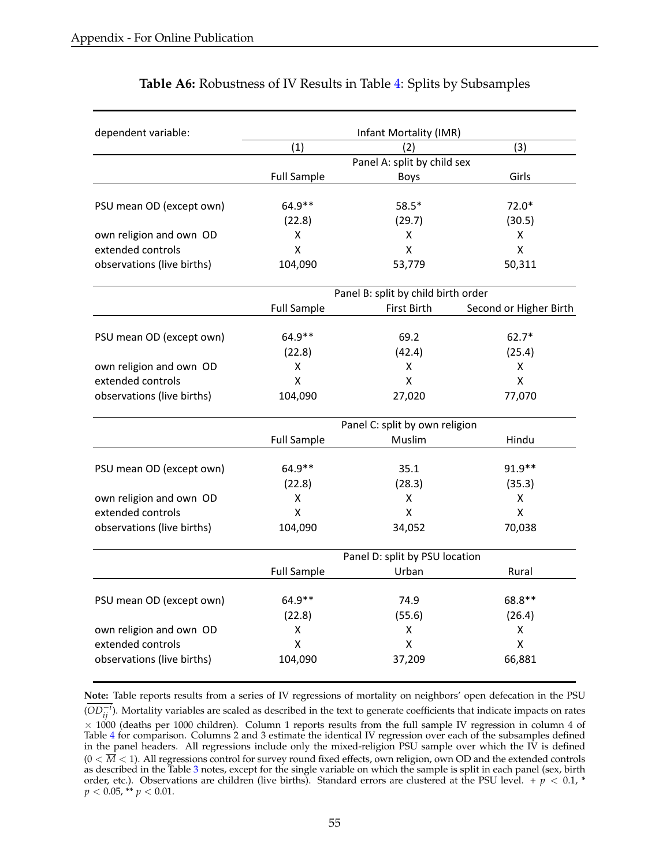<span id="page-56-0"></span>

| dependent variable:        |                             | Infant Mortality (IMR)              |                        |  |  |  |  |
|----------------------------|-----------------------------|-------------------------------------|------------------------|--|--|--|--|
|                            | (1)                         | (2)                                 | (3)                    |  |  |  |  |
|                            | Panel A: split by child sex |                                     |                        |  |  |  |  |
|                            | <b>Full Sample</b>          | <b>Boys</b>                         | Girls                  |  |  |  |  |
|                            | 64.9**                      | $58.5*$                             | $72.0*$                |  |  |  |  |
| PSU mean OD (except own)   |                             |                                     |                        |  |  |  |  |
| own religion and own OD    | (22.8)<br>X                 | (29.7)<br>X                         | (30.5)<br>x            |  |  |  |  |
| extended controls          | X                           | X                                   | X                      |  |  |  |  |
|                            |                             | 53,779                              |                        |  |  |  |  |
| observations (live births) | 104,090                     |                                     | 50,311                 |  |  |  |  |
|                            |                             | Panel B: split by child birth order |                        |  |  |  |  |
|                            | <b>Full Sample</b>          | First Birth                         | Second or Higher Birth |  |  |  |  |
| PSU mean OD (except own)   | 64.9**                      | 69.2                                | $62.7*$                |  |  |  |  |
|                            | (22.8)                      | (42.4)                              | (25.4)                 |  |  |  |  |
| own religion and own OD    | X                           | X                                   | x                      |  |  |  |  |
| extended controls          | X                           | X                                   | x                      |  |  |  |  |
|                            | 104,090                     | 27,020                              | 77,070                 |  |  |  |  |
| observations (live births) |                             |                                     |                        |  |  |  |  |
|                            |                             | Panel C: split by own religion      |                        |  |  |  |  |
|                            | <b>Full Sample</b>          | Muslim                              | Hindu                  |  |  |  |  |
|                            |                             |                                     |                        |  |  |  |  |
| PSU mean OD (except own)   | 64.9**                      | 35.1                                | $91.9**$               |  |  |  |  |
|                            | (22.8)                      | (28.3)                              | (35.3)                 |  |  |  |  |
| own religion and own OD    | X                           | X                                   | $\pmb{\mathsf{X}}$     |  |  |  |  |
| extended controls          | X                           | X                                   | X                      |  |  |  |  |
| observations (live births) | 104,090                     | 34,052                              | 70,038                 |  |  |  |  |
|                            |                             | Panel D: split by PSU location      |                        |  |  |  |  |
|                            | <b>Full Sample</b>          | Urban                               | Rural                  |  |  |  |  |
|                            |                             |                                     |                        |  |  |  |  |
| PSU mean OD (except own)   | $64.9**$                    | 74.9                                | 68.8**                 |  |  |  |  |
|                            | (22.8)                      | (55.6)                              | (26.4)                 |  |  |  |  |
| own religion and own OD    | χ                           | X                                   | Χ                      |  |  |  |  |
| extended controls          | $\mathsf{X}$                | X                                   | X                      |  |  |  |  |
| observations (live births) | 104,090                     | 37,209                              | 66,881                 |  |  |  |  |
|                            |                             |                                     |                        |  |  |  |  |

## **Table A6:** Robustness of IV Results in Table [4:](#page-41-0) Splits by Subsamples

(*OD*<sub>*ij</sub><sup>-i</sup>*). Mortality variables are scaled as described in the text to generate coefficients that indicate impacts on rates</sub>  $\times$  1000 (deaths per 1000 children). Column 1 reports results from the full sample IV regression in column 4 of Table [4](#page-41-0) for comparison. Columns 2 and 3 estimate the identical IV regression over each of the subsamples defined in the panel headers. All regressions include only the mixed-religion PSU sample over which the IV is defined  $(0 < \overline{M} < 1)$ . All regressions control for survey round fixed effects, own religion, own OD and the extended controls as described in the Table [3](#page-40-0) notes, except for the single variable on which the sample is split in each panel (sex, birth order, etc.). Observations are children (live births). Standard errors are clustered at the PSU level.  $p < 0.1$ , \*  $p < 0.05$ , \*\*  $p < 0.01$ .

**Note:** Table reports results from a series of IV regressions of mortality on neighbors' open defecation in the PSU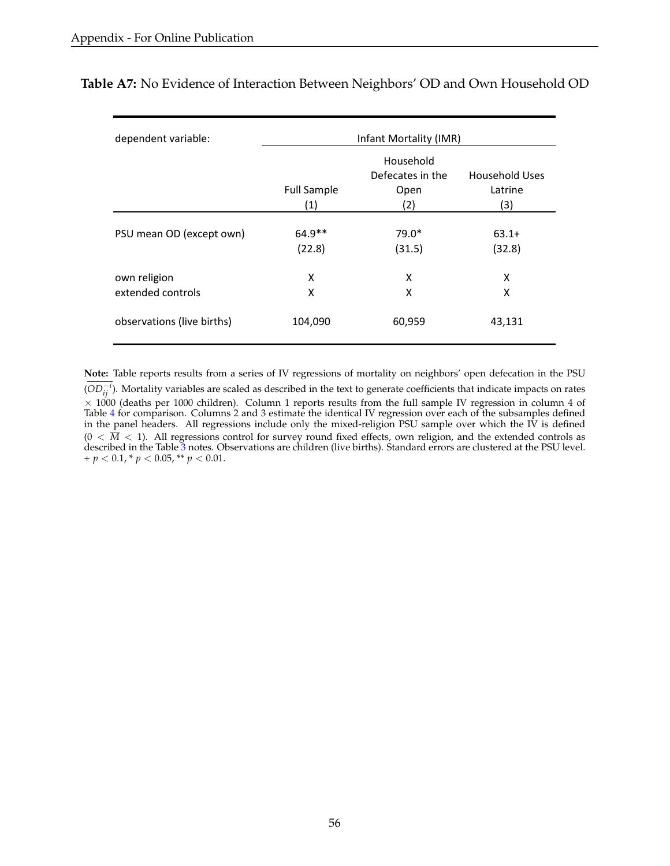| dependent variable:        |                    | Infant Mortality (IMR) |                |  |  |  |
|----------------------------|--------------------|------------------------|----------------|--|--|--|
|                            | Household          |                        |                |  |  |  |
|                            |                    | Defecates in the       | Household Uses |  |  |  |
|                            | <b>Full Sample</b> | Open                   | Latrine        |  |  |  |
|                            | (1)                | (2)                    | (3)            |  |  |  |
|                            |                    |                        |                |  |  |  |
| PSU mean OD (except own)   | $64.9**$           | $79.0*$                | $63.1+$        |  |  |  |
|                            | (22.8)             | (31.5)                 | (32.8)         |  |  |  |
| own religion               | x                  | X                      | x              |  |  |  |
| extended controls          | x                  | X                      | x              |  |  |  |
| observations (live births) | 104,090            | 60,959                 | 43,131         |  |  |  |

<span id="page-57-0"></span>**Table A7:** No Evidence of Interaction Between Neighbors' OD and Own Household OD

**Note:** Table reports results from a series of IV regressions of mortality on neighbors' open defecation in the PSU (*OD*<sup> $-i$ </sup>). Mortality variables are scaled as described in the text to generate coefficients that indicate impacts on rates  $\times$  1000 (deaths per 1000 children). Column 1 reports results from the full sample IV regression in column 4 of Table [4](#page-41-0) for comparison. Columns 2 and 3 estimate the identical IV regression over each of the subsamples defined in the panel headers. All regressions include only the mixed-religion PSU sample over which the IV is defined  $(0 < \overline{M} < 1)$ . All regressions control for survey round fixed effects, own religion, and the extended controls as described in the Table [3](#page-40-0) notes. Observations are children (live births). Standard errors are clustered at the PSU level.  $+p < 0.1, \pm p < 0.05, \pm \pm p < 0.01.$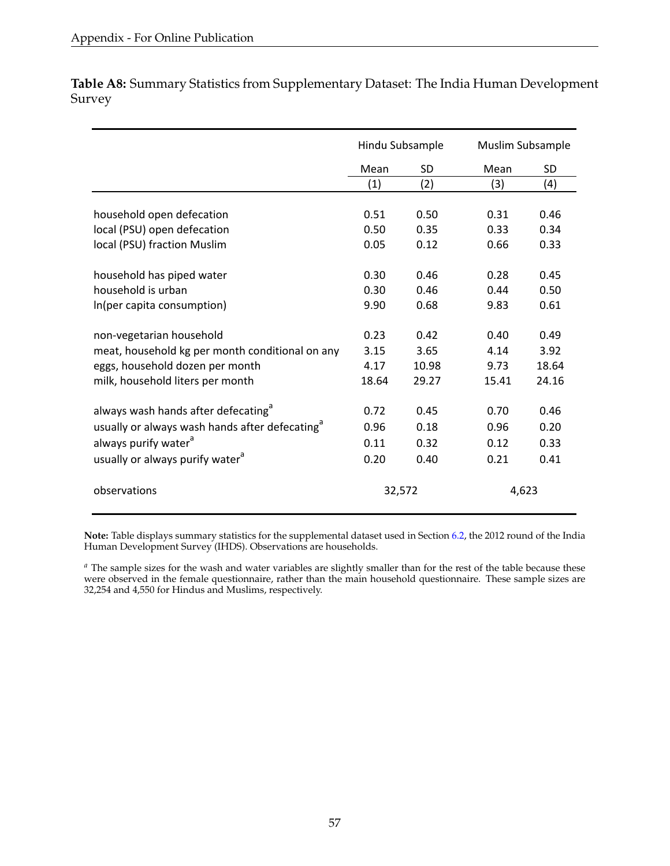<span id="page-58-0"></span>**Table A8:** Summary Statistics from Supplementary Dataset: The India Human Development Survey

|                                                            | Hindu Subsample |        | Muslim Subsample |           |
|------------------------------------------------------------|-----------------|--------|------------------|-----------|
|                                                            | Mean            | SD     | Mean             | <b>SD</b> |
|                                                            | (1)             | (2)    | (3)              | (4)       |
|                                                            |                 |        |                  |           |
| household open defecation                                  | 0.51            | 0.50   | 0.31             | 0.46      |
| local (PSU) open defecation                                | 0.50            | 0.35   | 0.33             | 0.34      |
| local (PSU) fraction Muslim                                | 0.05            | 0.12   | 0.66             | 0.33      |
| household has piped water                                  | 0.30            | 0.46   | 0.28             | 0.45      |
| household is urban                                         | 0.30            | 0.46   | 0.44             | 0.50      |
| In(per capita consumption)                                 | 9.90            | 0.68   | 9.83             | 0.61      |
| non-vegetarian household                                   | 0.23            | 0.42   | 0.40             | 0.49      |
| meat, household kg per month conditional on any            | 3.15            | 3.65   | 4.14             | 3.92      |
| eggs, household dozen per month                            | 4.17            | 10.98  | 9.73             | 18.64     |
| milk, household liters per month                           | 18.64           | 29.27  | 15.41            | 24.16     |
| always wash hands after defecating <sup>a</sup>            | 0.72            | 0.45   | 0.70             | 0.46      |
| usually or always wash hands after defecating <sup>d</sup> | 0.96            | 0.18   | 0.96             | 0.20      |
| always purify water <sup>a</sup>                           | 0.11            | 0.32   | 0.12             | 0.33      |
| usually or always purify water <sup>a</sup>                | 0.20            | 0.40   | 0.21             | 0.41      |
|                                                            |                 |        |                  |           |
| observations                                               |                 | 32,572 | 4,623            |           |

**Note:** Table displays summary statistics for the supplemental dataset used in Section [6.2,](#page-22-0) the 2012 round of the India Human Development Survey (IHDS). Observations are households.

*<sup>a</sup>* The sample sizes for the wash and water variables are slightly smaller than for the rest of the table because these were observed in the female questionnaire, rather than the main household questionnaire. These sample sizes are 32,254 and 4,550 for Hindus and Muslims, respectively.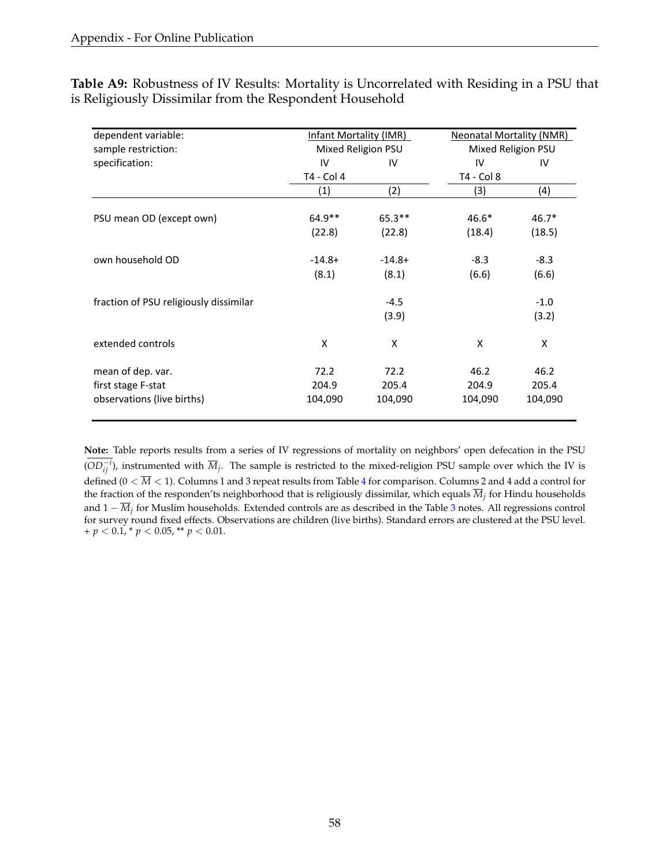<span id="page-59-0"></span>

|                                                         | Table A9: Robustness of IV Results: Mortality is Uncorrelated with Residing in a PSU that |
|---------------------------------------------------------|-------------------------------------------------------------------------------------------|
| is Religiously Dissimilar from the Respondent Household |                                                                                           |

| dependent variable:                    | Infant Mortality (IMR) |                    | <b>Neonatal Mortality (NMR)</b> |                    |  |  |
|----------------------------------------|------------------------|--------------------|---------------------------------|--------------------|--|--|
| sample restriction:                    |                        | Mixed Religion PSU |                                 | Mixed Religion PSU |  |  |
| specification:                         | IV                     | IV                 | IV                              | IV                 |  |  |
|                                        | T4 - Col 4             |                    | T4 - Col 8                      |                    |  |  |
|                                        | (1)                    | (2)                | (3)                             | (4)                |  |  |
| PSU mean OD (except own)               | $64.9**$               | $65.3**$           | $46.6*$                         | $46.7*$            |  |  |
|                                        | (22.8)                 | (22.8)             | (18.4)                          | (18.5)             |  |  |
| own household OD                       | $-14.8+$               | $-14.8+$           | $-8.3$                          | $-8.3$             |  |  |
|                                        | (8.1)                  | (8.1)              | (6.6)                           | (6.6)              |  |  |
| fraction of PSU religiously dissimilar |                        | $-4.5$             |                                 | $-1.0$             |  |  |
|                                        |                        | (3.9)              |                                 | (3.2)              |  |  |
| extended controls                      | X                      | Χ                  | X                               | Χ                  |  |  |
| mean of dep. var.                      | 72.2                   | 72.2               | 46.2                            | 46.2               |  |  |
| first stage F-stat                     | 204.9                  | 205.4              | 204.9                           | 205.4              |  |  |
| observations (live births)             | 104,090                | 104,090            | 104,090                         | 104,090            |  |  |

**Note:** Table reports results from a series of IV regressions of mortality on neighbors' open defecation in the PSU  $(OD^{-i}_{ij})$ , instrumented with  $\overline{M}_j$ . The sample is restricted to the mixed-religion PSU sample over which the IV is defined  $(0 < \overline{M} < 1)$ . Columns 1 and 3 repeat results from Table [4](#page-41-0) for comparison. Columns 2 and 4 add a control for the fraction of the responden'ts neighborhood that is religiously dissimilar, which equals *M<sup>j</sup>* for Hindu households and 1 − *M<sup>j</sup>* for Muslim households. Extended controls are as described in the Table [3](#page-40-0) notes. All regressions control for survey round fixed effects. Observations are children (live births). Standard errors are clustered at the PSU level.  $+p < 0.1$ , \*  $p < 0.05$ , \*\*  $p < 0.01$ .